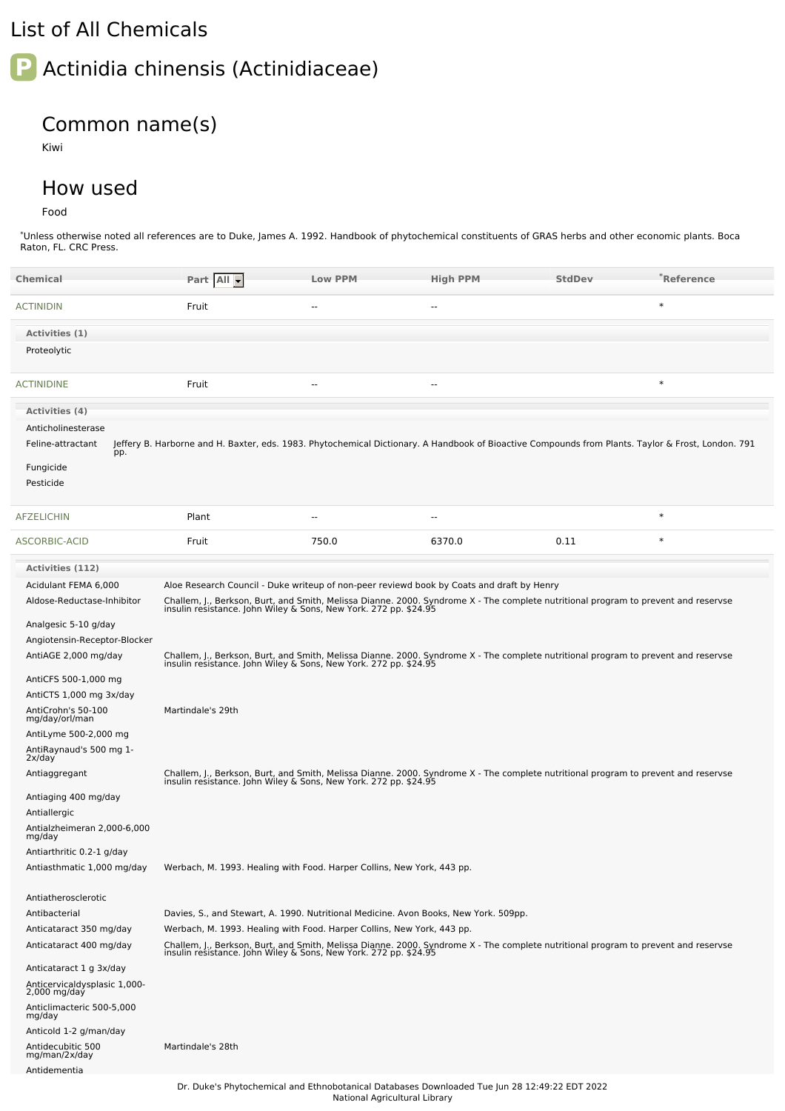## List of All Chemicals

## **P** Actinidia chinensis (Actinidiaceae)

## Common name(s)

Kiwi

## How used

Food

\*Unless otherwise noted all references are to Duke, James A. 1992. Handbook of phytochemical constituents of GRAS herbs and other economic plants. Boca Raton, FL. CRC Press.

| <b>Chemical</b>                                    | Part All                                                                                                                                                                                                                                                                                            | <b>Low PPM</b>           | <b>High PPM</b>          | <b>StdDev</b> | $\degree$ Reference                                                                                                                                |
|----------------------------------------------------|-----------------------------------------------------------------------------------------------------------------------------------------------------------------------------------------------------------------------------------------------------------------------------------------------------|--------------------------|--------------------------|---------------|----------------------------------------------------------------------------------------------------------------------------------------------------|
| <b>ACTINIDIN</b>                                   | Fruit                                                                                                                                                                                                                                                                                               | н.                       | $\overline{\phantom{a}}$ |               | $\ast$                                                                                                                                             |
| Activities (1)                                     |                                                                                                                                                                                                                                                                                                     |                          |                          |               |                                                                                                                                                    |
| Proteolytic                                        |                                                                                                                                                                                                                                                                                                     |                          |                          |               |                                                                                                                                                    |
| <b>ACTINIDINE</b>                                  | Fruit                                                                                                                                                                                                                                                                                               | $\overline{\phantom{a}}$ | $\overline{\phantom{a}}$ |               | $\ast$                                                                                                                                             |
| Activities (4)                                     |                                                                                                                                                                                                                                                                                                     |                          |                          |               |                                                                                                                                                    |
| Anticholinesterase                                 |                                                                                                                                                                                                                                                                                                     |                          |                          |               |                                                                                                                                                    |
| Feline-attractant                                  |                                                                                                                                                                                                                                                                                                     |                          |                          |               | Jeffery B. Harborne and H. Baxter, eds. 1983. Phytochemical Dictionary. A Handbook of Bioactive Compounds from Plants. Taylor & Frost, London. 791 |
| pp.<br>Fungicide<br>Pesticide                      |                                                                                                                                                                                                                                                                                                     |                          |                          |               |                                                                                                                                                    |
| <b>AFZELICHIN</b>                                  | Plant                                                                                                                                                                                                                                                                                               | $\overline{a}$           | --                       |               | $\ast$                                                                                                                                             |
| ASCORBIC-ACID                                      | Fruit                                                                                                                                                                                                                                                                                               | 750.0                    | 6370.0                   | 0.11          | $\ast$                                                                                                                                             |
| <b>Activities (112)</b>                            |                                                                                                                                                                                                                                                                                                     |                          |                          |               |                                                                                                                                                    |
| Acidulant FEMA 6,000<br>Aldose-Reductase-Inhibitor | Aloe Research Council - Duke writeup of non-peer reviewd book by Coats and draft by Henry<br>Challem, J., Berkson, Burt, and Smith, Melissa Dianne. 2000. Syndrome X - The complete nutritional program to prevent and reservse<br>insulin resistance. John Wiley & Sons, New York. 272 pp. \$24.95 |                          |                          |               |                                                                                                                                                    |
| Analgesic 5-10 g/day                               |                                                                                                                                                                                                                                                                                                     |                          |                          |               |                                                                                                                                                    |
| Angiotensin-Receptor-Blocker                       |                                                                                                                                                                                                                                                                                                     |                          |                          |               |                                                                                                                                                    |
| AntiAGE 2,000 mg/day                               | Challem, J., Berkson, Burt, and Smith, Melissa Dianne. 2000. Syndrome X - The complete nutritional program to prevent and reservse<br>insulin resistance. John Wiley & Sons, New York. 272 pp. \$24.95                                                                                              |                          |                          |               |                                                                                                                                                    |
| AntiCFS 500-1,000 mg                               |                                                                                                                                                                                                                                                                                                     |                          |                          |               |                                                                                                                                                    |
| AntiCTS 1,000 mg 3x/day                            |                                                                                                                                                                                                                                                                                                     |                          |                          |               |                                                                                                                                                    |
| AntiCrohn's 50-100<br>mg/day/orl/man               | Martindale's 29th                                                                                                                                                                                                                                                                                   |                          |                          |               |                                                                                                                                                    |
| AntiLyme 500-2,000 mg                              |                                                                                                                                                                                                                                                                                                     |                          |                          |               |                                                                                                                                                    |
| AntiRaynaud's 500 mg 1-<br>2x/day                  |                                                                                                                                                                                                                                                                                                     |                          |                          |               |                                                                                                                                                    |
| Antiaggregant                                      | Challem, J., Berkson, Burt, and Smith, Melissa Dianne. 2000. Syndrome X - The complete nutritional program to prevent and reservse<br>insulin resistance. John Wiley & Sons, New York. 272 pp. \$24.95                                                                                              |                          |                          |               |                                                                                                                                                    |
| Antiaging 400 mg/day                               |                                                                                                                                                                                                                                                                                                     |                          |                          |               |                                                                                                                                                    |
| Antiallergic<br>Antialzheimeran 2,000-6,000        |                                                                                                                                                                                                                                                                                                     |                          |                          |               |                                                                                                                                                    |
| mg/day<br>Antiarthritic 0.2-1 g/day                |                                                                                                                                                                                                                                                                                                     |                          |                          |               |                                                                                                                                                    |
| Antiasthmatic 1,000 mg/day                         | Werbach, M. 1993. Healing with Food. Harper Collins, New York, 443 pp.                                                                                                                                                                                                                              |                          |                          |               |                                                                                                                                                    |
| Antiatherosclerotic                                |                                                                                                                                                                                                                                                                                                     |                          |                          |               |                                                                                                                                                    |
| Antibacterial                                      | Davies, S., and Stewart, A. 1990. Nutritional Medicine. Avon Books, New York. 509pp.                                                                                                                                                                                                                |                          |                          |               |                                                                                                                                                    |
| Anticataract 350 mg/day                            | Werbach, M. 1993. Healing with Food. Harper Collins, New York, 443 pp.                                                                                                                                                                                                                              |                          |                          |               |                                                                                                                                                    |
| Anticataract 400 mg/day                            | Challem, J., Berkson, Burt, and Smith, Melissa Dianne. 2000. Syndrome X - The complete nutritional program to prevent and reservse<br>insulin resistance. John Wiley & Sons, New York. 272 pp. \$24.95                                                                                              |                          |                          |               |                                                                                                                                                    |
| Anticataract 1 g 3x/day                            |                                                                                                                                                                                                                                                                                                     |                          |                          |               |                                                                                                                                                    |
| Anticervicaldysplasic 1,000-<br>2,000 mg/day       |                                                                                                                                                                                                                                                                                                     |                          |                          |               |                                                                                                                                                    |
| Anticlimacteric 500-5,000<br>mg/day                |                                                                                                                                                                                                                                                                                                     |                          |                          |               |                                                                                                                                                    |
| Anticold 1-2 g/man/day                             |                                                                                                                                                                                                                                                                                                     |                          |                          |               |                                                                                                                                                    |
| Antidecubitic 500<br>mg/man/2x/day                 | Martindale's 28th                                                                                                                                                                                                                                                                                   |                          |                          |               |                                                                                                                                                    |
| Antidementia                                       |                                                                                                                                                                                                                                                                                                     |                          |                          |               |                                                                                                                                                    |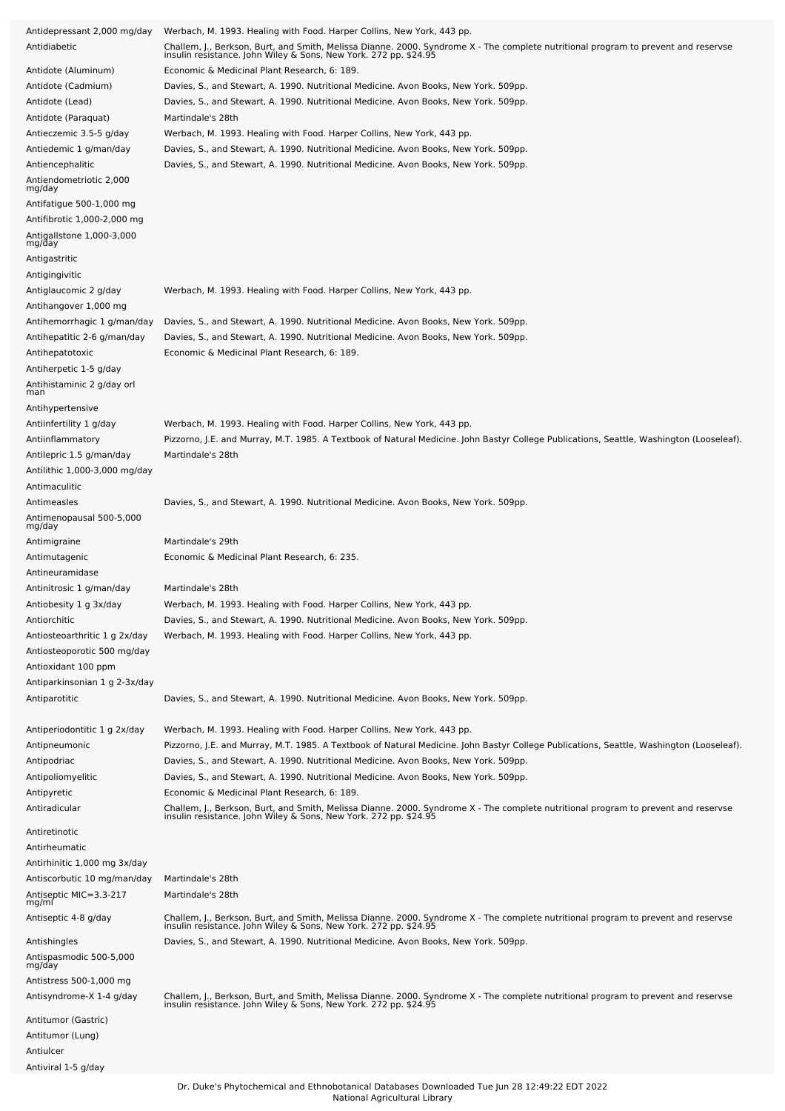| Antidepressant 2,000 mg/day                             | Werbach, M. 1993. Healing with Food. Harper Collins, New York, 443 pp.                                                                                                                                 |
|---------------------------------------------------------|--------------------------------------------------------------------------------------------------------------------------------------------------------------------------------------------------------|
| Antidiabetic                                            | Challem, J., Berkson, Burt, and Smith, Melissa Dianne. 2000. Syndrome X - The complete nutritional program to prevent and reservse<br>insulin resistance. John Wiley & Sons, New York. 272 pp. \$24.95 |
| Antidote (Aluminum)                                     | Economic & Medicinal Plant Research, 6: 189.                                                                                                                                                           |
| Antidote (Cadmium)                                      | Davies, S., and Stewart, A. 1990. Nutritional Medicine. Avon Books, New York. 509pp.                                                                                                                   |
| Antidote (Lead)                                         | Davies, S., and Stewart, A. 1990. Nutritional Medicine. Avon Books, New York. 509pp.                                                                                                                   |
| Antidote (Paraquat)                                     | Martindale's 28th                                                                                                                                                                                      |
| Antieczemic 3.5-5 g/day                                 | Werbach, M. 1993. Healing with Food. Harper Collins, New York, 443 pp.                                                                                                                                 |
| Antiedemic 1 g/man/day                                  | Davies, S., and Stewart, A. 1990. Nutritional Medicine. Avon Books, New York. 509pp.                                                                                                                   |
| Antiencephalitic                                        | Davies, S., and Stewart, A. 1990. Nutritional Medicine. Avon Books, New York. 509pp.                                                                                                                   |
| Antiendometriotic 2,000<br>mg/day                       |                                                                                                                                                                                                        |
| Antifatigue 500-1,000 mg<br>Antifibrotic 1,000-2,000 mg |                                                                                                                                                                                                        |
| Antigallstone 1,000-3,000<br>mg/day                     |                                                                                                                                                                                                        |
| Antigastritic                                           |                                                                                                                                                                                                        |
| Antigingivitic                                          |                                                                                                                                                                                                        |
| Antiglaucomic 2 g/day                                   | Werbach, M. 1993. Healing with Food. Harper Collins, New York, 443 pp.                                                                                                                                 |
| Antihangover 1,000 mg                                   |                                                                                                                                                                                                        |
| Antihemorrhagic 1 g/man/day                             | Davies, S., and Stewart, A. 1990. Nutritional Medicine. Avon Books, New York. 509pp.                                                                                                                   |
| Antihepatitic 2-6 g/man/day                             | Davies, S., and Stewart, A. 1990. Nutritional Medicine. Avon Books, New York. 509pp.                                                                                                                   |
| Antihepatotoxic                                         | Economic & Medicinal Plant Research, 6: 189.                                                                                                                                                           |
| Antiherpetic 1-5 g/day                                  |                                                                                                                                                                                                        |
| Antihistaminic 2 g/day orl<br>man                       |                                                                                                                                                                                                        |
| Antihypertensive                                        |                                                                                                                                                                                                        |
| Antiinfertility 1 g/day                                 | Werbach, M. 1993. Healing with Food. Harper Collins, New York, 443 pp.                                                                                                                                 |
| Antiinflammatory                                        | Pizzorno, J.E. and Murray, M.T. 1985. A Textbook of Natural Medicine. John Bastyr College Publications, Seattle, Washington (Looseleaf).                                                               |
| Antilepric 1.5 g/man/day                                | Martindale's 28th                                                                                                                                                                                      |
| Antilithic 1,000-3,000 mg/day                           |                                                                                                                                                                                                        |
| Antimaculitic                                           |                                                                                                                                                                                                        |
| Antimeasles<br>Antimenopausal 500-5,000                 | Davies, S., and Stewart, A. 1990. Nutritional Medicine. Avon Books, New York. 509pp.                                                                                                                   |
| mg/day                                                  |                                                                                                                                                                                                        |
| Antimigraine                                            | Martindale's 29th                                                                                                                                                                                      |
| Antimutagenic                                           | Economic & Medicinal Plant Research, 6: 235.                                                                                                                                                           |
| Antineuramidase                                         |                                                                                                                                                                                                        |
| Antinitrosic 1 g/man/day                                | Martindale's 28th                                                                                                                                                                                      |
| Antiobesity 1 g 3x/day                                  | Werbach, M. 1993. Healing with Food. Harper Collins, New York, 443 pp.                                                                                                                                 |
| Antiorchitic                                            | Davies, S., and Stewart, A. 1990. Nutritional Medicine. Avon Books, New York. 509pp.                                                                                                                   |
| Antiosteoarthritic 1 g 2x/day                           | Werbach, M. 1993. Healing with Food. Harper Collins, New York, 443 pp.                                                                                                                                 |
| Antiosteoporotic 500 mg/day<br>Antioxidant 100 ppm      |                                                                                                                                                                                                        |
| Antiparkinsonian 1 g 2-3x/day                           |                                                                                                                                                                                                        |
| Antiparotitic                                           | Davies, S., and Stewart, A. 1990. Nutritional Medicine. Avon Books, New York. 509pp.                                                                                                                   |
|                                                         |                                                                                                                                                                                                        |
| Antiperiodontitic 1 g 2x/day                            | Werbach, M. 1993. Healing with Food. Harper Collins, New York, 443 pp.                                                                                                                                 |
| Antipneumonic                                           | Pizzorno, J.E. and Murray, M.T. 1985. A Textbook of Natural Medicine. John Bastyr College Publications, Seattle, Washington (Looseleaf).                                                               |
| Antipodriac                                             | Davies, S., and Stewart, A. 1990. Nutritional Medicine. Avon Books, New York. 509pp.                                                                                                                   |
| Antipoliomyelitic                                       | Davies, S., and Stewart, A. 1990. Nutritional Medicine. Avon Books, New York. 509pp.                                                                                                                   |
| Antipyretic                                             | Economic & Medicinal Plant Research, 6: 189.                                                                                                                                                           |
| Antiradicular                                           | Challem, J., Berkson, Burt, and Smith, Melissa Dianne. 2000. Syndrome X - The complete nutritional program to prevent and reservse<br>insulin resistance. John Wiley & Sons, New York. 272 pp. \$24.95 |
| Antiretinotic                                           |                                                                                                                                                                                                        |
| Antirheumatic                                           |                                                                                                                                                                                                        |
| Antirhinitic 1,000 mg 3x/day                            |                                                                                                                                                                                                        |
| Antiscorbutic 10 mg/man/day                             | Martindale's 28th                                                                                                                                                                                      |
| Antiseptic MIC=3.3-217<br>mg/ml                         | Martindale's 28th                                                                                                                                                                                      |
| Antiseptic 4-8 g/day                                    | Challem, J., Berkson, Burt, and Smith, Melissa Dianne. 2000. Syndrome X - The complete nutritional program to prevent and reservse<br>insulin resistance. John Wiley & Sons, New York. 272 pp. \$24.95 |
| Antishingles                                            | Davies, S., and Stewart, A. 1990. Nutritional Medicine. Avon Books, New York. 509pp.                                                                                                                   |
| Antispasmodic 500-5,000                                 |                                                                                                                                                                                                        |
| mg/day                                                  |                                                                                                                                                                                                        |
| Antistress 500-1,000 mg                                 |                                                                                                                                                                                                        |
| Antisyndrome-X 1-4 g/day                                | Challem, J., Berkson, Burt, and Smith, Melissa Dianne. 2000. Syndrome X - The complete nutritional program to prevent and reservse<br>insulin resistance. John Wiley & Sons, New York. 272 pp. \$24.95 |
| Antitumor (Gastric)                                     |                                                                                                                                                                                                        |
| Antitumor (Lung)<br>Antiulcer                           |                                                                                                                                                                                                        |
| Antiviral 1-5 g/day                                     |                                                                                                                                                                                                        |
|                                                         |                                                                                                                                                                                                        |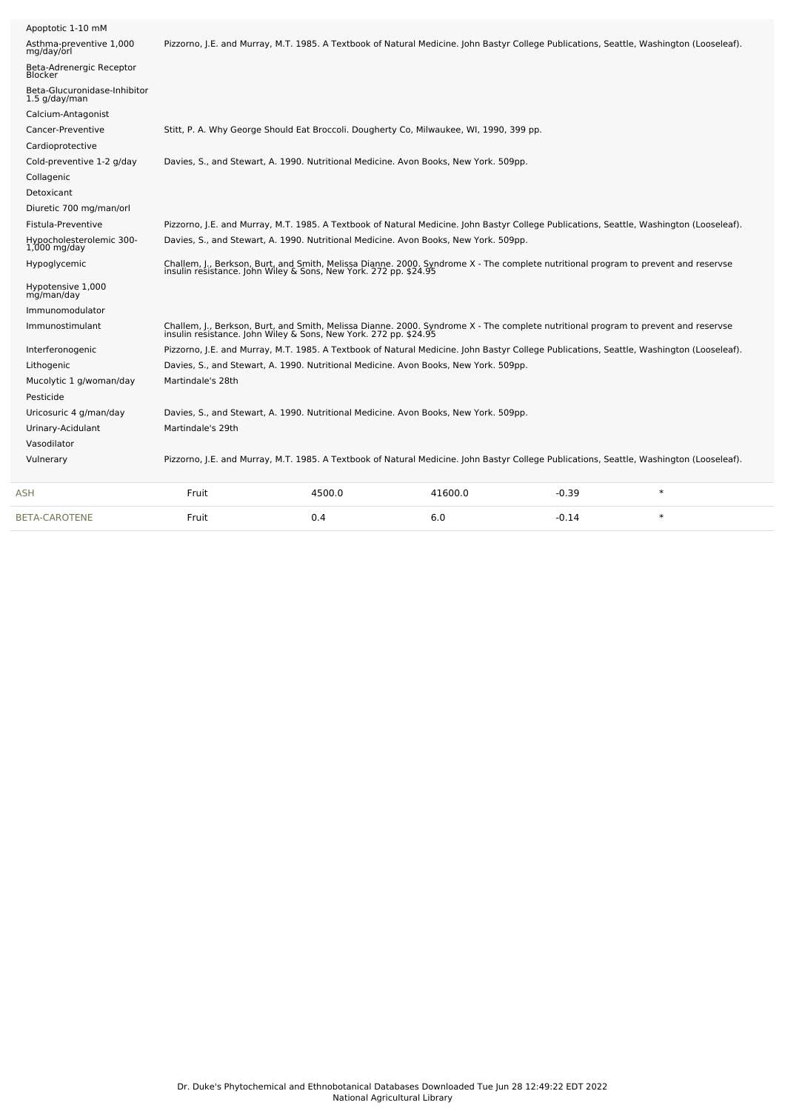| <b>BETA-CAROTENE</b>                            | Fruit             | 0.4                                                              | 6.0                                                                                                                                                                                                    | $-0.14$ | $\ast$ |  |
|-------------------------------------------------|-------------------|------------------------------------------------------------------|--------------------------------------------------------------------------------------------------------------------------------------------------------------------------------------------------------|---------|--------|--|
| <b>ASH</b>                                      | Fruit             | 4500.0                                                           | 41600.0                                                                                                                                                                                                | $-0.39$ | $\ast$ |  |
| Vulnerary                                       |                   |                                                                  | Pizzorno, J.E. and Murray, M.T. 1985. A Textbook of Natural Medicine. John Bastyr College Publications, Seattle, Washington (Looseleaf).                                                               |         |        |  |
| Vasodilator                                     |                   |                                                                  |                                                                                                                                                                                                        |         |        |  |
| Urinary-Acidulant                               | Martindale's 29th |                                                                  |                                                                                                                                                                                                        |         |        |  |
| Uricosuric 4 g/man/day                          |                   |                                                                  | Davies, S., and Stewart, A. 1990. Nutritional Medicine. Avon Books, New York. 509pp.                                                                                                                   |         |        |  |
| Pesticide                                       |                   |                                                                  |                                                                                                                                                                                                        |         |        |  |
| Mucolytic 1 g/woman/day                         | Martindale's 28th |                                                                  |                                                                                                                                                                                                        |         |        |  |
| Lithogenic                                      |                   |                                                                  | Davies, S., and Stewart, A. 1990. Nutritional Medicine. Avon Books, New York. 509pp.                                                                                                                   |         |        |  |
| Interferonogenic                                |                   |                                                                  | Pizzorno, J.E. and Murray, M.T. 1985. A Textbook of Natural Medicine. John Bastyr College Publications, Seattle, Washington (Looseleaf).                                                               |         |        |  |
| Immunostimulant                                 |                   | insulin resistance. John Wiley & Sons, New York. 272 pp. \$24.95 | Challem, J., Berkson, Burt, and Smith, Melissa Dianne. 2000. Syndrome X - The complete nutritional program to prevent and reservse                                                                     |         |        |  |
| Immunomodulator                                 |                   |                                                                  |                                                                                                                                                                                                        |         |        |  |
| Hypotensive 1,000<br>mg/man/day                 |                   |                                                                  |                                                                                                                                                                                                        |         |        |  |
| Hypoglycemic                                    |                   |                                                                  | Challem, J., Berkson, Burt, and Smith, Melissa Dianne. 2000. Syndrome X - The complete nutritional program to prevent and reservse<br>insulin resistance. John Wiley & Sons, New York. 272 pp. \$24.95 |         |        |  |
| Hypocholesterolemic 300-<br>$1,000$ mg/day      |                   |                                                                  | Davies, S., and Stewart, A. 1990. Nutritional Medicine. Avon Books, New York. 509pp.                                                                                                                   |         |        |  |
| Fistula-Preventive                              |                   |                                                                  | Pizzorno, J.E. and Murray, M.T. 1985. A Textbook of Natural Medicine. John Bastyr College Publications, Seattle, Washington (Looseleaf).                                                               |         |        |  |
| Diuretic 700 mg/man/orl                         |                   |                                                                  |                                                                                                                                                                                                        |         |        |  |
| Detoxicant                                      |                   |                                                                  |                                                                                                                                                                                                        |         |        |  |
| Collagenic                                      |                   |                                                                  |                                                                                                                                                                                                        |         |        |  |
| Cold-preventive 1-2 g/day                       |                   |                                                                  | Davies, S., and Stewart, A. 1990. Nutritional Medicine. Avon Books, New York. 509pp.                                                                                                                   |         |        |  |
| Cardioprotective                                |                   |                                                                  |                                                                                                                                                                                                        |         |        |  |
| Cancer-Preventive                               |                   |                                                                  | Stitt, P. A. Why George Should Eat Broccoli. Dougherty Co, Milwaukee, WI, 1990, 399 pp.                                                                                                                |         |        |  |
| Calcium-Antagonist                              |                   |                                                                  |                                                                                                                                                                                                        |         |        |  |
| Beta-Glucuronidase-Inhibitor<br>$1.5$ g/day/man |                   |                                                                  |                                                                                                                                                                                                        |         |        |  |
| Beta-Adrenergic Receptor<br><b>Blocker</b>      |                   |                                                                  |                                                                                                                                                                                                        |         |        |  |
| Asthma-preventive 1,000<br>mg/day/orl           |                   |                                                                  | Pizzorno, J.E. and Murray, M.T. 1985. A Textbook of Natural Medicine. John Bastyr College Publications, Seattle, Washington (Looseleaf).                                                               |         |        |  |
| Apoptotic 1-10 mM                               |                   |                                                                  |                                                                                                                                                                                                        |         |        |  |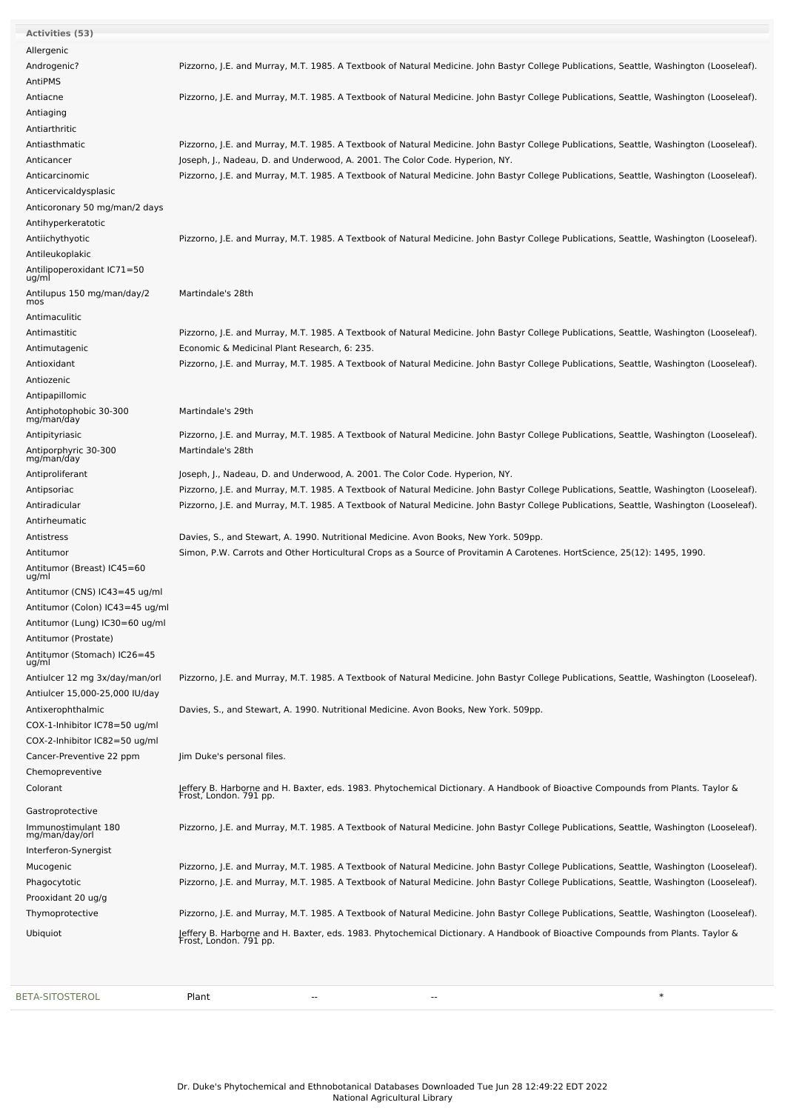| Allergenic<br>Androgenic?<br>AntiPMS<br>Antiacne<br>Antiaging<br>Antiarthritic<br>Antiasthmatic<br>Joseph, J., Nadeau, D. and Underwood, A. 2001. The Color Code. Hyperion, NY.<br>Anticancer<br>Anticarcinomic<br>Anticervicaldysplasic<br>Anticoronary 50 mg/man/2 days<br>Antihyperkeratotic<br>Antiichythyotic<br>Antileukoplakic<br>Antilipoperoxidant IC71=50<br>ug/ml<br>Antilupus 150 mg/man/day/2<br>Martindale's 28th<br>mos<br>Antimaculitic<br>Antimastitic<br>Pizzorno, J.E. and Murray, M.T. 1985. A Textbook of Natural Medicine. John Bastyr College Publications, Seattle, Washington (Looseleaf).<br>Economic & Medicinal Plant Research, 6: 235.<br>Antimutagenic<br>Antioxidant<br>Pizzorno, J.E. and Murray, M.T. 1985. A Textbook of Natural Medicine. John Bastyr College Publications, Seattle, Washington (Looseleaf).<br>Antiozenic<br>Antipapillomic<br>Antiphotophobic 30-300<br>Martindale's 29th<br>mg/man/day<br>Antipityriasic<br>Antiporphyric 30-300<br>Martindale's 28th<br>mg/man/day<br>Antiproliferant<br>Joseph, J., Nadeau, D. and Underwood, A. 2001. The Color Code. Hyperion, NY.<br>Pizzorno, J.E. and Murray, M.T. 1985. A Textbook of Natural Medicine. John Bastyr College Publications, Seattle, Washington (Looseleaf).<br>Antipsoriac<br>Antiradicular<br>Pizzorno, J.E. and Murray, M.T. 1985. A Textbook of Natural Medicine. John Bastyr College Publications, Seattle, Washington (Looseleaf).<br>Antirheumatic<br>Antistress<br>Davies, S., and Stewart, A. 1990. Nutritional Medicine. Avon Books, New York. 509pp.<br>Antitumor<br>Simon, P.W. Carrots and Other Horticultural Crops as a Source of Provitamin A Carotenes. HortScience, 25(12): 1495, 1990.<br>Antitumor (Breast) IC45=60<br>ug/ml<br>Antitumor (CNS) IC43=45 ug/ml<br>Antitumor (Colon) IC43=45 ug/ml<br>Antitumor (Lung) IC30=60 ug/ml<br>Antitumor (Prostate)<br>Antitumor (Stomach) IC26=45<br>ug/ml<br>Antiulcer 12 mg 3x/day/man/orl<br>Antiulcer 15,000-25,000 IU/day<br>Davies, S., and Stewart, A. 1990. Nutritional Medicine. Avon Books, New York. 509pp.<br>Antixerophthalmic<br>COX-1-Inhibitor IC78=50 ug/ml<br>COX-2-Inhibitor IC82=50 ug/ml<br>Cancer-Preventive 22 ppm<br>Jim Duke's personal files.<br>Chemopreventive<br>Jeffery B. Harborne and H. Baxter, eds. 1983. Phytochemical Dictionary. A Handbook of Bioactive Compounds from Plants. Taylor &<br>Colorant<br>Frost, London. 791 pp.<br>Gastroprotective<br>Immunostimulant 180<br>mg/man/day/orl<br>Interferon-Synergist<br>Pizzorno, J.E. and Murray, M.T. 1985. A Textbook of Natural Medicine. John Bastyr College Publications, Seattle, Washington (Looseleaf).<br>Mucogenic<br>Pizzorno, J.E. and Murray, M.T. 1985. A Textbook of Natural Medicine. John Bastyr College Publications, Seattle, Washington (Looseleaf).<br>Phagocytotic<br>Prooxidant 20 ug/g | <b>Activities (53)</b> |                                                                                                                                          |
|-----------------------------------------------------------------------------------------------------------------------------------------------------------------------------------------------------------------------------------------------------------------------------------------------------------------------------------------------------------------------------------------------------------------------------------------------------------------------------------------------------------------------------------------------------------------------------------------------------------------------------------------------------------------------------------------------------------------------------------------------------------------------------------------------------------------------------------------------------------------------------------------------------------------------------------------------------------------------------------------------------------------------------------------------------------------------------------------------------------------------------------------------------------------------------------------------------------------------------------------------------------------------------------------------------------------------------------------------------------------------------------------------------------------------------------------------------------------------------------------------------------------------------------------------------------------------------------------------------------------------------------------------------------------------------------------------------------------------------------------------------------------------------------------------------------------------------------------------------------------------------------------------------------------------------------------------------------------------------------------------------------------------------------------------------------------------------------------------------------------------------------------------------------------------------------------------------------------------------------------------------------------------------------------------------------------------------------------------------------------------------------------------------------------------------------------------------------------------------------------------------------------------------------------------------------------------------------------------------------------------------------------------------------------------------------------------------------------------------------------------------------------------------------------------------------------------------------------------------------------------------|------------------------|------------------------------------------------------------------------------------------------------------------------------------------|
|                                                                                                                                                                                                                                                                                                                                                                                                                                                                                                                                                                                                                                                                                                                                                                                                                                                                                                                                                                                                                                                                                                                                                                                                                                                                                                                                                                                                                                                                                                                                                                                                                                                                                                                                                                                                                                                                                                                                                                                                                                                                                                                                                                                                                                                                                                                                                                                                                                                                                                                                                                                                                                                                                                                                                                                                                                                                             |                        |                                                                                                                                          |
|                                                                                                                                                                                                                                                                                                                                                                                                                                                                                                                                                                                                                                                                                                                                                                                                                                                                                                                                                                                                                                                                                                                                                                                                                                                                                                                                                                                                                                                                                                                                                                                                                                                                                                                                                                                                                                                                                                                                                                                                                                                                                                                                                                                                                                                                                                                                                                                                                                                                                                                                                                                                                                                                                                                                                                                                                                                                             |                        | Pizzorno, J.E. and Murray, M.T. 1985. A Textbook of Natural Medicine. John Bastyr College Publications, Seattle, Washington (Looseleaf). |
|                                                                                                                                                                                                                                                                                                                                                                                                                                                                                                                                                                                                                                                                                                                                                                                                                                                                                                                                                                                                                                                                                                                                                                                                                                                                                                                                                                                                                                                                                                                                                                                                                                                                                                                                                                                                                                                                                                                                                                                                                                                                                                                                                                                                                                                                                                                                                                                                                                                                                                                                                                                                                                                                                                                                                                                                                                                                             |                        |                                                                                                                                          |
|                                                                                                                                                                                                                                                                                                                                                                                                                                                                                                                                                                                                                                                                                                                                                                                                                                                                                                                                                                                                                                                                                                                                                                                                                                                                                                                                                                                                                                                                                                                                                                                                                                                                                                                                                                                                                                                                                                                                                                                                                                                                                                                                                                                                                                                                                                                                                                                                                                                                                                                                                                                                                                                                                                                                                                                                                                                                             |                        | Pizzorno, J.E. and Murray, M.T. 1985. A Textbook of Natural Medicine. John Bastyr College Publications, Seattle, Washington (Looseleaf). |
|                                                                                                                                                                                                                                                                                                                                                                                                                                                                                                                                                                                                                                                                                                                                                                                                                                                                                                                                                                                                                                                                                                                                                                                                                                                                                                                                                                                                                                                                                                                                                                                                                                                                                                                                                                                                                                                                                                                                                                                                                                                                                                                                                                                                                                                                                                                                                                                                                                                                                                                                                                                                                                                                                                                                                                                                                                                                             |                        |                                                                                                                                          |
|                                                                                                                                                                                                                                                                                                                                                                                                                                                                                                                                                                                                                                                                                                                                                                                                                                                                                                                                                                                                                                                                                                                                                                                                                                                                                                                                                                                                                                                                                                                                                                                                                                                                                                                                                                                                                                                                                                                                                                                                                                                                                                                                                                                                                                                                                                                                                                                                                                                                                                                                                                                                                                                                                                                                                                                                                                                                             |                        |                                                                                                                                          |
|                                                                                                                                                                                                                                                                                                                                                                                                                                                                                                                                                                                                                                                                                                                                                                                                                                                                                                                                                                                                                                                                                                                                                                                                                                                                                                                                                                                                                                                                                                                                                                                                                                                                                                                                                                                                                                                                                                                                                                                                                                                                                                                                                                                                                                                                                                                                                                                                                                                                                                                                                                                                                                                                                                                                                                                                                                                                             |                        | Pizzorno, J.E. and Murray, M.T. 1985. A Textbook of Natural Medicine. John Bastyr College Publications, Seattle, Washington (Looseleaf). |
|                                                                                                                                                                                                                                                                                                                                                                                                                                                                                                                                                                                                                                                                                                                                                                                                                                                                                                                                                                                                                                                                                                                                                                                                                                                                                                                                                                                                                                                                                                                                                                                                                                                                                                                                                                                                                                                                                                                                                                                                                                                                                                                                                                                                                                                                                                                                                                                                                                                                                                                                                                                                                                                                                                                                                                                                                                                                             |                        |                                                                                                                                          |
|                                                                                                                                                                                                                                                                                                                                                                                                                                                                                                                                                                                                                                                                                                                                                                                                                                                                                                                                                                                                                                                                                                                                                                                                                                                                                                                                                                                                                                                                                                                                                                                                                                                                                                                                                                                                                                                                                                                                                                                                                                                                                                                                                                                                                                                                                                                                                                                                                                                                                                                                                                                                                                                                                                                                                                                                                                                                             |                        | Pizzorno, J.E. and Murray, M.T. 1985. A Textbook of Natural Medicine. John Bastyr College Publications, Seattle, Washington (Looseleaf). |
|                                                                                                                                                                                                                                                                                                                                                                                                                                                                                                                                                                                                                                                                                                                                                                                                                                                                                                                                                                                                                                                                                                                                                                                                                                                                                                                                                                                                                                                                                                                                                                                                                                                                                                                                                                                                                                                                                                                                                                                                                                                                                                                                                                                                                                                                                                                                                                                                                                                                                                                                                                                                                                                                                                                                                                                                                                                                             |                        |                                                                                                                                          |
|                                                                                                                                                                                                                                                                                                                                                                                                                                                                                                                                                                                                                                                                                                                                                                                                                                                                                                                                                                                                                                                                                                                                                                                                                                                                                                                                                                                                                                                                                                                                                                                                                                                                                                                                                                                                                                                                                                                                                                                                                                                                                                                                                                                                                                                                                                                                                                                                                                                                                                                                                                                                                                                                                                                                                                                                                                                                             |                        |                                                                                                                                          |
|                                                                                                                                                                                                                                                                                                                                                                                                                                                                                                                                                                                                                                                                                                                                                                                                                                                                                                                                                                                                                                                                                                                                                                                                                                                                                                                                                                                                                                                                                                                                                                                                                                                                                                                                                                                                                                                                                                                                                                                                                                                                                                                                                                                                                                                                                                                                                                                                                                                                                                                                                                                                                                                                                                                                                                                                                                                                             |                        |                                                                                                                                          |
|                                                                                                                                                                                                                                                                                                                                                                                                                                                                                                                                                                                                                                                                                                                                                                                                                                                                                                                                                                                                                                                                                                                                                                                                                                                                                                                                                                                                                                                                                                                                                                                                                                                                                                                                                                                                                                                                                                                                                                                                                                                                                                                                                                                                                                                                                                                                                                                                                                                                                                                                                                                                                                                                                                                                                                                                                                                                             |                        | Pizzorno, J.E. and Murray, M.T. 1985. A Textbook of Natural Medicine. John Bastyr College Publications, Seattle, Washington (Looseleaf). |
|                                                                                                                                                                                                                                                                                                                                                                                                                                                                                                                                                                                                                                                                                                                                                                                                                                                                                                                                                                                                                                                                                                                                                                                                                                                                                                                                                                                                                                                                                                                                                                                                                                                                                                                                                                                                                                                                                                                                                                                                                                                                                                                                                                                                                                                                                                                                                                                                                                                                                                                                                                                                                                                                                                                                                                                                                                                                             |                        |                                                                                                                                          |
|                                                                                                                                                                                                                                                                                                                                                                                                                                                                                                                                                                                                                                                                                                                                                                                                                                                                                                                                                                                                                                                                                                                                                                                                                                                                                                                                                                                                                                                                                                                                                                                                                                                                                                                                                                                                                                                                                                                                                                                                                                                                                                                                                                                                                                                                                                                                                                                                                                                                                                                                                                                                                                                                                                                                                                                                                                                                             |                        |                                                                                                                                          |
|                                                                                                                                                                                                                                                                                                                                                                                                                                                                                                                                                                                                                                                                                                                                                                                                                                                                                                                                                                                                                                                                                                                                                                                                                                                                                                                                                                                                                                                                                                                                                                                                                                                                                                                                                                                                                                                                                                                                                                                                                                                                                                                                                                                                                                                                                                                                                                                                                                                                                                                                                                                                                                                                                                                                                                                                                                                                             |                        |                                                                                                                                          |
|                                                                                                                                                                                                                                                                                                                                                                                                                                                                                                                                                                                                                                                                                                                                                                                                                                                                                                                                                                                                                                                                                                                                                                                                                                                                                                                                                                                                                                                                                                                                                                                                                                                                                                                                                                                                                                                                                                                                                                                                                                                                                                                                                                                                                                                                                                                                                                                                                                                                                                                                                                                                                                                                                                                                                                                                                                                                             |                        |                                                                                                                                          |
|                                                                                                                                                                                                                                                                                                                                                                                                                                                                                                                                                                                                                                                                                                                                                                                                                                                                                                                                                                                                                                                                                                                                                                                                                                                                                                                                                                                                                                                                                                                                                                                                                                                                                                                                                                                                                                                                                                                                                                                                                                                                                                                                                                                                                                                                                                                                                                                                                                                                                                                                                                                                                                                                                                                                                                                                                                                                             |                        |                                                                                                                                          |
|                                                                                                                                                                                                                                                                                                                                                                                                                                                                                                                                                                                                                                                                                                                                                                                                                                                                                                                                                                                                                                                                                                                                                                                                                                                                                                                                                                                                                                                                                                                                                                                                                                                                                                                                                                                                                                                                                                                                                                                                                                                                                                                                                                                                                                                                                                                                                                                                                                                                                                                                                                                                                                                                                                                                                                                                                                                                             |                        |                                                                                                                                          |
|                                                                                                                                                                                                                                                                                                                                                                                                                                                                                                                                                                                                                                                                                                                                                                                                                                                                                                                                                                                                                                                                                                                                                                                                                                                                                                                                                                                                                                                                                                                                                                                                                                                                                                                                                                                                                                                                                                                                                                                                                                                                                                                                                                                                                                                                                                                                                                                                                                                                                                                                                                                                                                                                                                                                                                                                                                                                             |                        |                                                                                                                                          |
|                                                                                                                                                                                                                                                                                                                                                                                                                                                                                                                                                                                                                                                                                                                                                                                                                                                                                                                                                                                                                                                                                                                                                                                                                                                                                                                                                                                                                                                                                                                                                                                                                                                                                                                                                                                                                                                                                                                                                                                                                                                                                                                                                                                                                                                                                                                                                                                                                                                                                                                                                                                                                                                                                                                                                                                                                                                                             |                        |                                                                                                                                          |
|                                                                                                                                                                                                                                                                                                                                                                                                                                                                                                                                                                                                                                                                                                                                                                                                                                                                                                                                                                                                                                                                                                                                                                                                                                                                                                                                                                                                                                                                                                                                                                                                                                                                                                                                                                                                                                                                                                                                                                                                                                                                                                                                                                                                                                                                                                                                                                                                                                                                                                                                                                                                                                                                                                                                                                                                                                                                             |                        |                                                                                                                                          |
|                                                                                                                                                                                                                                                                                                                                                                                                                                                                                                                                                                                                                                                                                                                                                                                                                                                                                                                                                                                                                                                                                                                                                                                                                                                                                                                                                                                                                                                                                                                                                                                                                                                                                                                                                                                                                                                                                                                                                                                                                                                                                                                                                                                                                                                                                                                                                                                                                                                                                                                                                                                                                                                                                                                                                                                                                                                                             |                        |                                                                                                                                          |
|                                                                                                                                                                                                                                                                                                                                                                                                                                                                                                                                                                                                                                                                                                                                                                                                                                                                                                                                                                                                                                                                                                                                                                                                                                                                                                                                                                                                                                                                                                                                                                                                                                                                                                                                                                                                                                                                                                                                                                                                                                                                                                                                                                                                                                                                                                                                                                                                                                                                                                                                                                                                                                                                                                                                                                                                                                                                             |                        | Pizzorno, J.E. and Murray, M.T. 1985. A Textbook of Natural Medicine. John Bastyr College Publications, Seattle, Washington (Looseleaf). |
|                                                                                                                                                                                                                                                                                                                                                                                                                                                                                                                                                                                                                                                                                                                                                                                                                                                                                                                                                                                                                                                                                                                                                                                                                                                                                                                                                                                                                                                                                                                                                                                                                                                                                                                                                                                                                                                                                                                                                                                                                                                                                                                                                                                                                                                                                                                                                                                                                                                                                                                                                                                                                                                                                                                                                                                                                                                                             |                        |                                                                                                                                          |
|                                                                                                                                                                                                                                                                                                                                                                                                                                                                                                                                                                                                                                                                                                                                                                                                                                                                                                                                                                                                                                                                                                                                                                                                                                                                                                                                                                                                                                                                                                                                                                                                                                                                                                                                                                                                                                                                                                                                                                                                                                                                                                                                                                                                                                                                                                                                                                                                                                                                                                                                                                                                                                                                                                                                                                                                                                                                             |                        |                                                                                                                                          |
|                                                                                                                                                                                                                                                                                                                                                                                                                                                                                                                                                                                                                                                                                                                                                                                                                                                                                                                                                                                                                                                                                                                                                                                                                                                                                                                                                                                                                                                                                                                                                                                                                                                                                                                                                                                                                                                                                                                                                                                                                                                                                                                                                                                                                                                                                                                                                                                                                                                                                                                                                                                                                                                                                                                                                                                                                                                                             |                        |                                                                                                                                          |
|                                                                                                                                                                                                                                                                                                                                                                                                                                                                                                                                                                                                                                                                                                                                                                                                                                                                                                                                                                                                                                                                                                                                                                                                                                                                                                                                                                                                                                                                                                                                                                                                                                                                                                                                                                                                                                                                                                                                                                                                                                                                                                                                                                                                                                                                                                                                                                                                                                                                                                                                                                                                                                                                                                                                                                                                                                                                             |                        |                                                                                                                                          |
|                                                                                                                                                                                                                                                                                                                                                                                                                                                                                                                                                                                                                                                                                                                                                                                                                                                                                                                                                                                                                                                                                                                                                                                                                                                                                                                                                                                                                                                                                                                                                                                                                                                                                                                                                                                                                                                                                                                                                                                                                                                                                                                                                                                                                                                                                                                                                                                                                                                                                                                                                                                                                                                                                                                                                                                                                                                                             |                        |                                                                                                                                          |
|                                                                                                                                                                                                                                                                                                                                                                                                                                                                                                                                                                                                                                                                                                                                                                                                                                                                                                                                                                                                                                                                                                                                                                                                                                                                                                                                                                                                                                                                                                                                                                                                                                                                                                                                                                                                                                                                                                                                                                                                                                                                                                                                                                                                                                                                                                                                                                                                                                                                                                                                                                                                                                                                                                                                                                                                                                                                             |                        |                                                                                                                                          |
|                                                                                                                                                                                                                                                                                                                                                                                                                                                                                                                                                                                                                                                                                                                                                                                                                                                                                                                                                                                                                                                                                                                                                                                                                                                                                                                                                                                                                                                                                                                                                                                                                                                                                                                                                                                                                                                                                                                                                                                                                                                                                                                                                                                                                                                                                                                                                                                                                                                                                                                                                                                                                                                                                                                                                                                                                                                                             |                        |                                                                                                                                          |
|                                                                                                                                                                                                                                                                                                                                                                                                                                                                                                                                                                                                                                                                                                                                                                                                                                                                                                                                                                                                                                                                                                                                                                                                                                                                                                                                                                                                                                                                                                                                                                                                                                                                                                                                                                                                                                                                                                                                                                                                                                                                                                                                                                                                                                                                                                                                                                                                                                                                                                                                                                                                                                                                                                                                                                                                                                                                             |                        |                                                                                                                                          |
|                                                                                                                                                                                                                                                                                                                                                                                                                                                                                                                                                                                                                                                                                                                                                                                                                                                                                                                                                                                                                                                                                                                                                                                                                                                                                                                                                                                                                                                                                                                                                                                                                                                                                                                                                                                                                                                                                                                                                                                                                                                                                                                                                                                                                                                                                                                                                                                                                                                                                                                                                                                                                                                                                                                                                                                                                                                                             |                        |                                                                                                                                          |
|                                                                                                                                                                                                                                                                                                                                                                                                                                                                                                                                                                                                                                                                                                                                                                                                                                                                                                                                                                                                                                                                                                                                                                                                                                                                                                                                                                                                                                                                                                                                                                                                                                                                                                                                                                                                                                                                                                                                                                                                                                                                                                                                                                                                                                                                                                                                                                                                                                                                                                                                                                                                                                                                                                                                                                                                                                                                             |                        |                                                                                                                                          |
|                                                                                                                                                                                                                                                                                                                                                                                                                                                                                                                                                                                                                                                                                                                                                                                                                                                                                                                                                                                                                                                                                                                                                                                                                                                                                                                                                                                                                                                                                                                                                                                                                                                                                                                                                                                                                                                                                                                                                                                                                                                                                                                                                                                                                                                                                                                                                                                                                                                                                                                                                                                                                                                                                                                                                                                                                                                                             |                        |                                                                                                                                          |
|                                                                                                                                                                                                                                                                                                                                                                                                                                                                                                                                                                                                                                                                                                                                                                                                                                                                                                                                                                                                                                                                                                                                                                                                                                                                                                                                                                                                                                                                                                                                                                                                                                                                                                                                                                                                                                                                                                                                                                                                                                                                                                                                                                                                                                                                                                                                                                                                                                                                                                                                                                                                                                                                                                                                                                                                                                                                             |                        |                                                                                                                                          |
|                                                                                                                                                                                                                                                                                                                                                                                                                                                                                                                                                                                                                                                                                                                                                                                                                                                                                                                                                                                                                                                                                                                                                                                                                                                                                                                                                                                                                                                                                                                                                                                                                                                                                                                                                                                                                                                                                                                                                                                                                                                                                                                                                                                                                                                                                                                                                                                                                                                                                                                                                                                                                                                                                                                                                                                                                                                                             |                        |                                                                                                                                          |
|                                                                                                                                                                                                                                                                                                                                                                                                                                                                                                                                                                                                                                                                                                                                                                                                                                                                                                                                                                                                                                                                                                                                                                                                                                                                                                                                                                                                                                                                                                                                                                                                                                                                                                                                                                                                                                                                                                                                                                                                                                                                                                                                                                                                                                                                                                                                                                                                                                                                                                                                                                                                                                                                                                                                                                                                                                                                             |                        |                                                                                                                                          |
|                                                                                                                                                                                                                                                                                                                                                                                                                                                                                                                                                                                                                                                                                                                                                                                                                                                                                                                                                                                                                                                                                                                                                                                                                                                                                                                                                                                                                                                                                                                                                                                                                                                                                                                                                                                                                                                                                                                                                                                                                                                                                                                                                                                                                                                                                                                                                                                                                                                                                                                                                                                                                                                                                                                                                                                                                                                                             |                        | Pizzorno, J.E. and Murray, M.T. 1985. A Textbook of Natural Medicine. John Bastyr College Publications, Seattle, Washington (Looseleaf). |
|                                                                                                                                                                                                                                                                                                                                                                                                                                                                                                                                                                                                                                                                                                                                                                                                                                                                                                                                                                                                                                                                                                                                                                                                                                                                                                                                                                                                                                                                                                                                                                                                                                                                                                                                                                                                                                                                                                                                                                                                                                                                                                                                                                                                                                                                                                                                                                                                                                                                                                                                                                                                                                                                                                                                                                                                                                                                             |                        |                                                                                                                                          |
|                                                                                                                                                                                                                                                                                                                                                                                                                                                                                                                                                                                                                                                                                                                                                                                                                                                                                                                                                                                                                                                                                                                                                                                                                                                                                                                                                                                                                                                                                                                                                                                                                                                                                                                                                                                                                                                                                                                                                                                                                                                                                                                                                                                                                                                                                                                                                                                                                                                                                                                                                                                                                                                                                                                                                                                                                                                                             |                        |                                                                                                                                          |
|                                                                                                                                                                                                                                                                                                                                                                                                                                                                                                                                                                                                                                                                                                                                                                                                                                                                                                                                                                                                                                                                                                                                                                                                                                                                                                                                                                                                                                                                                                                                                                                                                                                                                                                                                                                                                                                                                                                                                                                                                                                                                                                                                                                                                                                                                                                                                                                                                                                                                                                                                                                                                                                                                                                                                                                                                                                                             |                        |                                                                                                                                          |
|                                                                                                                                                                                                                                                                                                                                                                                                                                                                                                                                                                                                                                                                                                                                                                                                                                                                                                                                                                                                                                                                                                                                                                                                                                                                                                                                                                                                                                                                                                                                                                                                                                                                                                                                                                                                                                                                                                                                                                                                                                                                                                                                                                                                                                                                                                                                                                                                                                                                                                                                                                                                                                                                                                                                                                                                                                                                             |                        |                                                                                                                                          |
|                                                                                                                                                                                                                                                                                                                                                                                                                                                                                                                                                                                                                                                                                                                                                                                                                                                                                                                                                                                                                                                                                                                                                                                                                                                                                                                                                                                                                                                                                                                                                                                                                                                                                                                                                                                                                                                                                                                                                                                                                                                                                                                                                                                                                                                                                                                                                                                                                                                                                                                                                                                                                                                                                                                                                                                                                                                                             |                        |                                                                                                                                          |
|                                                                                                                                                                                                                                                                                                                                                                                                                                                                                                                                                                                                                                                                                                                                                                                                                                                                                                                                                                                                                                                                                                                                                                                                                                                                                                                                                                                                                                                                                                                                                                                                                                                                                                                                                                                                                                                                                                                                                                                                                                                                                                                                                                                                                                                                                                                                                                                                                                                                                                                                                                                                                                                                                                                                                                                                                                                                             |                        |                                                                                                                                          |
|                                                                                                                                                                                                                                                                                                                                                                                                                                                                                                                                                                                                                                                                                                                                                                                                                                                                                                                                                                                                                                                                                                                                                                                                                                                                                                                                                                                                                                                                                                                                                                                                                                                                                                                                                                                                                                                                                                                                                                                                                                                                                                                                                                                                                                                                                                                                                                                                                                                                                                                                                                                                                                                                                                                                                                                                                                                                             |                        |                                                                                                                                          |
|                                                                                                                                                                                                                                                                                                                                                                                                                                                                                                                                                                                                                                                                                                                                                                                                                                                                                                                                                                                                                                                                                                                                                                                                                                                                                                                                                                                                                                                                                                                                                                                                                                                                                                                                                                                                                                                                                                                                                                                                                                                                                                                                                                                                                                                                                                                                                                                                                                                                                                                                                                                                                                                                                                                                                                                                                                                                             |                        |                                                                                                                                          |
|                                                                                                                                                                                                                                                                                                                                                                                                                                                                                                                                                                                                                                                                                                                                                                                                                                                                                                                                                                                                                                                                                                                                                                                                                                                                                                                                                                                                                                                                                                                                                                                                                                                                                                                                                                                                                                                                                                                                                                                                                                                                                                                                                                                                                                                                                                                                                                                                                                                                                                                                                                                                                                                                                                                                                                                                                                                                             |                        | Pizzorno, J.E. and Murray, M.T. 1985. A Textbook of Natural Medicine. John Bastyr College Publications, Seattle, Washington (Looseleaf). |
|                                                                                                                                                                                                                                                                                                                                                                                                                                                                                                                                                                                                                                                                                                                                                                                                                                                                                                                                                                                                                                                                                                                                                                                                                                                                                                                                                                                                                                                                                                                                                                                                                                                                                                                                                                                                                                                                                                                                                                                                                                                                                                                                                                                                                                                                                                                                                                                                                                                                                                                                                                                                                                                                                                                                                                                                                                                                             |                        |                                                                                                                                          |
|                                                                                                                                                                                                                                                                                                                                                                                                                                                                                                                                                                                                                                                                                                                                                                                                                                                                                                                                                                                                                                                                                                                                                                                                                                                                                                                                                                                                                                                                                                                                                                                                                                                                                                                                                                                                                                                                                                                                                                                                                                                                                                                                                                                                                                                                                                                                                                                                                                                                                                                                                                                                                                                                                                                                                                                                                                                                             |                        |                                                                                                                                          |
|                                                                                                                                                                                                                                                                                                                                                                                                                                                                                                                                                                                                                                                                                                                                                                                                                                                                                                                                                                                                                                                                                                                                                                                                                                                                                                                                                                                                                                                                                                                                                                                                                                                                                                                                                                                                                                                                                                                                                                                                                                                                                                                                                                                                                                                                                                                                                                                                                                                                                                                                                                                                                                                                                                                                                                                                                                                                             |                        |                                                                                                                                          |
|                                                                                                                                                                                                                                                                                                                                                                                                                                                                                                                                                                                                                                                                                                                                                                                                                                                                                                                                                                                                                                                                                                                                                                                                                                                                                                                                                                                                                                                                                                                                                                                                                                                                                                                                                                                                                                                                                                                                                                                                                                                                                                                                                                                                                                                                                                                                                                                                                                                                                                                                                                                                                                                                                                                                                                                                                                                                             |                        |                                                                                                                                          |
| Thymoprotective                                                                                                                                                                                                                                                                                                                                                                                                                                                                                                                                                                                                                                                                                                                                                                                                                                                                                                                                                                                                                                                                                                                                                                                                                                                                                                                                                                                                                                                                                                                                                                                                                                                                                                                                                                                                                                                                                                                                                                                                                                                                                                                                                                                                                                                                                                                                                                                                                                                                                                                                                                                                                                                                                                                                                                                                                                                             |                        | Pizzorno, J.E. and Murray, M.T. 1985. A Textbook of Natural Medicine. John Bastyr College Publications, Seattle, Washington (Looseleaf). |
|                                                                                                                                                                                                                                                                                                                                                                                                                                                                                                                                                                                                                                                                                                                                                                                                                                                                                                                                                                                                                                                                                                                                                                                                                                                                                                                                                                                                                                                                                                                                                                                                                                                                                                                                                                                                                                                                                                                                                                                                                                                                                                                                                                                                                                                                                                                                                                                                                                                                                                                                                                                                                                                                                                                                                                                                                                                                             |                        |                                                                                                                                          |
| Jeffery B. Harborne and H. Baxter, eds. 1983. Phytochemical Dictionary. A Handbook of Bioactive Compounds from Plants. Taylor &<br>Frost, London. 791 pp.<br>Ubiquiot                                                                                                                                                                                                                                                                                                                                                                                                                                                                                                                                                                                                                                                                                                                                                                                                                                                                                                                                                                                                                                                                                                                                                                                                                                                                                                                                                                                                                                                                                                                                                                                                                                                                                                                                                                                                                                                                                                                                                                                                                                                                                                                                                                                                                                                                                                                                                                                                                                                                                                                                                                                                                                                                                                       |                        |                                                                                                                                          |
| $\ast$<br>BETA-SITOSTEROL<br>Plant                                                                                                                                                                                                                                                                                                                                                                                                                                                                                                                                                                                                                                                                                                                                                                                                                                                                                                                                                                                                                                                                                                                                                                                                                                                                                                                                                                                                                                                                                                                                                                                                                                                                                                                                                                                                                                                                                                                                                                                                                                                                                                                                                                                                                                                                                                                                                                                                                                                                                                                                                                                                                                                                                                                                                                                                                                          |                        |                                                                                                                                          |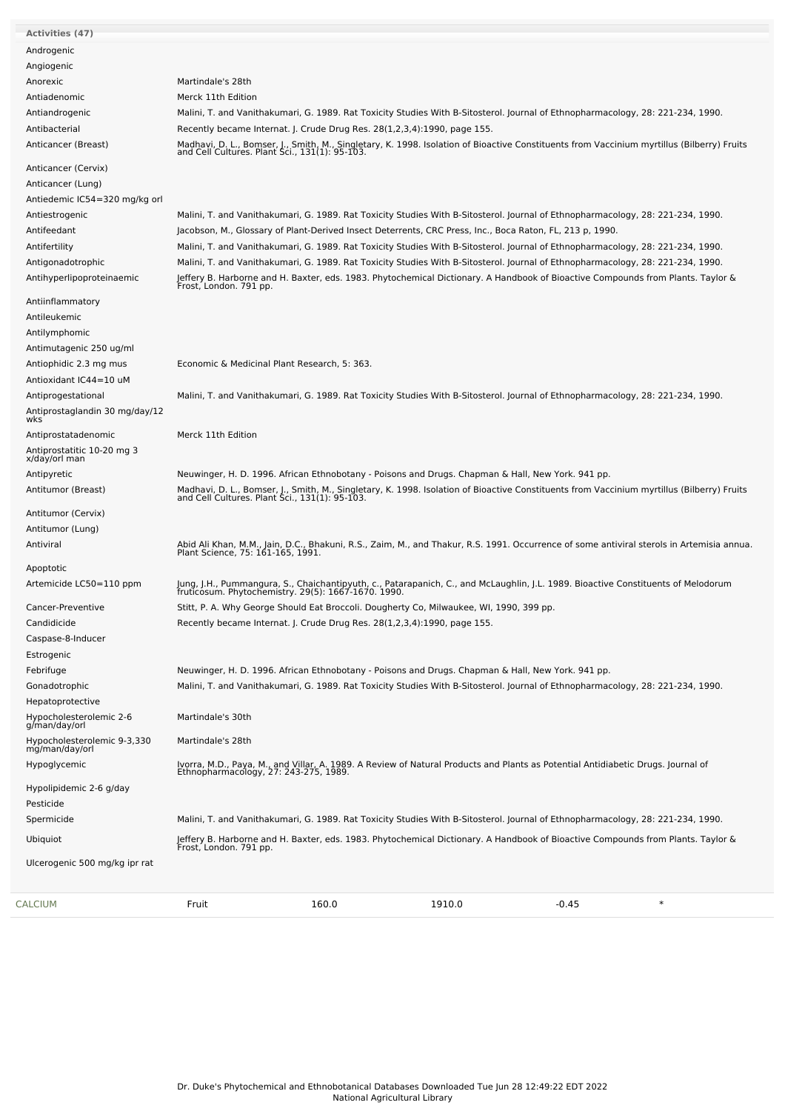| <b>Activities (47)</b>                           |                                              |       |                                                                                                                                                                                              |         |        |
|--------------------------------------------------|----------------------------------------------|-------|----------------------------------------------------------------------------------------------------------------------------------------------------------------------------------------------|---------|--------|
| Androgenic                                       |                                              |       |                                                                                                                                                                                              |         |        |
| Angiogenic                                       |                                              |       |                                                                                                                                                                                              |         |        |
| Anorexic                                         | Martindale's 28th                            |       |                                                                                                                                                                                              |         |        |
| Antiadenomic                                     | Merck 11th Edition                           |       |                                                                                                                                                                                              |         |        |
| Antiandrogenic                                   |                                              |       | Malini, T. and Vanithakumari, G. 1989. Rat Toxicity Studies With B-Sitosterol. Journal of Ethnopharmacology, 28: 221-234, 1990.                                                              |         |        |
| Antibacterial                                    |                                              |       | Recently became Internat. J. Crude Drug Res. 28(1,2,3,4):1990, page 155.                                                                                                                     |         |        |
| Anticancer (Breast)                              |                                              |       | Madhavi, D. L., Bomser, J., Smith, M., Singletary, K. 1998. Isolation of Bioactive Constituents from Vaccinium myrtillus (Bilberry) Fruits<br>and Cell Cultures. Plant Sci., 131(1): 95-103. |         |        |
| Anticancer (Cervix)                              |                                              |       |                                                                                                                                                                                              |         |        |
| Anticancer (Lung)                                |                                              |       |                                                                                                                                                                                              |         |        |
| Antiedemic IC54=320 mg/kg orl                    |                                              |       |                                                                                                                                                                                              |         |        |
| Antiestrogenic                                   |                                              |       | Malini, T. and Vanithakumari, G. 1989. Rat Toxicity Studies With B-Sitosterol. Journal of Ethnopharmacology, 28: 221-234, 1990.                                                              |         |        |
| Antifeedant                                      |                                              |       | Jacobson, M., Glossary of Plant-Derived Insect Deterrents, CRC Press, Inc., Boca Raton, FL, 213 p, 1990.                                                                                     |         |        |
| Antifertility                                    |                                              |       | Malini, T. and Vanithakumari, G. 1989. Rat Toxicity Studies With B-Sitosterol. Journal of Ethnopharmacology, 28: 221-234, 1990.                                                              |         |        |
| Antigonadotrophic                                |                                              |       | Malini, T. and Vanithakumari, G. 1989. Rat Toxicity Studies With B-Sitosterol. Journal of Ethnopharmacology, 28: 221-234, 1990.                                                              |         |        |
| Antihyperlipoproteinaemic                        |                                              |       | Jeffery B. Harborne and H. Baxter, eds. 1983. Phytochemical Dictionary. A Handbook of Bioactive Compounds from Plants. Taylor &<br>Frost, London. 791 pp.                                    |         |        |
| Antiinflammatory                                 |                                              |       |                                                                                                                                                                                              |         |        |
| Antileukemic                                     |                                              |       |                                                                                                                                                                                              |         |        |
| Antilymphomic                                    |                                              |       |                                                                                                                                                                                              |         |        |
| Antimutagenic 250 ug/ml                          |                                              |       |                                                                                                                                                                                              |         |        |
| Antiophidic 2.3 mg mus<br>Antioxidant IC44=10 uM | Economic & Medicinal Plant Research, 5: 363. |       |                                                                                                                                                                                              |         |        |
| Antiprogestational                               |                                              |       |                                                                                                                                                                                              |         |        |
| Antiprostaglandin 30 mg/day/12                   |                                              |       | Malini, T. and Vanithakumari, G. 1989. Rat Toxicity Studies With B-Sitosterol. Journal of Ethnopharmacology, 28: 221-234, 1990.                                                              |         |        |
| wks <sup>'</sup>                                 |                                              |       |                                                                                                                                                                                              |         |        |
| Antiprostatadenomic                              | Merck 11th Edition                           |       |                                                                                                                                                                                              |         |        |
| Antiprostatitic 10-20 mg 3<br>x/day/orl man      |                                              |       |                                                                                                                                                                                              |         |        |
| Antipyretic                                      |                                              |       | Neuwinger, H. D. 1996. African Ethnobotany - Poisons and Drugs. Chapman & Hall, New York. 941 pp.                                                                                            |         |        |
| Antitumor (Breast)                               |                                              |       | Madhavi, D. L., Bomser, J., Smith, M., Singletary, K. 1998. Isolation of Bioactive Constituents from Vaccinium myrtillus (Bilberry) Fruits<br>and Cell Cultures. Plant Sci., 131(1): 95-103. |         |        |
| Antitumor (Cervix)                               |                                              |       |                                                                                                                                                                                              |         |        |
| Antitumor (Lung)                                 |                                              |       |                                                                                                                                                                                              |         |        |
| Antiviral                                        |                                              |       | Abid Ali Khan, M.M., Jain, D.C., Bhakuni, R.S., Zaim, M., and Thakur, R.S. 1991. Occurrence of some antiviral sterols in Artemisia annua.<br>Plant Science, 75: 161-165, 1991.               |         |        |
| Apoptotic                                        |                                              |       |                                                                                                                                                                                              |         |        |
| Artemicide LC50=110 ppm                          |                                              |       | Jung, J.H., Pummangura, S., Chaichantipyuth, c., Patarapanich, C., and McLaughlin, J.L. 1989. Bioactive Constituents of Melodorum<br>fruticosum. Phytochemistry. 29(5): 1667-1670. 1990.     |         |        |
| Cancer-Preventive                                |                                              |       | Stitt, P. A. Why George Should Eat Broccoli. Dougherty Co, Milwaukee, WI, 1990, 399 pp.                                                                                                      |         |        |
| Candidicide                                      |                                              |       | Recently became Internat. J. Crude Drug Res. 28(1,2,3,4):1990, page 155.                                                                                                                     |         |        |
| Caspase-8-Inducer                                |                                              |       |                                                                                                                                                                                              |         |        |
| Estrogenic                                       |                                              |       |                                                                                                                                                                                              |         |        |
| Febrifuge                                        |                                              |       | Neuwinger, H. D. 1996. African Ethnobotany - Poisons and Drugs. Chapman & Hall, New York. 941 pp.                                                                                            |         |        |
| Gonadotrophic                                    |                                              |       | Malini, T. and Vanithakumari, G. 1989. Rat Toxicity Studies With B-Sitosterol. Journal of Ethnopharmacology, 28: 221-234, 1990.                                                              |         |        |
| Hepatoprotective                                 |                                              |       |                                                                                                                                                                                              |         |        |
| Hypocholesterolemic 2-6<br>g/man/day/orl         | Martindale's 30th                            |       |                                                                                                                                                                                              |         |        |
| Hypocholesterolemic 9-3,330<br>mg/man/day/orl    | Martindale's 28th                            |       |                                                                                                                                                                                              |         |        |
| Hypoglycemic                                     |                                              |       | Ivorra, M.D., Paya, M., and Villar, A. 1989. A Review of Natural Products and Plants as Potential Antidiabetic Drugs. Journal of<br>Ethnopharmacology, 27: 243-275, 1989.                    |         |        |
| Hypolipidemic 2-6 g/day                          |                                              |       |                                                                                                                                                                                              |         |        |
| Pesticide                                        |                                              |       |                                                                                                                                                                                              |         |        |
| Spermicide                                       |                                              |       | Malini, T. and Vanithakumari, G. 1989. Rat Toxicity Studies With B-Sitosterol. Journal of Ethnopharmacology, 28: 221-234, 1990.                                                              |         |        |
|                                                  |                                              |       |                                                                                                                                                                                              |         |        |
| Ubiquiot                                         |                                              |       | Jeffery B. Harborne and H. Baxter, eds. 1983. Phytochemical Dictionary. A Handbook of Bioactive Compounds from Plants. Taylor &<br>Frost, London. 791 pp.                                    |         |        |
| Ulcerogenic 500 mg/kg ipr rat                    |                                              |       |                                                                                                                                                                                              |         |        |
|                                                  |                                              |       |                                                                                                                                                                                              |         |        |
| CALCIUM                                          | Fruit                                        | 160.0 | 1910.0                                                                                                                                                                                       | $-0.45$ | $\ast$ |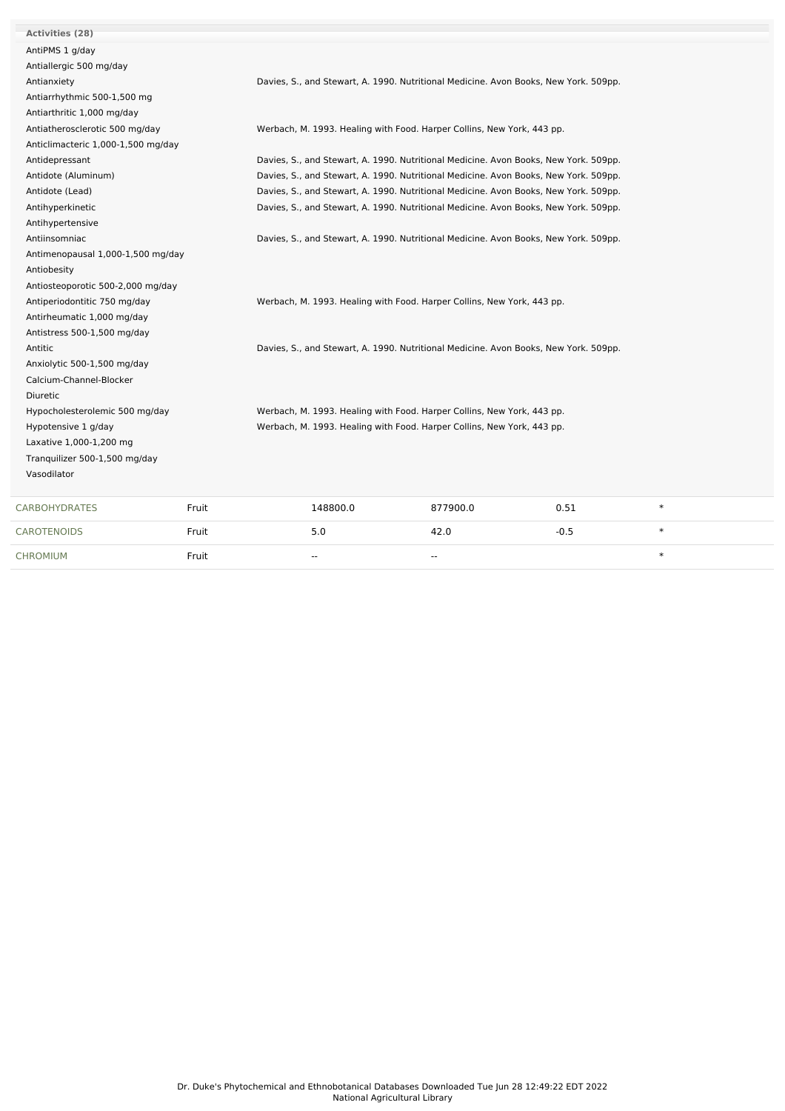| <b>Activities (28)</b>             |       |                                                                                      |          |        |        |  |  |
|------------------------------------|-------|--------------------------------------------------------------------------------------|----------|--------|--------|--|--|
| AntiPMS 1 g/day                    |       |                                                                                      |          |        |        |  |  |
| Antiallergic 500 mg/day            |       |                                                                                      |          |        |        |  |  |
| Antianxiety                        |       | Davies, S., and Stewart, A. 1990. Nutritional Medicine. Avon Books, New York. 509pp. |          |        |        |  |  |
| Antiarrhythmic 500-1,500 mg        |       |                                                                                      |          |        |        |  |  |
| Antiarthritic 1,000 mg/day         |       |                                                                                      |          |        |        |  |  |
| Antiatherosclerotic 500 mg/day     |       | Werbach, M. 1993. Healing with Food. Harper Collins, New York, 443 pp.               |          |        |        |  |  |
| Anticlimacteric 1,000-1,500 mg/day |       |                                                                                      |          |        |        |  |  |
| Antidepressant                     |       | Davies, S., and Stewart, A. 1990. Nutritional Medicine. Avon Books, New York. 509pp. |          |        |        |  |  |
| Antidote (Aluminum)                |       | Davies, S., and Stewart, A. 1990. Nutritional Medicine. Avon Books, New York. 509pp. |          |        |        |  |  |
| Antidote (Lead)                    |       | Davies, S., and Stewart, A. 1990. Nutritional Medicine. Avon Books, New York. 509pp. |          |        |        |  |  |
| Antihyperkinetic                   |       | Davies, S., and Stewart, A. 1990. Nutritional Medicine. Avon Books, New York. 509pp. |          |        |        |  |  |
| Antihypertensive                   |       |                                                                                      |          |        |        |  |  |
| Antiinsomniac                      |       | Davies, S., and Stewart, A. 1990. Nutritional Medicine. Avon Books, New York. 509pp. |          |        |        |  |  |
| Antimenopausal 1,000-1,500 mg/day  |       |                                                                                      |          |        |        |  |  |
| Antiobesity                        |       |                                                                                      |          |        |        |  |  |
| Antiosteoporotic 500-2,000 mg/day  |       |                                                                                      |          |        |        |  |  |
| Antiperiodontitic 750 mg/day       |       | Werbach, M. 1993. Healing with Food. Harper Collins, New York, 443 pp.               |          |        |        |  |  |
| Antirheumatic 1,000 mg/day         |       |                                                                                      |          |        |        |  |  |
| Antistress 500-1,500 mg/day        |       |                                                                                      |          |        |        |  |  |
| Antitic                            |       | Davies, S., and Stewart, A. 1990. Nutritional Medicine. Avon Books, New York. 509pp. |          |        |        |  |  |
| Anxiolytic 500-1,500 mg/day        |       |                                                                                      |          |        |        |  |  |
| Calcium-Channel-Blocker            |       |                                                                                      |          |        |        |  |  |
| Diuretic                           |       |                                                                                      |          |        |        |  |  |
| Hypocholesterolemic 500 mg/day     |       | Werbach, M. 1993. Healing with Food. Harper Collins, New York, 443 pp.               |          |        |        |  |  |
| Hypotensive 1 g/day                |       | Werbach, M. 1993. Healing with Food. Harper Collins, New York, 443 pp.               |          |        |        |  |  |
| Laxative 1,000-1,200 mg            |       |                                                                                      |          |        |        |  |  |
| Tranquilizer 500-1,500 mg/day      |       |                                                                                      |          |        |        |  |  |
| Vasodilator                        |       |                                                                                      |          |        |        |  |  |
| <b>CARBOHYDRATES</b>               | Fruit | 148800.0                                                                             | 877900.0 | 0.51   | $\ast$ |  |  |
| <b>CAROTENOIDS</b>                 | Fruit | 5.0                                                                                  | 42.0     | $-0.5$ | $\ast$ |  |  |
| CHROMIUM                           | Fruit | $\overline{a}$                                                                       | $-$      |        | $\ast$ |  |  |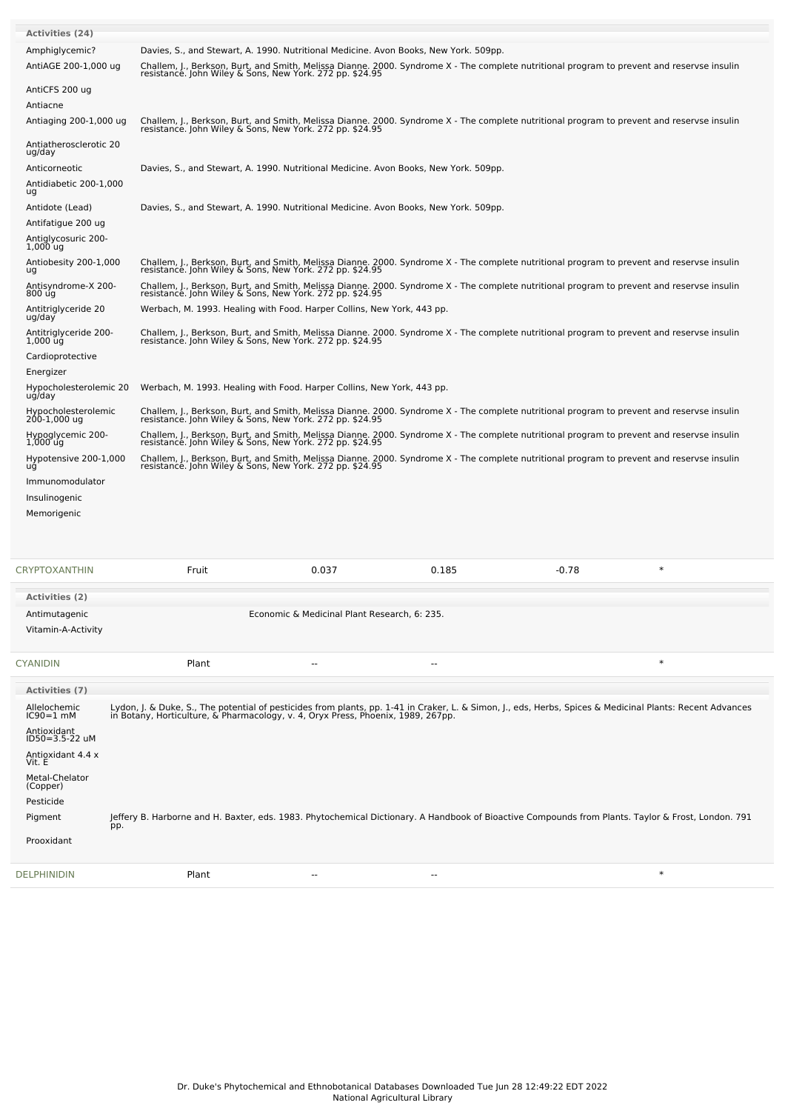| Activities (24)                                          |                                                                                                                                                                                                                                  |                                              |       |                                                                                                                                            |        |
|----------------------------------------------------------|----------------------------------------------------------------------------------------------------------------------------------------------------------------------------------------------------------------------------------|----------------------------------------------|-------|--------------------------------------------------------------------------------------------------------------------------------------------|--------|
| Amphiglycemic?<br>AntiAGE 200-1,000 ug                   | Davies, S., and Stewart, A. 1990. Nutritional Medicine. Avon Books, New York. 509pp.                                                                                                                                             |                                              |       | Challem, J., Berkson, Burt, and Smith, Melissa Dianne. 2000. Syndrome X - The complete nutritional program to prevent and reservse insulin |        |
|                                                          | resistance. John Wiley & Sons, New York. 272 pp. \$24.95                                                                                                                                                                         |                                              |       |                                                                                                                                            |        |
| AntiCFS 200 ug<br>Antiacne                               |                                                                                                                                                                                                                                  |                                              |       |                                                                                                                                            |        |
| Antiaging 200-1,000 ug                                   |                                                                                                                                                                                                                                  |                                              |       | Challem, J., Berkson, Burt, and Smith, Melissa Dianne. 2000. Syndrome X - The complete nutritional program to prevent and reservse insulin |        |
|                                                          | resistance. John Wiley & Sons, New York. 272 pp. \$24.95                                                                                                                                                                         |                                              |       |                                                                                                                                            |        |
| Antiatherosclerotic 20<br>ug/day                         |                                                                                                                                                                                                                                  |                                              |       |                                                                                                                                            |        |
| Anticorneotic                                            | Davies, S., and Stewart, A. 1990. Nutritional Medicine. Avon Books, New York. 509pp.                                                                                                                                             |                                              |       |                                                                                                                                            |        |
| Antidiabetic 200-1,000<br>ug                             |                                                                                                                                                                                                                                  |                                              |       |                                                                                                                                            |        |
| Antidote (Lead)                                          | Davies, S., and Stewart, A. 1990. Nutritional Medicine. Avon Books, New York. 509pp.                                                                                                                                             |                                              |       |                                                                                                                                            |        |
| Antifatigue 200 ug<br>Antiglycosuric 200-                |                                                                                                                                                                                                                                  |                                              |       |                                                                                                                                            |        |
| $1,000$ ug                                               |                                                                                                                                                                                                                                  |                                              |       |                                                                                                                                            |        |
| Antiobesity 200-1,000<br>ug                              | resistance. John Wiley & Sons, New York. 272 pp. \$24.95                                                                                                                                                                         |                                              |       | Challem, J., Berkson, Burt, and Smith, Melissa Dianne. 2000. Syndrome X - The complete nutritional program to prevent and reservse insulin |        |
| Antisyndrome-X 200-<br>800 ug                            | resistance. John Wiley & Sons, New York. 272 pp. \$24.95                                                                                                                                                                         |                                              |       | Challem, J., Berkson, Burt, and Smith, Melissa Dianne. 2000. Syndrome X - The complete nutritional program to prevent and reservse insulin |        |
| Antitriglyceride 20                                      | Werbach, M. 1993. Healing with Food. Harper Collins, New York, 443 pp.                                                                                                                                                           |                                              |       |                                                                                                                                            |        |
| ug/day<br>Antitriglyceride 200-                          |                                                                                                                                                                                                                                  |                                              |       | Challem, J., Berkson, Burt, and Smith, Melissa Dianne. 2000. Syndrome X - The complete nutritional program to prevent and reservse insulin |        |
| $1,000$ $\bar{u}\dot{q}$                                 | resistance. John Wiley & Sons, New York. 272 pp. \$24.95                                                                                                                                                                         |                                              |       |                                                                                                                                            |        |
| Cardioprotective<br>Energizer                            |                                                                                                                                                                                                                                  |                                              |       |                                                                                                                                            |        |
| Hypocholesterolemic 20                                   | Werbach, M. 1993. Healing with Food. Harper Collins, New York, 443 pp.                                                                                                                                                           |                                              |       |                                                                                                                                            |        |
| ug/day                                                   |                                                                                                                                                                                                                                  |                                              |       | Challem, J., Berkson, Burt, and Smith, Melissa Dianne. 2000. Syndrome X - The complete nutritional program to prevent and reservse insulin |        |
| Hypocholesterolemic<br>200-1,000 ug<br>Hypoglycemic 200- | resistance. John Wiley & Sons, New York. 272 pp. \$24.95                                                                                                                                                                         |                                              |       | Challem, J., Berkson, Burt, and Smith, Melissa Dianne. 2000. Syndrome X - The complete nutritional program to prevent and reservse insulin |        |
| $1,000$ ug                                               | resistance. John Wiley & Sons, New York. 272 pp. \$24.95                                                                                                                                                                         |                                              |       |                                                                                                                                            |        |
| Hypotensive 200-1,000<br>ug                              | resistance. John Wiley & Sons, New York. 272 pp. \$24.95                                                                                                                                                                         |                                              |       | Challem, J., Berkson, Burt, and Smith, Melissa Dianne. 2000. Syndrome X - The complete nutritional program to prevent and reservse insulin |        |
| Immunomodulator                                          |                                                                                                                                                                                                                                  |                                              |       |                                                                                                                                            |        |
| Insulinogenic                                            |                                                                                                                                                                                                                                  |                                              |       |                                                                                                                                            |        |
| Memorigenic                                              |                                                                                                                                                                                                                                  |                                              |       |                                                                                                                                            |        |
|                                                          |                                                                                                                                                                                                                                  |                                              |       |                                                                                                                                            |        |
| <b>CRYPTOXANTHIN</b>                                     | Fruit                                                                                                                                                                                                                            | 0.037                                        | 0.185 | $-0.78$                                                                                                                                    | $\ast$ |
| <b>Activities (2)</b>                                    |                                                                                                                                                                                                                                  |                                              |       |                                                                                                                                            |        |
| Antimutagenic                                            |                                                                                                                                                                                                                                  | Economic & Medicinal Plant Research, 6: 235. |       |                                                                                                                                            |        |
| Vitamin-A-Activity                                       |                                                                                                                                                                                                                                  |                                              |       |                                                                                                                                            |        |
| <b>CYANIDIN</b>                                          | Plant                                                                                                                                                                                                                            |                                              | ۵.    |                                                                                                                                            | $\ast$ |
|                                                          |                                                                                                                                                                                                                                  |                                              |       |                                                                                                                                            |        |
| <b>Activities (7)</b><br>Allelochemic                    |                                                                                                                                                                                                                                  |                                              |       |                                                                                                                                            |        |
| $IC90=1$ mM                                              | Lydon, J. & Duke, S., The potential of pesticides from plants, pp. 1-41 in Craker, L. & Simon, J., eds, Herbs, Spices & Medicinal Plants: Recent Advances<br>in Botany, Horticulture, & Pharmacology, v. 4, Oryx Press, Phoenix, |                                              |       |                                                                                                                                            |        |
| Antioxidant<br>ID50=3.5-22 uM                            |                                                                                                                                                                                                                                  |                                              |       |                                                                                                                                            |        |
| Antioxidant 4.4 x<br>Vit. E                              |                                                                                                                                                                                                                                  |                                              |       |                                                                                                                                            |        |
| Metal-Chelator<br>(Copper)                               |                                                                                                                                                                                                                                  |                                              |       |                                                                                                                                            |        |
| Pesticide                                                |                                                                                                                                                                                                                                  |                                              |       |                                                                                                                                            |        |
| Pigment<br>pp.                                           | Jeffery B. Harborne and H. Baxter, eds. 1983. Phytochemical Dictionary. A Handbook of Bioactive Compounds from Plants. Taylor & Frost, London. 791                                                                               |                                              |       |                                                                                                                                            |        |
| Prooxidant                                               |                                                                                                                                                                                                                                  |                                              |       |                                                                                                                                            |        |
|                                                          |                                                                                                                                                                                                                                  |                                              |       |                                                                                                                                            |        |
| <b>DELPHINIDIN</b>                                       | Plant                                                                                                                                                                                                                            | $\overline{\phantom{a}}$                     | --    |                                                                                                                                            | $\ast$ |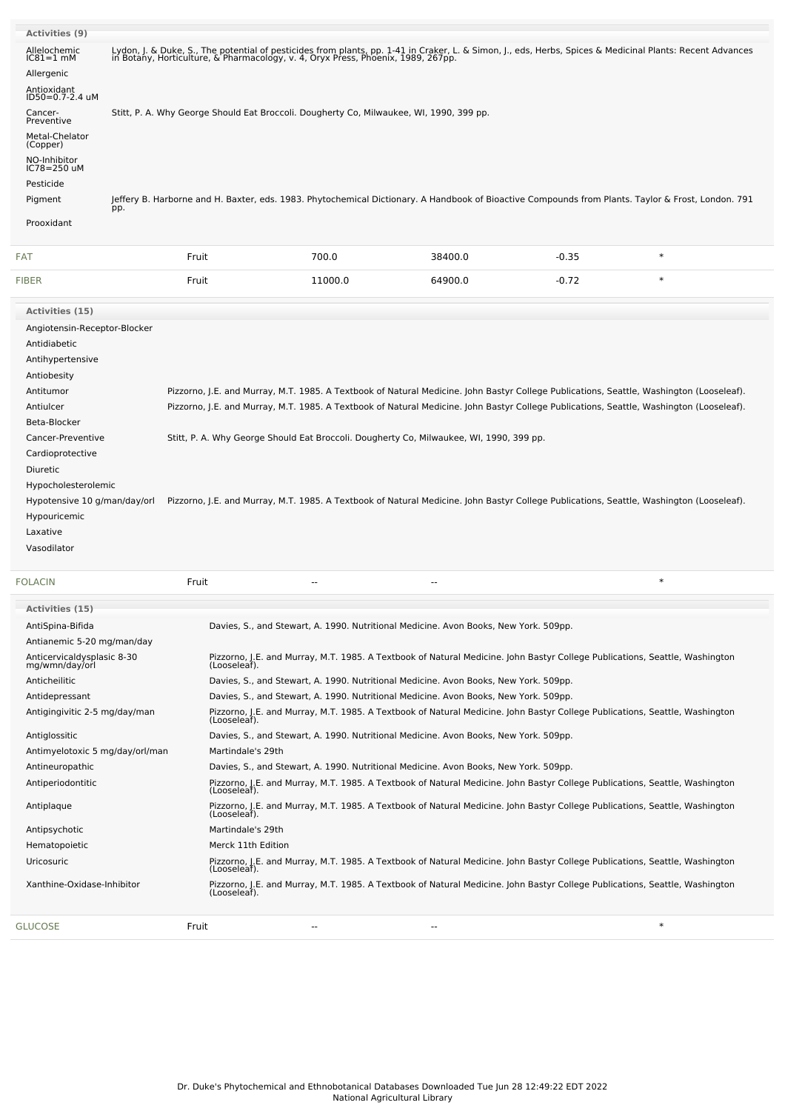| Activities (9)                 |     |       |                                                                                         |                          |         |                                                                                                                                                                                                                                  |
|--------------------------------|-----|-------|-----------------------------------------------------------------------------------------|--------------------------|---------|----------------------------------------------------------------------------------------------------------------------------------------------------------------------------------------------------------------------------------|
| Allelochemic<br>$IC81 = 1$ mM  |     |       |                                                                                         |                          |         | Lydon, J. & Duke, S., The potential of pesticides from plants, pp. 1-41 in Craker, L. & Simon, J., eds, Herbs, Spices & Medicinal Plants: Recent Advances<br>in Botany, Horticulture, & Pharmacology, v. 4, Oryx Press, Phoenix, |
| Allergenic                     |     |       |                                                                                         |                          |         |                                                                                                                                                                                                                                  |
| Antioxidant<br>ID50=0.7-2.4 uM |     |       |                                                                                         |                          |         |                                                                                                                                                                                                                                  |
| Cancer-<br>Preventive          |     |       | Stitt, P. A. Why George Should Eat Broccoli. Dougherty Co, Milwaukee, WI, 1990, 399 pp. |                          |         |                                                                                                                                                                                                                                  |
| Metal-Chelator<br>(Copper)     |     |       |                                                                                         |                          |         |                                                                                                                                                                                                                                  |
| NO-Inhibitor<br>IC78=250 uM    |     |       |                                                                                         |                          |         |                                                                                                                                                                                                                                  |
| Pesticide                      |     |       |                                                                                         |                          |         |                                                                                                                                                                                                                                  |
| Pigment                        | pp. |       |                                                                                         |                          |         | Jeffery B. Harborne and H. Baxter, eds. 1983. Phytochemical Dictionary. A Handbook of Bioactive Compounds from Plants. Taylor & Frost, London. 791                                                                               |
| Prooxidant                     |     |       |                                                                                         |                          |         |                                                                                                                                                                                                                                  |
| FAT                            |     | Fruit | 700.0                                                                                   | 38400.0                  | $-0.35$ | $\ast$                                                                                                                                                                                                                           |
| <b>FIBER</b>                   |     | Fruit | 11000.0                                                                                 | 64900.0                  | $-0.72$ | $\ast$                                                                                                                                                                                                                           |
| Activities (15)                |     |       |                                                                                         |                          |         |                                                                                                                                                                                                                                  |
| Angiotensin-Receptor-Blocker   |     |       |                                                                                         |                          |         |                                                                                                                                                                                                                                  |
| Antidiabetic                   |     |       |                                                                                         |                          |         |                                                                                                                                                                                                                                  |
| Antihypertensive               |     |       |                                                                                         |                          |         |                                                                                                                                                                                                                                  |
| Antiobesity                    |     |       |                                                                                         |                          |         |                                                                                                                                                                                                                                  |
| Antitumor                      |     |       |                                                                                         |                          |         | Pizzorno, J.E. and Murray, M.T. 1985. A Textbook of Natural Medicine. John Bastyr College Publications, Seattle, Washington (Looseleaf).                                                                                         |
| Antiulcer                      |     |       |                                                                                         |                          |         | Pizzorno, J.E. and Murray, M.T. 1985. A Textbook of Natural Medicine. John Bastyr College Publications, Seattle, Washington (Looseleaf).                                                                                         |
| Beta-Blocker                   |     |       |                                                                                         |                          |         |                                                                                                                                                                                                                                  |
| Cancer-Preventive              |     |       | Stitt, P. A. Why George Should Eat Broccoli. Dougherty Co, Milwaukee, WI, 1990, 399 pp. |                          |         |                                                                                                                                                                                                                                  |
| Cardioprotective               |     |       |                                                                                         |                          |         |                                                                                                                                                                                                                                  |
| <b>Diuretic</b>                |     |       |                                                                                         |                          |         |                                                                                                                                                                                                                                  |
| Hypocholesterolemic            |     |       |                                                                                         |                          |         |                                                                                                                                                                                                                                  |
| Hypotensive 10 g/man/day/orl   |     |       |                                                                                         |                          |         | Pizzorno, J.E. and Murray, M.T. 1985. A Textbook of Natural Medicine. John Bastyr College Publications, Seattle, Washington (Looseleaf).                                                                                         |
| Hypouricemic                   |     |       |                                                                                         |                          |         |                                                                                                                                                                                                                                  |
| Laxative                       |     |       |                                                                                         |                          |         |                                                                                                                                                                                                                                  |
| Vasodilator                    |     |       |                                                                                         |                          |         |                                                                                                                                                                                                                                  |
| <b>FOLACIN</b>                 |     | Fruit | $\overline{\phantom{a}}$                                                                | $\overline{\phantom{a}}$ |         | $\ast$                                                                                                                                                                                                                           |
| <b>Activities (15)</b>         |     |       |                                                                                         |                          |         |                                                                                                                                                                                                                                  |
| AntiSpina-Bifida               |     |       | Davies, S., and Stewart, A. 1990. Nutritional Medicine. Avon Books, New York. 509pp.    |                          |         |                                                                                                                                                                                                                                  |
| Antianemic 5-20 mg/man/day     |     |       |                                                                                         |                          |         |                                                                                                                                                                                                                                  |

| Antianemic 5-20 mg/man/day                   |                                                                                                                                             |
|----------------------------------------------|---------------------------------------------------------------------------------------------------------------------------------------------|
| Anticervicaldysplasic 8-30<br>mg/wmn/day/orl | Pizzorno, J.E. and Murray, M.T. 1985. A Textbook of Natural Medicine. John Bastyr College Publications, Seattle, Washington<br>(Looseleaf). |
| Anticheilitic                                | Davies, S., and Stewart, A. 1990. Nutritional Medicine. Avon Books, New York. 509pp.                                                        |
| Antidepressant                               | Davies, S., and Stewart, A. 1990. Nutritional Medicine. Avon Books, New York. 509pp.                                                        |
| Antigingivitic 2-5 mg/day/man                | Pizzorno, J.E. and Murray, M.T. 1985. A Textbook of Natural Medicine. John Bastyr College Publications, Seattle, Washington<br>(Looseleaf). |
| Antiglossitic                                | Davies, S., and Stewart, A. 1990. Nutritional Medicine. Avon Books, New York. 509pp.                                                        |
| Antimyelotoxic 5 mg/day/orl/man              | Martindale's 29th                                                                                                                           |
| Antineuropathic                              | Davies, S., and Stewart, A. 1990. Nutritional Medicine. Avon Books, New York. 509pp.                                                        |
| Antiperiodontitic                            | Pizzorno, J.E. and Murray, M.T. 1985. A Textbook of Natural Medicine. John Bastyr College Publications, Seattle, Washington<br>(Looseleaf). |
| Antiplaque                                   | Pizzorno, J.E. and Murray, M.T. 1985. A Textbook of Natural Medicine. John Bastyr College Publications, Seattle, Washington<br>(Looseleaf). |
| Antipsychotic                                | Martindale's 29th                                                                                                                           |
| Hematopoietic                                | Merck 11th Edition                                                                                                                          |
| <b>Uricosuric</b>                            | Pizzorno, J.E. and Murray, M.T. 1985. A Textbook of Natural Medicine. John Bastyr College Publications, Seattle, Washington<br>(Looseleaf). |
| Xanthine-Oxidase-Inhibitor                   | Pizzorno, J.E. and Murray, M.T. 1985. A Textbook of Natural Medicine. John Bastyr College Publications, Seattle, Washington<br>(Looseleaf). |
| GLUCOSE                                      | $\ast$<br>Fruit<br>--                                                                                                                       |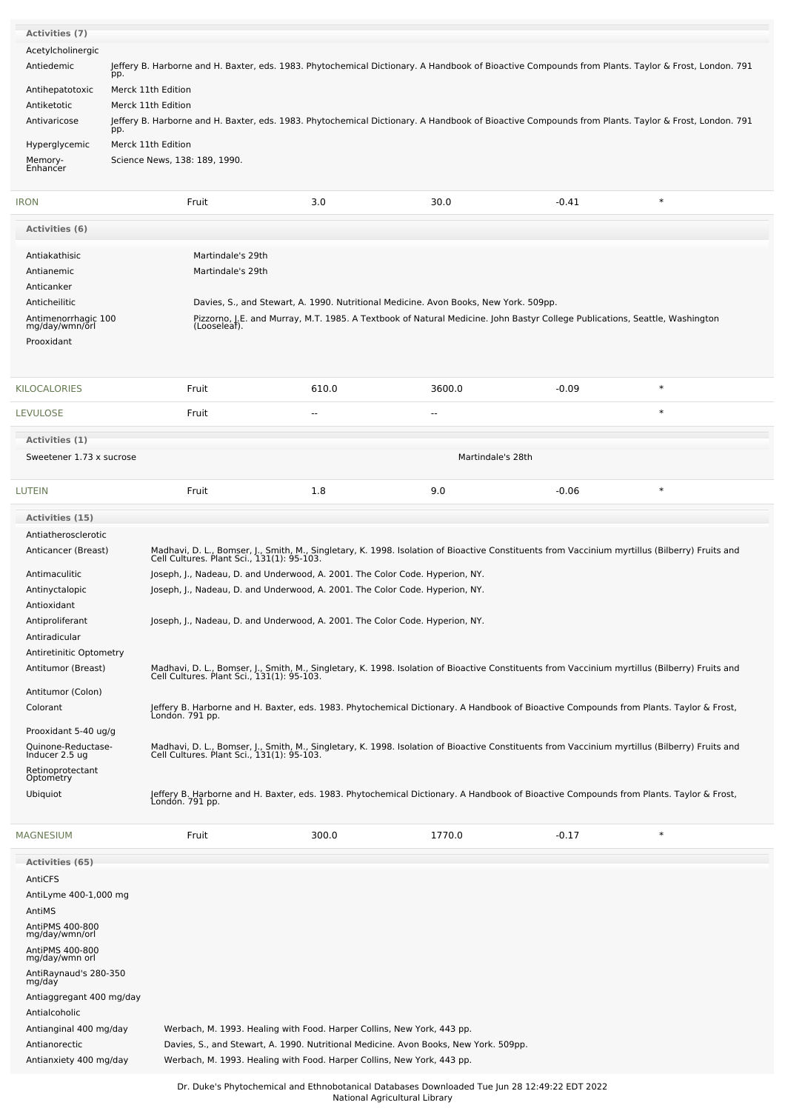| <b>Activities (7)</b><br>Acetylcholinergic<br>Antiedemic                                                                                                                                                                                                                                                                        | Jeffery B. Harborne and H. Baxter, eds. 1983. Phytochemical Dictionary. A Handbook of Bioactive Compounds from Plants. Taylor & Frost, London. 791<br>pp. |                                                                                                                                                                                                                                                                                                                                                                                                                                                                                                                                                                                                                                                                                                                                                                                                                                                                                                                                                                                                                                                                                                                                  |                                                                                                                                                                                                                     |         |        |  |
|---------------------------------------------------------------------------------------------------------------------------------------------------------------------------------------------------------------------------------------------------------------------------------------------------------------------------------|-----------------------------------------------------------------------------------------------------------------------------------------------------------|----------------------------------------------------------------------------------------------------------------------------------------------------------------------------------------------------------------------------------------------------------------------------------------------------------------------------------------------------------------------------------------------------------------------------------------------------------------------------------------------------------------------------------------------------------------------------------------------------------------------------------------------------------------------------------------------------------------------------------------------------------------------------------------------------------------------------------------------------------------------------------------------------------------------------------------------------------------------------------------------------------------------------------------------------------------------------------------------------------------------------------|---------------------------------------------------------------------------------------------------------------------------------------------------------------------------------------------------------------------|---------|--------|--|
| Antihepatotoxic<br>Antiketotic                                                                                                                                                                                                                                                                                                  | Merck 11th Edition<br>Merck 11th Edition                                                                                                                  |                                                                                                                                                                                                                                                                                                                                                                                                                                                                                                                                                                                                                                                                                                                                                                                                                                                                                                                                                                                                                                                                                                                                  |                                                                                                                                                                                                                     |         |        |  |
| Antivaricose                                                                                                                                                                                                                                                                                                                    | Jeffery B. Harborne and H. Baxter, eds. 1983. Phytochemical Dictionary. A Handbook of Bioactive Compounds from Plants. Taylor & Frost, London. 791<br>pp. |                                                                                                                                                                                                                                                                                                                                                                                                                                                                                                                                                                                                                                                                                                                                                                                                                                                                                                                                                                                                                                                                                                                                  |                                                                                                                                                                                                                     |         |        |  |
| Hyperglycemic<br>Memory-<br>Enhancer                                                                                                                                                                                                                                                                                            | Merck 11th Edition<br>Science News, 138: 189, 1990.                                                                                                       |                                                                                                                                                                                                                                                                                                                                                                                                                                                                                                                                                                                                                                                                                                                                                                                                                                                                                                                                                                                                                                                                                                                                  |                                                                                                                                                                                                                     |         |        |  |
| <b>IRON</b>                                                                                                                                                                                                                                                                                                                     | Fruit                                                                                                                                                     | 3.0                                                                                                                                                                                                                                                                                                                                                                                                                                                                                                                                                                                                                                                                                                                                                                                                                                                                                                                                                                                                                                                                                                                              | 30.0                                                                                                                                                                                                                | $-0.41$ | $\ast$ |  |
| Activities (6)                                                                                                                                                                                                                                                                                                                  |                                                                                                                                                           |                                                                                                                                                                                                                                                                                                                                                                                                                                                                                                                                                                                                                                                                                                                                                                                                                                                                                                                                                                                                                                                                                                                                  |                                                                                                                                                                                                                     |         |        |  |
| Antiakathisic<br>Antianemic<br>Anticanker<br>Anticheilitic<br>Antimenorrhagic 100<br>mg/day/wmn/orl<br>Prooxidant                                                                                                                                                                                                               | Martindale's 29th<br>Martindale's 29th<br>(Looseleaf).                                                                                                    |                                                                                                                                                                                                                                                                                                                                                                                                                                                                                                                                                                                                                                                                                                                                                                                                                                                                                                                                                                                                                                                                                                                                  | Davies, S., and Stewart, A. 1990. Nutritional Medicine. Avon Books, New York. 509pp.<br>Pizzorno, J.E. and Murray, M.T. 1985. A Textbook of Natural Medicine. John Bastyr College Publications, Seattle, Washington |         |        |  |
| <b>KILOCALORIES</b>                                                                                                                                                                                                                                                                                                             | Fruit                                                                                                                                                     | 610.0                                                                                                                                                                                                                                                                                                                                                                                                                                                                                                                                                                                                                                                                                                                                                                                                                                                                                                                                                                                                                                                                                                                            | 3600.0                                                                                                                                                                                                              | $-0.09$ | $\ast$ |  |
| LEVULOSE                                                                                                                                                                                                                                                                                                                        | Fruit                                                                                                                                                     | $\overline{a}$                                                                                                                                                                                                                                                                                                                                                                                                                                                                                                                                                                                                                                                                                                                                                                                                                                                                                                                                                                                                                                                                                                                   | $\sim$                                                                                                                                                                                                              |         | $\ast$ |  |
| Activities (1)                                                                                                                                                                                                                                                                                                                  |                                                                                                                                                           |                                                                                                                                                                                                                                                                                                                                                                                                                                                                                                                                                                                                                                                                                                                                                                                                                                                                                                                                                                                                                                                                                                                                  |                                                                                                                                                                                                                     |         |        |  |
| Sweetener 1.73 x sucrose                                                                                                                                                                                                                                                                                                        |                                                                                                                                                           |                                                                                                                                                                                                                                                                                                                                                                                                                                                                                                                                                                                                                                                                                                                                                                                                                                                                                                                                                                                                                                                                                                                                  | Martindale's 28th                                                                                                                                                                                                   |         |        |  |
| LUTEIN                                                                                                                                                                                                                                                                                                                          | Fruit                                                                                                                                                     | 1.8                                                                                                                                                                                                                                                                                                                                                                                                                                                                                                                                                                                                                                                                                                                                                                                                                                                                                                                                                                                                                                                                                                                              | 9.0                                                                                                                                                                                                                 | $-0.06$ | $\ast$ |  |
| Antiatherosclerotic<br>Anticancer (Breast)<br>Antimaculitic<br>Antinyctalopic<br>Antioxidant<br>Antiproliferant<br>Antiradicular<br>Antiretinitic Optometry<br>Antitumor (Breast)<br>Antitumor (Colon)<br>Colorant<br>Prooxidant 5-40 ug/g<br>Quinone-Reductase-<br>Inducer 2.5 ug<br>Retinoprotectant<br>Optometry<br>Ubiquiot | Londón. 791 pp.<br>Londón. 791 pp.                                                                                                                        | Madhavi, D. L., Bomser, J., Smith, M., Singletary, K. 1998. Isolation of Bioactive Constituents from Vaccinium myrtillus (Bilberry) Fruits and<br>Cell Cultures. Plant Sci., 131(1): 95-103.<br>Joseph, J., Nadeau, D. and Underwood, A. 2001. The Color Code. Hyperion, NY.<br>Joseph, J., Nadeau, D. and Underwood, A. 2001. The Color Code. Hyperion, NY.<br>Joseph, J., Nadeau, D. and Underwood, A. 2001. The Color Code. Hyperion, NY.<br>Madhavi, D. L., Bomser, J., Smith, M., Singletary, K. 1998. Isolation of Bioactive Constituents from Vaccinium myrtillus (Bilberry) Fruits and<br>Cell Cultures. Plant Sci., 131(1): 95-103.<br>Jeffery B. Harborne and H. Baxter, eds. 1983. Phytochemical Dictionary. A Handbook of Bioactive Compounds from Plants. Taylor & Frost,<br>Madhavi, D. L., Bomser, J., Smith, M., Singletary, K. 1998. Isolation of Bioactive Constituents from Vaccinium myrtillus (Bilberry) Fruits and<br>Cell Cultures. Plant Sci., 131(1): 95-103.<br>Jeffery B. Harborne and H. Baxter, eds. 1983. Phytochemical Dictionary. A Handbook of Bioactive Compounds from Plants. Taylor & Frost, |                                                                                                                                                                                                                     |         |        |  |
| <b>MAGNESIUM</b>                                                                                                                                                                                                                                                                                                                | Fruit                                                                                                                                                     | 300.0                                                                                                                                                                                                                                                                                                                                                                                                                                                                                                                                                                                                                                                                                                                                                                                                                                                                                                                                                                                                                                                                                                                            | 1770.0                                                                                                                                                                                                              | $-0.17$ | $\ast$ |  |
| Activities (65)<br>AntiCFS<br>AntiLyme 400-1,000 mg<br>AntiMS<br>AntiPMS 400-800<br>mg/day/wmn/orl<br>AntiPMS 400-800<br>mg/day/wmn orl<br>AntiRaynaud's 280-350<br>mg/day<br>Antiaggregant 400 mg/day<br>Antialcoholic<br>Antianginal 400 mg/day<br>Antianorectic<br>Antianxiety 400 mg/day                                    |                                                                                                                                                           | Werbach, M. 1993. Healing with Food. Harper Collins, New York, 443 pp.<br>Werbach, M. 1993. Healing with Food. Harper Collins, New York, 443 pp.                                                                                                                                                                                                                                                                                                                                                                                                                                                                                                                                                                                                                                                                                                                                                                                                                                                                                                                                                                                 | Davies, S., and Stewart, A. 1990. Nutritional Medicine. Avon Books, New York. 509pp.                                                                                                                                |         |        |  |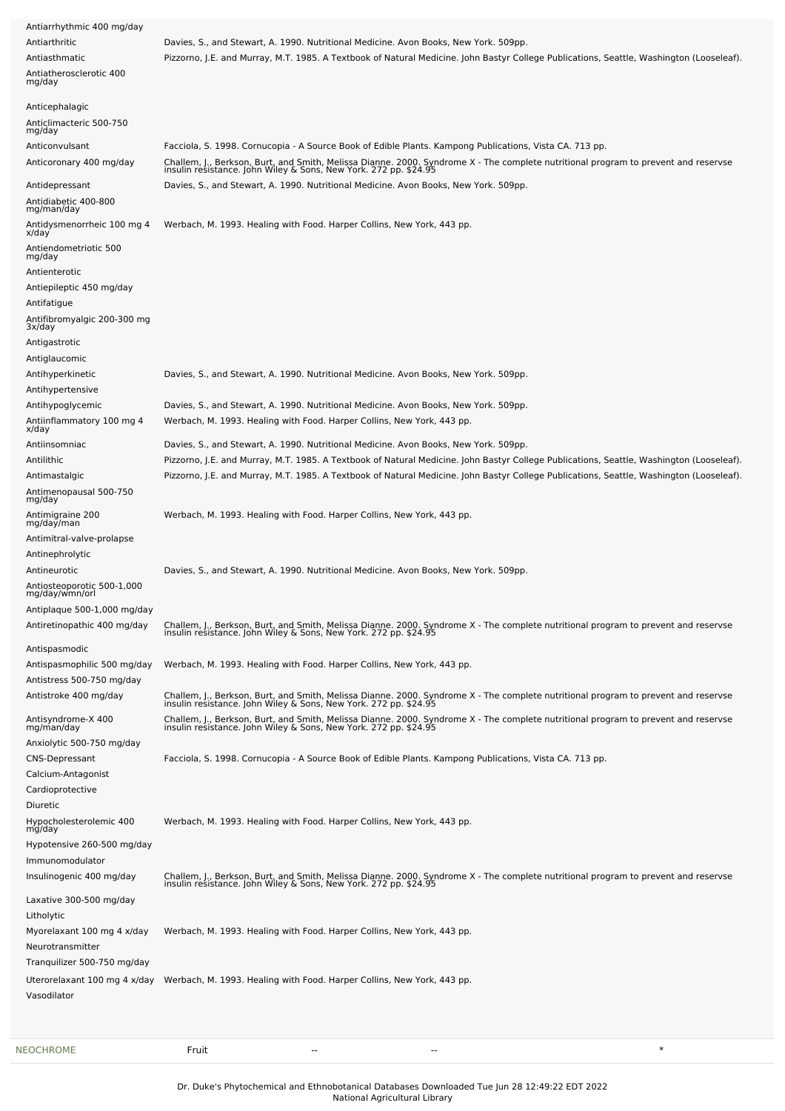| Antiarrhythmic 400 mg/day                    |                                                                                                                                                                                                        |
|----------------------------------------------|--------------------------------------------------------------------------------------------------------------------------------------------------------------------------------------------------------|
| Antiarthritic                                | Davies, S., and Stewart, A. 1990. Nutritional Medicine. Avon Books, New York. 509pp.                                                                                                                   |
| Antiasthmatic                                | Pizzorno, J.E. and Murray, M.T. 1985. A Textbook of Natural Medicine. John Bastyr College Publications, Seattle, Washington (Looseleaf).                                                               |
| Antiatherosclerotic 400<br>mg/day            |                                                                                                                                                                                                        |
| Anticephalagic                               |                                                                                                                                                                                                        |
| Anticlimacteric 500-750                      |                                                                                                                                                                                                        |
| mg/day                                       |                                                                                                                                                                                                        |
| Anticonvulsant                               | Facciola, S. 1998. Cornucopia - A Source Book of Edible Plants. Kampong Publications, Vista CA. 713 pp.                                                                                                |
| Anticoronary 400 mg/day                      | Challem, J., Berkson, Burt, and Smith, Melissa Dianne. 2000. Syndrome X - The complete nutritional program to prevent and reservse<br>insulin resistance. John Wiley & Sons, New York. 272 pp. \$24.95 |
| Antidepressant                               | Davies, S., and Stewart, A. 1990. Nutritional Medicine. Avon Books, New York. 509pp.                                                                                                                   |
| Antidiabetic 400-800<br>mg/man/day           |                                                                                                                                                                                                        |
| Antidysmenorrheic 100 mg 4<br>x/day          | Werbach, M. 1993. Healing with Food. Harper Collins, New York, 443 pp.                                                                                                                                 |
| Antiendometriotic 500                        |                                                                                                                                                                                                        |
| mg/day                                       |                                                                                                                                                                                                        |
| Antienterotic                                |                                                                                                                                                                                                        |
| Antiepileptic 450 mg/day                     |                                                                                                                                                                                                        |
| Antifatigue                                  |                                                                                                                                                                                                        |
| Antifibromyalgic 200-300 mg<br>3x/day        |                                                                                                                                                                                                        |
| Antigastrotic                                |                                                                                                                                                                                                        |
| Antiglaucomic                                |                                                                                                                                                                                                        |
| Antihyperkinetic                             | Davies, S., and Stewart, A. 1990. Nutritional Medicine. Avon Books, New York. 509pp.                                                                                                                   |
| Antihypertensive                             |                                                                                                                                                                                                        |
| Antihypoglycemic                             | Davies, S., and Stewart, A. 1990. Nutritional Medicine. Avon Books, New York. 509pp.                                                                                                                   |
| Antiinflammatory 100 mg 4<br>x/day           | Werbach, M. 1993. Healing with Food. Harper Collins, New York, 443 pp.                                                                                                                                 |
| Antiinsomniac                                | Davies, S., and Stewart, A. 1990. Nutritional Medicine. Avon Books, New York. 509pp.                                                                                                                   |
| Antilithic                                   | Pizzorno, J.E. and Murray, M.T. 1985. A Textbook of Natural Medicine. John Bastyr College Publications, Seattle, Washington (Looseleaf)                                                                |
| Antimastalgic                                | Pizzorno, J.E. and Murray, M.T. 1985. A Textbook of Natural Medicine. John Bastyr College Publications, Seattle, Washington (Looseleaf).                                                               |
| Antimenopausal 500-750                       |                                                                                                                                                                                                        |
| mg/day<br>Antimigraine 200                   | Werbach, M. 1993. Healing with Food. Harper Collins, New York, 443 pp.                                                                                                                                 |
| mg/day/man                                   |                                                                                                                                                                                                        |
| Antimitral-valve-prolapse                    |                                                                                                                                                                                                        |
| Antinephrolytic                              |                                                                                                                                                                                                        |
| Antineurotic                                 | Davies, S., and Stewart, A. 1990. Nutritional Medicine. Avon Books, New York. 509pp.                                                                                                                   |
| Antiosteoporotic 500-1,000<br>mg/day/wmn/orl |                                                                                                                                                                                                        |
| Antiplaque 500-1.000 mg/day                  |                                                                                                                                                                                                        |
| Antiretinopathic 400 mg/day                  | Challem, J., Berkson, Burt, and Smith, Melissa Dianne. 2000. Syndrome X - The complete nutritional program to prevent and reservse<br>insulin resistance. John Wiley & Sons, New York. 272 pp. \$24.95 |
| Antispasmodic                                |                                                                                                                                                                                                        |
| Antispasmophilic 500 mg/day                  | Werbach, M. 1993. Healing with Food. Harper Collins, New York, 443 pp.                                                                                                                                 |
| Antistress 500-750 mg/day                    |                                                                                                                                                                                                        |
| Antistroke 400 mg/day                        |                                                                                                                                                                                                        |
|                                              | Challem, J., Berkson, Burt, and Smith, Melissa Dianne. 2000. Syndrome X - The complete nutritional program to prevent and reservse<br>insulin resistance. John Wiley & Sons, New York. 272 pp. \$24.95 |
| Antisyndrome-X 400<br>mg/man/day             | Challem, J., Berkson, Burt, and Smith, Melissa Dianne. 2000. Syndrome X - The complete nutritional program to prevent and reservse<br>insulin resistance. John Wiley & Sons, New York. 272 pp. \$24.95 |
| Anxiolytic 500-750 mg/day                    |                                                                                                                                                                                                        |
| <b>CNS-Depressant</b>                        | Facciola, S. 1998. Cornucopia - A Source Book of Edible Plants. Kampong Publications, Vista CA. 713 pp.                                                                                                |
| Calcium-Antagonist                           |                                                                                                                                                                                                        |
| Cardioprotective                             |                                                                                                                                                                                                        |
| Diuretic                                     |                                                                                                                                                                                                        |
| Hypocholesterolemic 400<br>mg/day            | Werbach, M. 1993. Healing with Food. Harper Collins, New York, 443 pp.                                                                                                                                 |
| Hypotensive 260-500 mg/day                   |                                                                                                                                                                                                        |
| Immunomodulator                              |                                                                                                                                                                                                        |
| Insulinogenic 400 mg/day                     | Challem, J., Berkson, Burt, and Smith, Melissa Dianne. 2000. Syndrome X - The complete nutritional program to prevent and reservse<br>insulin resistance. John Wiley & Sons, New York. 272 pp. \$24.95 |
| Laxative 300-500 mg/day                      |                                                                                                                                                                                                        |
| Litholytic                                   |                                                                                                                                                                                                        |
| Myorelaxant 100 mg 4 x/day                   | Werbach, M. 1993. Healing with Food. Harper Collins, New York, 443 pp.                                                                                                                                 |
| Neurotransmitter                             |                                                                                                                                                                                                        |
| Tranquilizer 500-750 mg/day                  |                                                                                                                                                                                                        |
| Uterorelaxant 100 mg 4 x/day                 | Werbach, M. 1993. Healing with Food. Harper Collins, New York, 443 pp.                                                                                                                                 |
| Vasodilator                                  |                                                                                                                                                                                                        |
|                                              |                                                                                                                                                                                                        |
|                                              |                                                                                                                                                                                                        |
|                                              |                                                                                                                                                                                                        |

Dr. Duke's Phytochemical and Ethnobotanical Databases Downloaded Tue Jun 28 12:49:22 EDT 2022

National Agricultural Library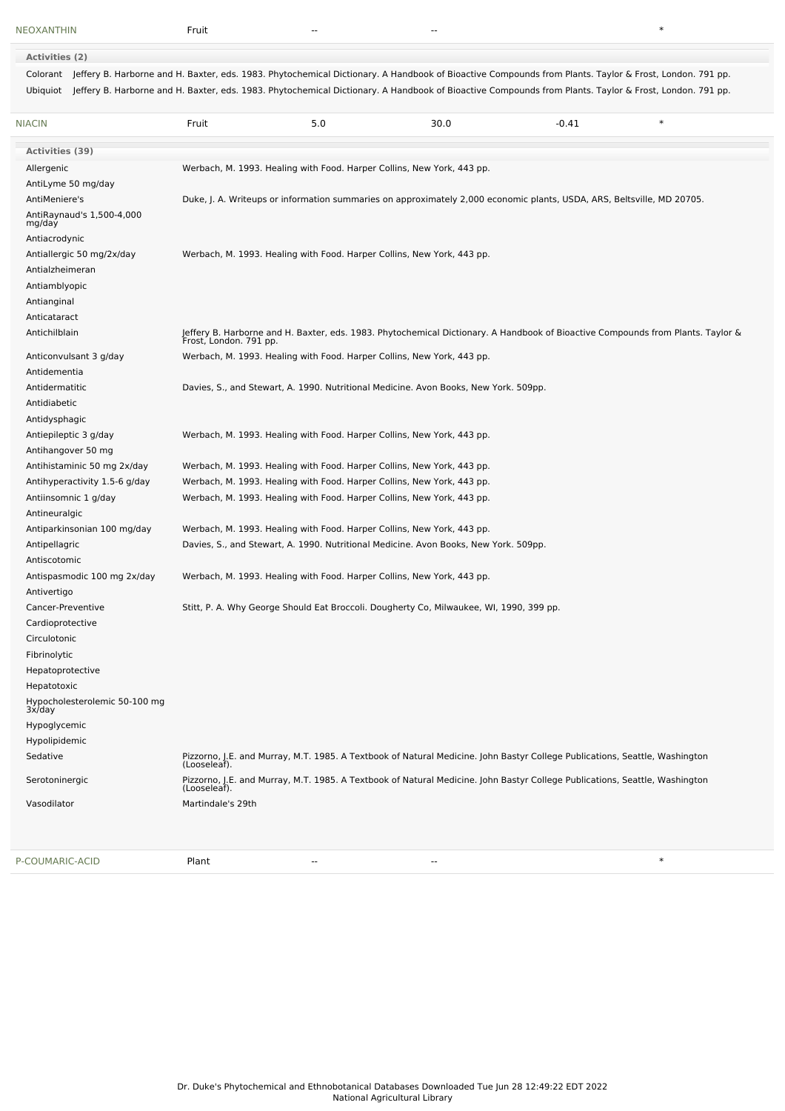**Activities (2)** Colorant Jeffery B. Harborne and H. Baxter, eds. 1983. Phytochemical Dictionary. A Handbook of Bioactive Compounds from Plants. Taylor & Frost, London. 791 pp. Ubiquiot Jeffery B. Harborne and H. Baxter, eds. 1983. Phytochemical Dictionary. A Handbook of Bioactive Compounds from Plants. Taylor & Frost, London. 791 pp.

| <b>NIACIN</b>                                | Fruit             | 5.0 | 30.0                                                                                                                                                      | $-0.41$ | $\ast$ |
|----------------------------------------------|-------------------|-----|-----------------------------------------------------------------------------------------------------------------------------------------------------------|---------|--------|
| Activities (39)                              |                   |     |                                                                                                                                                           |         |        |
| Allergenic                                   |                   |     | Werbach, M. 1993. Healing with Food. Harper Collins, New York, 443 pp.                                                                                    |         |        |
| AntiLyme 50 mg/day                           |                   |     |                                                                                                                                                           |         |        |
| AntiMeniere's                                |                   |     | Duke, J. A. Writeups or information summaries on approximately 2,000 economic plants, USDA, ARS, Beltsville, MD 20705.                                    |         |        |
| AntiRaynaud's 1,500-4,000                    |                   |     |                                                                                                                                                           |         |        |
| mg/day                                       |                   |     |                                                                                                                                                           |         |        |
| Antiacrodynic                                |                   |     |                                                                                                                                                           |         |        |
| Antiallergic 50 mg/2x/day<br>Antialzheimeran |                   |     | Werbach, M. 1993. Healing with Food. Harper Collins, New York, 443 pp.                                                                                    |         |        |
| Antiamblyopic                                |                   |     |                                                                                                                                                           |         |        |
| Antianginal                                  |                   |     |                                                                                                                                                           |         |        |
| Anticataract                                 |                   |     |                                                                                                                                                           |         |        |
| Antichilblain                                |                   |     |                                                                                                                                                           |         |        |
|                                              |                   |     | Jeffery B. Harborne and H. Baxter, eds. 1983. Phytochemical Dictionary. A Handbook of Bioactive Compounds from Plants. Taylor &<br>Frost, London. 791 pp. |         |        |
| Anticonvulsant 3 g/day                       |                   |     | Werbach, M. 1993. Healing with Food. Harper Collins, New York, 443 pp.                                                                                    |         |        |
| Antidementia                                 |                   |     |                                                                                                                                                           |         |        |
| Antidermatitic                               |                   |     | Davies, S., and Stewart, A. 1990. Nutritional Medicine. Avon Books, New York. 509pp.                                                                      |         |        |
| Antidiabetic                                 |                   |     |                                                                                                                                                           |         |        |
| Antidysphagic                                |                   |     |                                                                                                                                                           |         |        |
| Antiepileptic 3 g/day                        |                   |     | Werbach, M. 1993. Healing with Food. Harper Collins, New York, 443 pp.                                                                                    |         |        |
| Antihangover 50 mg                           |                   |     |                                                                                                                                                           |         |        |
| Antihistaminic 50 mg 2x/day                  |                   |     | Werbach, M. 1993. Healing with Food. Harper Collins, New York, 443 pp.                                                                                    |         |        |
| Antihyperactivity 1.5-6 g/day                |                   |     | Werbach, M. 1993. Healing with Food. Harper Collins, New York, 443 pp.                                                                                    |         |        |
| Antiinsomnic 1 g/day                         |                   |     | Werbach, M. 1993. Healing with Food. Harper Collins, New York, 443 pp.                                                                                    |         |        |
| Antineuralgic                                |                   |     |                                                                                                                                                           |         |        |
| Antiparkinsonian 100 mg/day                  |                   |     | Werbach, M. 1993. Healing with Food. Harper Collins, New York, 443 pp.                                                                                    |         |        |
| Antipellagric                                |                   |     | Davies, S., and Stewart, A. 1990. Nutritional Medicine. Avon Books, New York. 509pp.                                                                      |         |        |
| Antiscotomic                                 |                   |     |                                                                                                                                                           |         |        |
| Antispasmodic 100 mg 2x/day                  |                   |     | Werbach, M. 1993. Healing with Food. Harper Collins, New York, 443 pp.                                                                                    |         |        |
| Antivertigo                                  |                   |     |                                                                                                                                                           |         |        |
| Cancer-Preventive                            |                   |     | Stitt, P. A. Why George Should Eat Broccoli. Dougherty Co, Milwaukee, WI, 1990, 399 pp.                                                                   |         |        |
| Cardioprotective                             |                   |     |                                                                                                                                                           |         |        |
| Circulotonic                                 |                   |     |                                                                                                                                                           |         |        |
| Fibrinolytic                                 |                   |     |                                                                                                                                                           |         |        |
| Hepatoprotective                             |                   |     |                                                                                                                                                           |         |        |
| Hepatotoxic                                  |                   |     |                                                                                                                                                           |         |        |
| Hypocholesterolemic 50-100 mg<br>3x/day      |                   |     |                                                                                                                                                           |         |        |
| Hypoglycemic                                 |                   |     |                                                                                                                                                           |         |        |
| Hypolipidemic                                |                   |     |                                                                                                                                                           |         |        |
| Sedative                                     | (Looseleaf).      |     | Pizzorno, J.E. and Murray, M.T. 1985. A Textbook of Natural Medicine. John Bastyr College Publications, Seattle, Washington                               |         |        |
| Serotoninergic                               | (Looseleaf).      |     | Pizzorno, J.E. and Murray, M.T. 1985. A Textbook of Natural Medicine. John Bastyr College Publications, Seattle, Washington                               |         |        |
| Vasodilator                                  | Martindale's 29th |     |                                                                                                                                                           |         |        |
|                                              |                   |     |                                                                                                                                                           |         |        |
| P-COUMARIC-ACID                              | Plant             |     |                                                                                                                                                           |         | $\ast$ |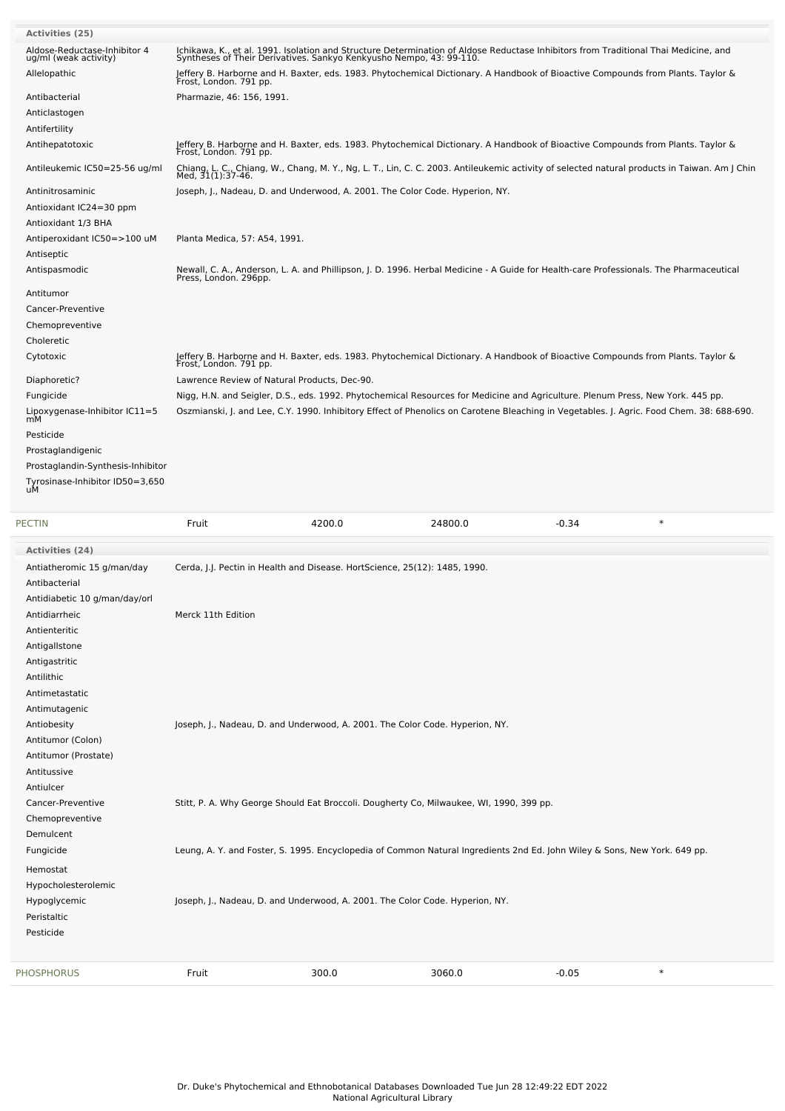| <b>Activities (25)</b>                                |                                                                                         |        |         |                                                                                                                                                                                                            |                                                                                                                                                                   |
|-------------------------------------------------------|-----------------------------------------------------------------------------------------|--------|---------|------------------------------------------------------------------------------------------------------------------------------------------------------------------------------------------------------------|-------------------------------------------------------------------------------------------------------------------------------------------------------------------|
| Aldose-Reductase-Inhibitor 4<br>ug/ml (weak activity) |                                                                                         |        |         | Ichikawa, K., et al. 1991. Isolation and Structure Determination of Aldose Reductase Inhibitors from Traditional Thai Medicine, and<br>Syntheses of Their Derivatives. Sankyo Kenkyusho Nempo, 43: 99-110. |                                                                                                                                                                   |
| Allelopathic                                          | Frost, London. 791 pp.                                                                  |        |         | Jeffery B. Harborne and H. Baxter, eds. 1983. Phytochemical Dictionary. A Handbook of Bioactive Compounds from Plants. Taylor &                                                                            |                                                                                                                                                                   |
| Antibacterial                                         | Pharmazie, 46: 156, 1991.                                                               |        |         |                                                                                                                                                                                                            |                                                                                                                                                                   |
| Anticlastogen                                         |                                                                                         |        |         |                                                                                                                                                                                                            |                                                                                                                                                                   |
| Antifertility                                         |                                                                                         |        |         |                                                                                                                                                                                                            |                                                                                                                                                                   |
| Antihepatotoxic                                       | Frost, London. 791 pp.                                                                  |        |         | Jeffery B. Harborne and H. Baxter, eds. 1983. Phytochemical Dictionary. A Handbook of Bioactive Compounds from Plants. Taylor &                                                                            |                                                                                                                                                                   |
| Antileukemic IC50=25-56 ug/ml                         |                                                                                         |        |         |                                                                                                                                                                                                            | Chiang, L. C., Chiang, W., Chang, M. Y., Ng, L. T., Lin, C. C. 2003. Antileukemic activity of selected natural products in Taiwan. Am J Chin<br>Med, 31(1):37-46. |
| Antinitrosaminic                                      | Joseph, J., Nadeau, D. and Underwood, A. 2001. The Color Code. Hyperion, NY.            |        |         |                                                                                                                                                                                                            |                                                                                                                                                                   |
| Antioxidant IC24=30 ppm                               |                                                                                         |        |         |                                                                                                                                                                                                            |                                                                                                                                                                   |
| Antioxidant 1/3 BHA                                   |                                                                                         |        |         |                                                                                                                                                                                                            |                                                                                                                                                                   |
| Antiperoxidant IC50=>100 uM                           | Planta Medica, 57: A54, 1991.                                                           |        |         |                                                                                                                                                                                                            |                                                                                                                                                                   |
| Antiseptic                                            |                                                                                         |        |         |                                                                                                                                                                                                            |                                                                                                                                                                   |
| Antispasmodic                                         | Press, London. 296pp.                                                                   |        |         | Newall, C. A., Anderson, L. A. and Phillipson, J. D. 1996. Herbal Medicine - A Guide for Health-care Professionals. The Pharmaceutical                                                                     |                                                                                                                                                                   |
| Antitumor                                             |                                                                                         |        |         |                                                                                                                                                                                                            |                                                                                                                                                                   |
| Cancer-Preventive                                     |                                                                                         |        |         |                                                                                                                                                                                                            |                                                                                                                                                                   |
| Chemopreventive                                       |                                                                                         |        |         |                                                                                                                                                                                                            |                                                                                                                                                                   |
| Choleretic                                            |                                                                                         |        |         |                                                                                                                                                                                                            |                                                                                                                                                                   |
| Cytotoxic                                             |                                                                                         |        |         | Jeffery B. Harborne and H. Baxter, eds. 1983. Phytochemical Dictionary. A Handbook of Bioactive Compounds from Plants. Taylor &<br>Frost, London. 791 pp.                                                  |                                                                                                                                                                   |
| Diaphoretic?                                          | Lawrence Review of Natural Products, Dec-90.                                            |        |         |                                                                                                                                                                                                            |                                                                                                                                                                   |
| Fungicide                                             |                                                                                         |        |         | Nigg, H.N. and Seigler, D.S., eds. 1992. Phytochemical Resources for Medicine and Agriculture. Plenum Press, New York. 445 pp.                                                                             |                                                                                                                                                                   |
| Lipoxygenase-Inhibitor IC11=5<br>mM                   |                                                                                         |        |         |                                                                                                                                                                                                            | Oszmianski, J. and Lee, C.Y. 1990. Inhibitory Effect of Phenolics on Carotene Bleaching in Vegetables. J. Agric. Food Chem. 38: 688-690.                          |
| Pesticide                                             |                                                                                         |        |         |                                                                                                                                                                                                            |                                                                                                                                                                   |
| Prostaglandigenic                                     |                                                                                         |        |         |                                                                                                                                                                                                            |                                                                                                                                                                   |
| Prostaglandin-Synthesis-Inhibitor                     |                                                                                         |        |         |                                                                                                                                                                                                            |                                                                                                                                                                   |
| Tyrosinase-Inhibitor ID50=3,650                       |                                                                                         |        |         |                                                                                                                                                                                                            |                                                                                                                                                                   |
| uМ                                                    |                                                                                         |        |         |                                                                                                                                                                                                            |                                                                                                                                                                   |
| PECTIN                                                | Fruit                                                                                   | 4200.0 | 24800.0 | $-0.34$                                                                                                                                                                                                    | $\ast$                                                                                                                                                            |
| <b>Activities (24)</b>                                |                                                                                         |        |         |                                                                                                                                                                                                            |                                                                                                                                                                   |
| Antiatheromic 15 g/man/day                            | Cerda, J.J. Pectin in Health and Disease. HortScience, 25(12): 1485, 1990.              |        |         |                                                                                                                                                                                                            |                                                                                                                                                                   |
| Antibacterial                                         |                                                                                         |        |         |                                                                                                                                                                                                            |                                                                                                                                                                   |
| Antidiabetic 10 g/man/day/orl                         |                                                                                         |        |         |                                                                                                                                                                                                            |                                                                                                                                                                   |
| Antidiarrheic                                         | Merck 11th Edition                                                                      |        |         |                                                                                                                                                                                                            |                                                                                                                                                                   |
| Antienteritic                                         |                                                                                         |        |         |                                                                                                                                                                                                            |                                                                                                                                                                   |
| Antigallstone                                         |                                                                                         |        |         |                                                                                                                                                                                                            |                                                                                                                                                                   |
| Antigastritic                                         |                                                                                         |        |         |                                                                                                                                                                                                            |                                                                                                                                                                   |
| Antilithic                                            |                                                                                         |        |         |                                                                                                                                                                                                            |                                                                                                                                                                   |
| Antimetastatic                                        |                                                                                         |        |         |                                                                                                                                                                                                            |                                                                                                                                                                   |
| Antimutagenic                                         |                                                                                         |        |         |                                                                                                                                                                                                            |                                                                                                                                                                   |
| Antiobesity                                           | Joseph, J., Nadeau, D. and Underwood, A. 2001. The Color Code. Hyperion, NY.            |        |         |                                                                                                                                                                                                            |                                                                                                                                                                   |
| Antitumor (Colon)                                     |                                                                                         |        |         |                                                                                                                                                                                                            |                                                                                                                                                                   |
| Antitumor (Prostate)                                  |                                                                                         |        |         |                                                                                                                                                                                                            |                                                                                                                                                                   |
| Antitussive                                           |                                                                                         |        |         |                                                                                                                                                                                                            |                                                                                                                                                                   |
| Antiulcer                                             |                                                                                         |        |         |                                                                                                                                                                                                            |                                                                                                                                                                   |
| Cancer-Preventive                                     | Stitt, P. A. Why George Should Eat Broccoli. Dougherty Co, Milwaukee, WI, 1990, 399 pp. |        |         |                                                                                                                                                                                                            |                                                                                                                                                                   |

Fungicide Leung, A. Y. and Foster, S. 1995. Encyclopedia of Common Natural Ingredients 2nd Ed. John Wiley & Sons, New York. 649 pp.

Hemostat Hypocholesterolemic Hypoglycemic Joseph, J., Nadeau, D. and Underwood, A. 2001. The Color Code. Hyperion, NY. Peristaltic Pesticide

Chemopreventive Demulcent

[PHOSPHORUS](file:///phytochem/chemicals/show/14516) Fruit 300.0 3060.0 -0.05 \*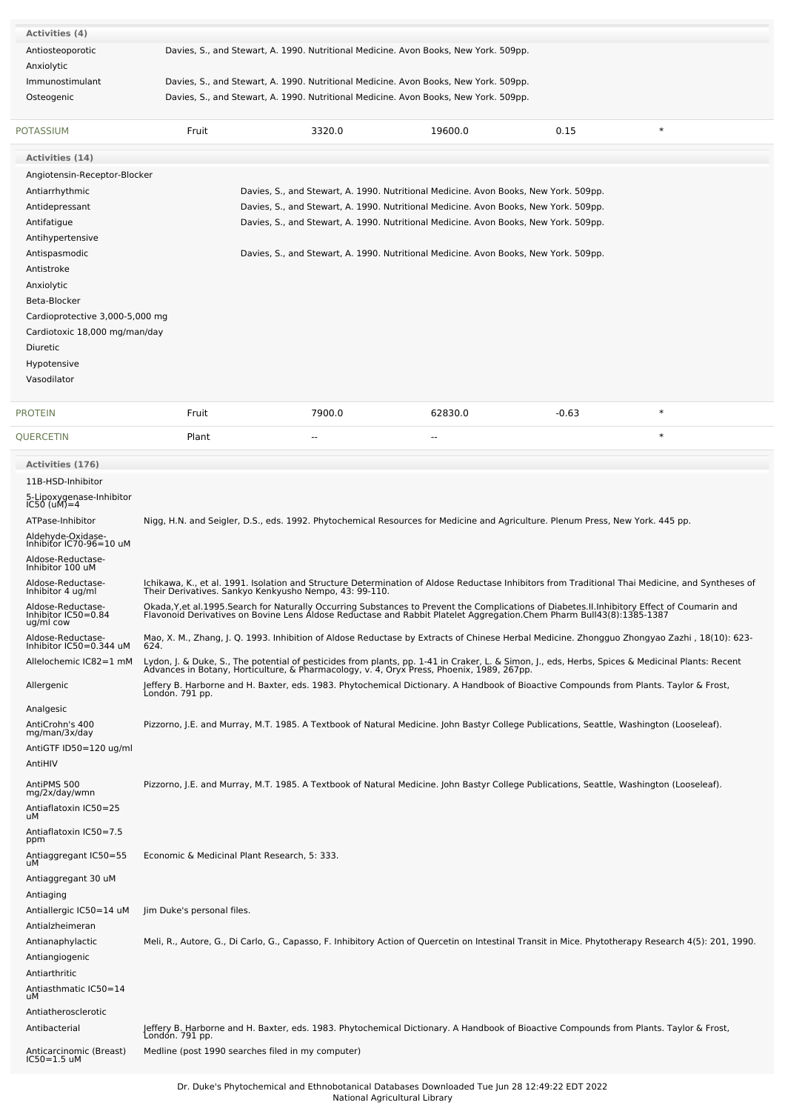| <b>Activities (4)</b>                        |                                                   |                                                                                                                                                                                                                                  |         |         |                                                                                                                                                                                                            |
|----------------------------------------------|---------------------------------------------------|----------------------------------------------------------------------------------------------------------------------------------------------------------------------------------------------------------------------------------|---------|---------|------------------------------------------------------------------------------------------------------------------------------------------------------------------------------------------------------------|
| Antiosteoporotic                             |                                                   | Davies, S., and Stewart, A. 1990. Nutritional Medicine. Avon Books, New York. 509pp.                                                                                                                                             |         |         |                                                                                                                                                                                                            |
| Anxiolytic                                   |                                                   |                                                                                                                                                                                                                                  |         |         |                                                                                                                                                                                                            |
| Immunostimulant                              |                                                   | Davies, S., and Stewart, A. 1990. Nutritional Medicine. Avon Books, New York. 509pp.                                                                                                                                             |         |         |                                                                                                                                                                                                            |
| Osteogenic                                   |                                                   | Davies, S., and Stewart, A. 1990. Nutritional Medicine. Avon Books, New York. 509pp.                                                                                                                                             |         |         |                                                                                                                                                                                                            |
|                                              |                                                   |                                                                                                                                                                                                                                  |         |         |                                                                                                                                                                                                            |
| <b>POTASSIUM</b>                             | Fruit                                             | 3320.0                                                                                                                                                                                                                           | 19600.0 | 0.15    | $\ast$                                                                                                                                                                                                     |
|                                              |                                                   |                                                                                                                                                                                                                                  |         |         |                                                                                                                                                                                                            |
| Activities (14)                              |                                                   |                                                                                                                                                                                                                                  |         |         |                                                                                                                                                                                                            |
| Angiotensin-Receptor-Blocker                 |                                                   |                                                                                                                                                                                                                                  |         |         |                                                                                                                                                                                                            |
| Antiarrhythmic                               |                                                   | Davies, S., and Stewart, A. 1990. Nutritional Medicine. Avon Books, New York. 509pp.                                                                                                                                             |         |         |                                                                                                                                                                                                            |
| Antidepressant                               |                                                   | Davies, S., and Stewart, A. 1990. Nutritional Medicine. Avon Books, New York. 509pp.                                                                                                                                             |         |         |                                                                                                                                                                                                            |
| Antifatigue                                  |                                                   | Davies, S., and Stewart, A. 1990. Nutritional Medicine. Avon Books, New York. 509pp.                                                                                                                                             |         |         |                                                                                                                                                                                                            |
| Antihypertensive                             |                                                   |                                                                                                                                                                                                                                  |         |         |                                                                                                                                                                                                            |
| Antispasmodic<br>Antistroke                  |                                                   | Davies, S., and Stewart, A. 1990. Nutritional Medicine. Avon Books, New York. 509pp.                                                                                                                                             |         |         |                                                                                                                                                                                                            |
| Anxiolytic                                   |                                                   |                                                                                                                                                                                                                                  |         |         |                                                                                                                                                                                                            |
| Beta-Blocker                                 |                                                   |                                                                                                                                                                                                                                  |         |         |                                                                                                                                                                                                            |
| Cardioprotective 3,000-5,000 mg              |                                                   |                                                                                                                                                                                                                                  |         |         |                                                                                                                                                                                                            |
| Cardiotoxic 18,000 mg/man/day                |                                                   |                                                                                                                                                                                                                                  |         |         |                                                                                                                                                                                                            |
| Diuretic                                     |                                                   |                                                                                                                                                                                                                                  |         |         |                                                                                                                                                                                                            |
| Hypotensive                                  |                                                   |                                                                                                                                                                                                                                  |         |         |                                                                                                                                                                                                            |
| Vasodilator                                  |                                                   |                                                                                                                                                                                                                                  |         |         |                                                                                                                                                                                                            |
|                                              |                                                   |                                                                                                                                                                                                                                  |         |         |                                                                                                                                                                                                            |
| <b>PROTEIN</b>                               | Fruit                                             | 7900.0                                                                                                                                                                                                                           | 62830.0 | $-0.63$ | $\ast$                                                                                                                                                                                                     |
| QUERCETIN                                    | Plant                                             | ٠.                                                                                                                                                                                                                               | --      |         | $\ast$                                                                                                                                                                                                     |
|                                              |                                                   |                                                                                                                                                                                                                                  |         |         |                                                                                                                                                                                                            |
| <b>Activities (176)</b>                      |                                                   |                                                                                                                                                                                                                                  |         |         |                                                                                                                                                                                                            |
| 11B-HSD-Inhibitor                            |                                                   |                                                                                                                                                                                                                                  |         |         |                                                                                                                                                                                                            |
| 5-Lipoxygenase-Inhibitor<br>IC50 (uM)=4      |                                                   |                                                                                                                                                                                                                                  |         |         |                                                                                                                                                                                                            |
| ATPase-Inhibitor                             |                                                   | Nigg, H.N. and Seigler, D.S., eds. 1992. Phytochemical Resources for Medicine and Agriculture. Plenum Press, New York. 445 pp.                                                                                                   |         |         |                                                                                                                                                                                                            |
| Aldehyde-Oxidase-                            |                                                   |                                                                                                                                                                                                                                  |         |         |                                                                                                                                                                                                            |
| Inhibitor IC70-96=10 uM<br>Aldose-Reductase- |                                                   |                                                                                                                                                                                                                                  |         |         |                                                                                                                                                                                                            |
| Inhibitor 100 uM                             |                                                   |                                                                                                                                                                                                                                  |         |         |                                                                                                                                                                                                            |
| Aldose-Reductase-<br>Inhibitor 4 ug/ml       |                                                   |                                                                                                                                                                                                                                  |         |         | Ichikawa, K., et al. 1991. Isolation and Structure Determination of Aldose Reductase Inhibitors from Traditional Thai Medicine, and Syntheses of<br>Their Derivatives. Sankyo Kenkyusho Nempo, 43: 99-110. |
| Aldose-Reductase-                            |                                                   | Okada, Y, et al. 1995. Search for Naturally Occurring Substances to Prevent the Complications of Diabetes. II. Inhibitory Effect of Coumarin and                                                                                 |         |         |                                                                                                                                                                                                            |
| Inhibitor IC50=0.84<br>ug/ml cow             |                                                   | Flavonoid Derivatives on Bovine Lens Aldose Reductase and Rabbit Platelet Aggregation.Chem Pharm Bull43(8):1385-1387                                                                                                             |         |         |                                                                                                                                                                                                            |
| Aldose-Reductase-<br>Inhibitor IC50=0.344 uM |                                                   |                                                                                                                                                                                                                                  |         |         | Mao, X. M., Zhang, J. Q. 1993. Inhibition of Aldose Reductase by Extracts of Chinese Herbal Medicine. Zhongguo Zhongyao Zazhi, 18(10): 623-                                                                |
|                                              | 624.                                              |                                                                                                                                                                                                                                  |         |         |                                                                                                                                                                                                            |
| Allelochemic IC82=1 mM                       |                                                   | Lydon, J. & Duke, S., The potential of pesticides from plants, pp. 1-41 in Craker, L. & Simon, J., eds, Herbs, Spices & Medicinal Plants: Recent<br>Advances in Botany, Horticulture, & Pharmacology, v. 4, Oryx Press, Phoenix, |         |         |                                                                                                                                                                                                            |
| Allergenic                                   | Londón. 791 pp.                                   | Jeffery B. Harborne and H. Baxter, eds. 1983. Phytochemical Dictionary. A Handbook of Bioactive Compounds from Plants. Taylor & Frost,                                                                                           |         |         |                                                                                                                                                                                                            |
| Analgesic                                    |                                                   |                                                                                                                                                                                                                                  |         |         |                                                                                                                                                                                                            |
| AntiCrohn's 400                              |                                                   | Pizzorno, J.E. and Murray, M.T. 1985. A Textbook of Natural Medicine. John Bastyr College Publications, Seattle, Washington (Looseleaf).                                                                                         |         |         |                                                                                                                                                                                                            |
| mg/man/3x/day                                |                                                   |                                                                                                                                                                                                                                  |         |         |                                                                                                                                                                                                            |
| AntiGTF ID50=120 ug/ml                       |                                                   |                                                                                                                                                                                                                                  |         |         |                                                                                                                                                                                                            |
| AntiHIV                                      |                                                   |                                                                                                                                                                                                                                  |         |         |                                                                                                                                                                                                            |
| AntiPMS 500<br>mg/2x/day/wmn                 |                                                   | Pizzorno, J.E. and Murray, M.T. 1985. A Textbook of Natural Medicine. John Bastyr College Publications, Seattle, Washington (Looseleaf).                                                                                         |         |         |                                                                                                                                                                                                            |
| Antiaflatoxin IC50=25                        |                                                   |                                                                                                                                                                                                                                  |         |         |                                                                                                                                                                                                            |
| uМ                                           |                                                   |                                                                                                                                                                                                                                  |         |         |                                                                                                                                                                                                            |
| Antiaflatoxin IC50=7.5<br>ppm                |                                                   |                                                                                                                                                                                                                                  |         |         |                                                                                                                                                                                                            |
| Antiaggregant IC50=55                        | Economic & Medicinal Plant Research, 5: 333.      |                                                                                                                                                                                                                                  |         |         |                                                                                                                                                                                                            |
| uМ                                           |                                                   |                                                                                                                                                                                                                                  |         |         |                                                                                                                                                                                                            |
| Antiaggregant 30 uM                          |                                                   |                                                                                                                                                                                                                                  |         |         |                                                                                                                                                                                                            |
| Antiaging<br>Antiallergic IC50=14 uM         | Jim Duke's personal files.                        |                                                                                                                                                                                                                                  |         |         |                                                                                                                                                                                                            |
| Antialzheimeran                              |                                                   |                                                                                                                                                                                                                                  |         |         |                                                                                                                                                                                                            |
| Antianaphylactic                             |                                                   |                                                                                                                                                                                                                                  |         |         | Meli, R., Autore, G., Di Carlo, G., Capasso, F. Inhibitory Action of Quercetin on Intestinal Transit in Mice. Phytotherapy Research 4(5): 201, 1990.                                                       |
| Antiangiogenic                               |                                                   |                                                                                                                                                                                                                                  |         |         |                                                                                                                                                                                                            |
| Antiarthritic                                |                                                   |                                                                                                                                                                                                                                  |         |         |                                                                                                                                                                                                            |
| Antiasthmatic IC50=14                        |                                                   |                                                                                                                                                                                                                                  |         |         |                                                                                                                                                                                                            |
| uМ                                           |                                                   |                                                                                                                                                                                                                                  |         |         |                                                                                                                                                                                                            |
| Antiatherosclerotic                          |                                                   |                                                                                                                                                                                                                                  |         |         |                                                                                                                                                                                                            |
| Antibacterial                                | Londón. 791 pp.                                   | Jeffery B. Harborne and H. Baxter, eds. 1983. Phytochemical Dictionary. A Handbook of Bioactive Compounds from Plants. Taylor & Frost,                                                                                           |         |         |                                                                                                                                                                                                            |
| Anticarcinomic (Breast)<br>IC50=1.5 uM       | Medline (post 1990 searches filed in my computer) |                                                                                                                                                                                                                                  |         |         |                                                                                                                                                                                                            |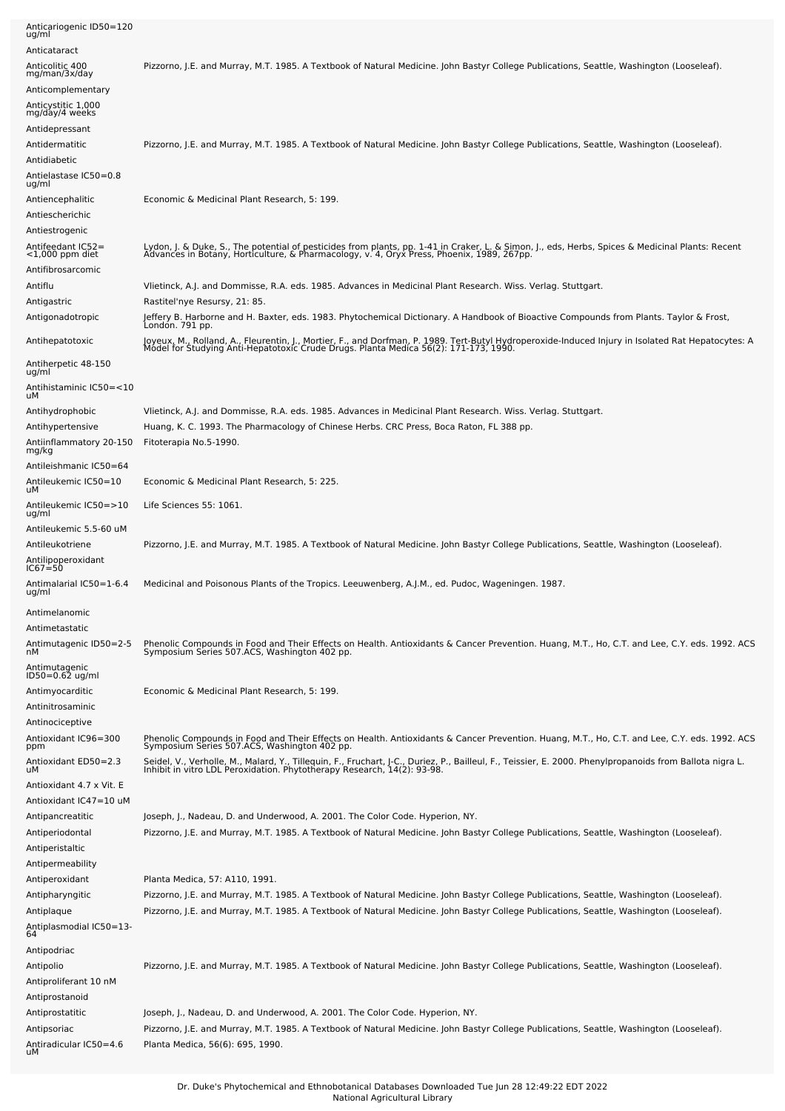| Anticariogenic ID50=120<br>ug/ml                     |                                                                                                                                                                                                                                   |
|------------------------------------------------------|-----------------------------------------------------------------------------------------------------------------------------------------------------------------------------------------------------------------------------------|
| Anticataract                                         |                                                                                                                                                                                                                                   |
| Anticolitic 400<br>mg/man/3x/day                     | Pizzorno, J.E. and Murray, M.T. 1985. A Textbook of Natural Medicine. John Bastyr College Publications, Seattle, Washington (Looseleaf).                                                                                          |
| Anticomplementary                                    |                                                                                                                                                                                                                                   |
| Anticystitic 1,000<br>mg/day/4 weeks                 |                                                                                                                                                                                                                                   |
| Antidepressant                                       |                                                                                                                                                                                                                                   |
| Antidermatitic                                       | Pizzorno, J.E. and Murray, M.T. 1985. A Textbook of Natural Medicine. John Bastyr College Publications, Seattle, Washington (Looseleaf).                                                                                          |
| Antidiabetic<br>Antielastase IC50=0.8<br>ug/ml       |                                                                                                                                                                                                                                   |
| Antiencephalitic                                     | Economic & Medicinal Plant Research, 5: 199.                                                                                                                                                                                      |
| Antiescherichic<br>Antiestrogenic                    |                                                                                                                                                                                                                                   |
| Antifeedant IC52=<br><1,000 ppm diet                 | Lydon, J. & Duke, S., The potential of pesticides from plants, pp. 1-41 in Craker, L. & Simon, J., eds, Herbs, Spices & Medicinal Plants: Recent<br>Advances in Botany, Horticulture, & Pharmacology, v. 4, Oryx Press, Phoenix,  |
| Antifibrosarcomic                                    |                                                                                                                                                                                                                                   |
| Antiflu                                              | Vlietinck, A.J. and Dommisse, R.A. eds. 1985. Advances in Medicinal Plant Research. Wiss. Verlag. Stuttgart.                                                                                                                      |
| Antigastric<br>Antigonadotropic                      | Rastitel'nye Resursy, 21: 85.<br>Jeffery B. Harborne and H. Baxter, eds. 1983. Phytochemical Dictionary. A Handbook of Bioactive Compounds from Plants. Taylor & Frost,<br>Londón. 791 pp.                                        |
| Antihepatotoxic                                      | Joyeux, M., Rolland, A., Fleurentin, J., Mortier, F., and Dorfman, P. 1989. Tert-Butyl Hydroperoxide-Induced Injury in Isolated Rat Hepatocytes: A<br>Model for Studying Anti-Hepatotoxic Crude Drugs. Planta Medica 56(2): 171-1 |
| Antiherpetic 48-150<br>ug/ml                         |                                                                                                                                                                                                                                   |
| Antihistaminic IC50=<10<br>uМ                        |                                                                                                                                                                                                                                   |
| Antihydrophobic                                      | Vlietinck, A.J. and Dommisse, R.A. eds. 1985. Advances in Medicinal Plant Research. Wiss. Verlag. Stuttgart.                                                                                                                      |
| Antihypertensive                                     | Huang, K. C. 1993. The Pharmacology of Chinese Herbs. CRC Press, Boca Raton, FL 388 pp.                                                                                                                                           |
| Antiinflammatory 20-150<br>mg/kg                     | Fitoterapia No.5-1990.                                                                                                                                                                                                            |
| Antileishmanic IC50=64                               |                                                                                                                                                                                                                                   |
| Antileukemic IC50=10<br>uМ                           | Economic & Medicinal Plant Research, 5: 225.                                                                                                                                                                                      |
| Antileukemic IC50=>10<br>ug/ml                       | Life Sciences 55: 1061.                                                                                                                                                                                                           |
| Antileukemic 5.5-60 uM                               |                                                                                                                                                                                                                                   |
| Antileukotriene<br>Antilipoperoxidant<br>$IC67 = 50$ | Pizzorno, J.E. and Murray, M.T. 1985. A Textbook of Natural Medicine. John Bastyr College Publications, Seattle, Washington (Looseleaf).                                                                                          |
| Antimalarial IC50=1-6.4<br>ug/ml                     | Medicinal and Poisonous Plants of the Tropics. Leeuwenberg, A.J.M., ed. Pudoc, Wageningen. 1987.                                                                                                                                  |
| Antimelanomic                                        |                                                                                                                                                                                                                                   |
| Antimetastatic                                       |                                                                                                                                                                                                                                   |
| Antimutagenic ID50=2-5<br>nМ                         | Phenolic Compounds in Food and Their Effects on Health. Antioxidants & Cancer Prevention. Huang, M.T., Ho, C.T. and Lee, C.Y. eds. 1992. ACS<br>Symposium Series 507.ACS, Washington 402 pp.                                      |
| Antimutagenic<br>ID50=0.62 ug/ml                     |                                                                                                                                                                                                                                   |
| Antimyocarditic<br>Antinitrosaminic                  | Economic & Medicinal Plant Research, 5: 199.                                                                                                                                                                                      |
| Antinociceptive                                      |                                                                                                                                                                                                                                   |
| Antioxidant IC96=300<br>ppm                          | Phenolic Compounds in Food and Their Effects on Health. Antioxidants & Cancer Prevention. Huang, M.T., Ho, C.T. and Lee, C.Y. eds. 1992. ACS<br>Symposium Series 507.ACS, Washington 402 pp.                                      |
| Antioxidant ED50=2.3<br>uМ                           | Seidel, V., Verholle, M., Malard, Y., Tillequin, F., Fruchart, J-C., Duriez, P., Bailleul, F., Teissier, E. 2000. Phenylpropanoids from Ballota nigra L.<br>Inhibit in vitro LDL Peroxidation. Phytotherapy Research, 14(2): 93-9 |
| Antioxidant 4.7 x Vit. E<br>Antioxidant IC47=10 uM   |                                                                                                                                                                                                                                   |
| Antipancreatitic                                     | Joseph, J., Nadeau, D. and Underwood, A. 2001. The Color Code. Hyperion, NY.                                                                                                                                                      |
| Antiperiodontal                                      | Pizzorno, J.E. and Murray, M.T. 1985. A Textbook of Natural Medicine. John Bastyr College Publications, Seattle, Washington (Looseleaf).                                                                                          |
| Antiperistaltic                                      |                                                                                                                                                                                                                                   |
| Antipermeability                                     |                                                                                                                                                                                                                                   |
| Antiperoxidant                                       | Planta Medica, 57: A110, 1991.                                                                                                                                                                                                    |
| Antipharyngitic                                      | Pizzorno, J.E. and Murray, M.T. 1985. A Textbook of Natural Medicine. John Bastyr College Publications, Seattle, Washington (Looseleaf).                                                                                          |
| Antiplaque                                           | Pizzorno, J.E. and Murray, M.T. 1985. A Textbook of Natural Medicine. John Bastyr College Publications, Seattle, Washington (Looseleaf).                                                                                          |
| Antiplasmodial IC50=13-<br>64                        |                                                                                                                                                                                                                                   |
| Antipodriac                                          |                                                                                                                                                                                                                                   |
| Antipolio                                            | Pizzorno, J.E. and Murray, M.T. 1985. A Textbook of Natural Medicine. John Bastyr College Publications, Seattle, Washington (Looseleaf).                                                                                          |
| Antiproliferant 10 nM                                |                                                                                                                                                                                                                                   |
| Antiprostanoid                                       |                                                                                                                                                                                                                                   |
| Antiprostatitic                                      | Joseph, J., Nadeau, D. and Underwood, A. 2001. The Color Code. Hyperion, NY.                                                                                                                                                      |
| Antipsoriac                                          | Pizzorno, J.E. and Murray, M.T. 1985. A Textbook of Natural Medicine. John Bastyr College Publications, Seattle, Washington (Looseleaf).                                                                                          |
| Antiradicular IC50=4.6<br>uМ                         | Planta Medica, 56(6): 695, 1990.                                                                                                                                                                                                  |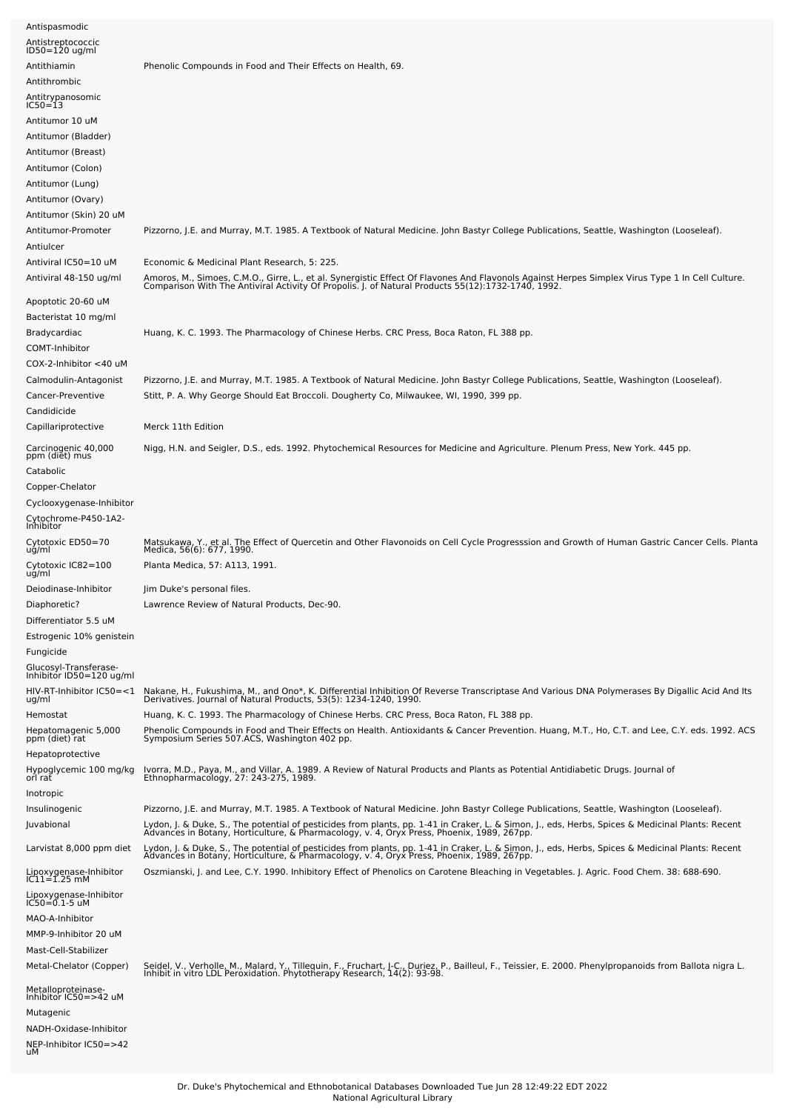| Antispasmodic                                      |                                                                                                                                                                                                                                                                                                               |
|----------------------------------------------------|---------------------------------------------------------------------------------------------------------------------------------------------------------------------------------------------------------------------------------------------------------------------------------------------------------------|
| Antistreptococcic<br>ID50=120 ug/ml                |                                                                                                                                                                                                                                                                                                               |
| Antithiamin                                        | Phenolic Compounds in Food and Their Effects on Health, 69.                                                                                                                                                                                                                                                   |
| Antithrombic                                       |                                                                                                                                                                                                                                                                                                               |
| Antitrypanosomic<br>IC50=13                        |                                                                                                                                                                                                                                                                                                               |
| Antitumor 10 uM                                    |                                                                                                                                                                                                                                                                                                               |
| Antitumor (Bladder)                                |                                                                                                                                                                                                                                                                                                               |
| Antitumor (Breast)                                 |                                                                                                                                                                                                                                                                                                               |
| Antitumor (Colon)                                  |                                                                                                                                                                                                                                                                                                               |
| Antitumor (Lung)                                   |                                                                                                                                                                                                                                                                                                               |
| Antitumor (Ovary)                                  |                                                                                                                                                                                                                                                                                                               |
| Antitumor (Skin) 20 uM                             |                                                                                                                                                                                                                                                                                                               |
| Antitumor-Promoter                                 | Pizzorno, J.E. and Murray, M.T. 1985. A Textbook of Natural Medicine. John Bastyr College Publications, Seattle, Washington (Looseleaf).                                                                                                                                                                      |
| Antiulcer                                          |                                                                                                                                                                                                                                                                                                               |
| Antiviral IC50=10 uM                               | Economic & Medicinal Plant Research, 5: 225.                                                                                                                                                                                                                                                                  |
| Antiviral 48-150 ug/ml                             | Amoros, M., Simoes, C.M.O., Girre, L., et al. Synergistic Effect Of Flavones And Flavonols Against Herpes Simplex Virus Type 1 In Cell Culture.<br>Comparison With The Antiviral Activity Of Propolis. J. of Natural Products 55(                                                                             |
| Apoptotic 20-60 uM                                 |                                                                                                                                                                                                                                                                                                               |
| Bacteristat 10 mg/ml                               |                                                                                                                                                                                                                                                                                                               |
| Bradycardiac                                       | Huang, K. C. 1993. The Pharmacology of Chinese Herbs. CRC Press, Boca Raton, FL 388 pp.                                                                                                                                                                                                                       |
| COMT-Inhibitor                                     |                                                                                                                                                                                                                                                                                                               |
| COX-2-Inhibitor <40 uM                             |                                                                                                                                                                                                                                                                                                               |
| Calmodulin-Antagonist                              | Pizzorno, J.E. and Murray, M.T. 1985. A Textbook of Natural Medicine. John Bastyr College Publications, Seattle, Washington (Looseleaf).                                                                                                                                                                      |
| Cancer-Preventive                                  | Stitt, P. A. Why George Should Eat Broccoli. Dougherty Co, Milwaukee, WI, 1990, 399 pp.                                                                                                                                                                                                                       |
| Candidicide                                        |                                                                                                                                                                                                                                                                                                               |
| Capillariprotective                                | Merck 11th Edition                                                                                                                                                                                                                                                                                            |
| Carcinogenic 40,000<br>ppm (diet) mus<br>Catabolic | Nigg, H.N. and Seigler, D.S., eds. 1992. Phytochemical Resources for Medicine and Agriculture. Plenum Press, New York. 445 pp.                                                                                                                                                                                |
| Copper-Chelator                                    |                                                                                                                                                                                                                                                                                                               |
| Cyclooxygenase-Inhibitor                           |                                                                                                                                                                                                                                                                                                               |
| Cytochrome-P450-1A2-<br>Inhibitor                  |                                                                                                                                                                                                                                                                                                               |
| Cytotoxic ED50=70<br>ug/ml                         | Matsukawa, Y., et al. The Effect of Quercetin and Other Flavonoids on Cell Cycle Progresssion and Growth of Human Gastric Cancer Cells. Planta<br>Medica, 56(6): 677, 1990.                                                                                                                                   |
| Cytotoxic IC82=100<br>ug/ml                        | Planta Medica, 57: A113, 1991.                                                                                                                                                                                                                                                                                |
| Deiodinase-Inhibitor                               | Jim Duke's personal files.                                                                                                                                                                                                                                                                                    |
| Diaphoretic?<br>Differentiator 5.5 uM              | Lawrence Review of Natural Products, Dec-90.                                                                                                                                                                                                                                                                  |
| Estrogenic 10% genistein                           |                                                                                                                                                                                                                                                                                                               |
| Fungicide                                          |                                                                                                                                                                                                                                                                                                               |
|                                                    |                                                                                                                                                                                                                                                                                                               |
| Glucosyl-Transferase-<br>Inhibitor ID50=120 ug/ml  |                                                                                                                                                                                                                                                                                                               |
| HIV-RT-Inhibitor IC50=<1<br>ug/ml<br>Hemostat      | Nakane, H., Fukushima, M., and Ono*, K. Differential Inhibition Of Reverse Transcriptase And Various DNA Polymerases By Digallic Acid And Its<br>Derivatives. Journal of Natural Products, 53(5): 1234-1240, 1990.<br>Huang, K. C. 1993. The Pharmacology of Chinese Herbs. CRC Press, Boca Raton, FL 388 pp. |
| Hepatomagenic 5,000                                | Phenolic Compounds in Food and Their Effects on Health. Antioxidants & Cancer Prevention. Huang, M.T., Ho, C.T. and Lee, C.Y. eds. 1992. ACS<br>Symposium Series 507.ACS, Washington 402 pp.                                                                                                                  |
| ppm (diet) rat<br>Hepatoprotective                 |                                                                                                                                                                                                                                                                                                               |
| Hypoglycemic 100 mg/kg<br>orl rat                  | Ivorra, M.D., Paya, M., and Villar, A. 1989. A Review of Natural Products and Plants as Potential Antidiabetic Drugs. Journal of<br>Ethnopharmacology, 27: 243-275, 1989.                                                                                                                                     |
| Inotropic                                          |                                                                                                                                                                                                                                                                                                               |
| Insulinogenic                                      | Pizzorno, J.E. and Murray, M.T. 1985. A Textbook of Natural Medicine. John Bastyr College Publications, Seattle, Washington (Looseleaf).                                                                                                                                                                      |
| Juvabional                                         | Lydon, J. & Duke, S., The potential of pesticides from plants, pp. 1-41 in Craker, L. & Simon, J., eds, Herbs, Spices & Medicinal Plants: Recent<br>Advances in Botany, Horticulture, & Pharmacology, v. 4, Oryx Press, Phoenix,                                                                              |
| Larvistat 8,000 ppm diet                           | Lydon, J. & Duke, S., The potential of pesticides from plants, pp. 1-41 in Craker, L. & Simon, J., eds, Herbs, Spices & Medicinal Plants: Recent<br>Advances in Botany, Horticulture, & Pharmacology, v. 4, Oryx Press, Phoenix,                                                                              |
| Lipoxygenase-Inhibitor<br>IC11=1.25 mM             | Oszmianski, J. and Lee, C.Y. 1990. Inhibitory Effect of Phenolics on Carotene Bleaching in Vegetables. J. Agric. Food Chem. 38: 688-690.                                                                                                                                                                      |
|                                                    |                                                                                                                                                                                                                                                                                                               |
| Lipoxygenase-Inhibitor<br>IC50=0.1-5 uM            |                                                                                                                                                                                                                                                                                                               |
| MAO-A-Inhibitor                                    |                                                                                                                                                                                                                                                                                                               |
| MMP-9-Inhibitor 20 uM                              |                                                                                                                                                                                                                                                                                                               |
| Mast-Cell-Stabilizer<br>Metal-Chelator (Copper)    |                                                                                                                                                                                                                                                                                                               |
|                                                    | Seidel, V., Verholle, M., Malard, Y., Tillequin, F., Fruchart, J-C., Duriez, P., Bailleul, F., Teissier, E. 2000. Phenylpropanoids from Ballota nigra L.<br>Inhibit in vitro LDL Peroxidation. Phytotherapy Research, 14(2): 93-9                                                                             |
| Metalloproteinase-<br>Inhibitor IC50=>42 uM        |                                                                                                                                                                                                                                                                                                               |
| Mutagenic                                          |                                                                                                                                                                                                                                                                                                               |
| NADH-Oxidase-Inhibitor                             |                                                                                                                                                                                                                                                                                                               |
| NEP-Inhibitor IC50=>42<br>uМ                       |                                                                                                                                                                                                                                                                                                               |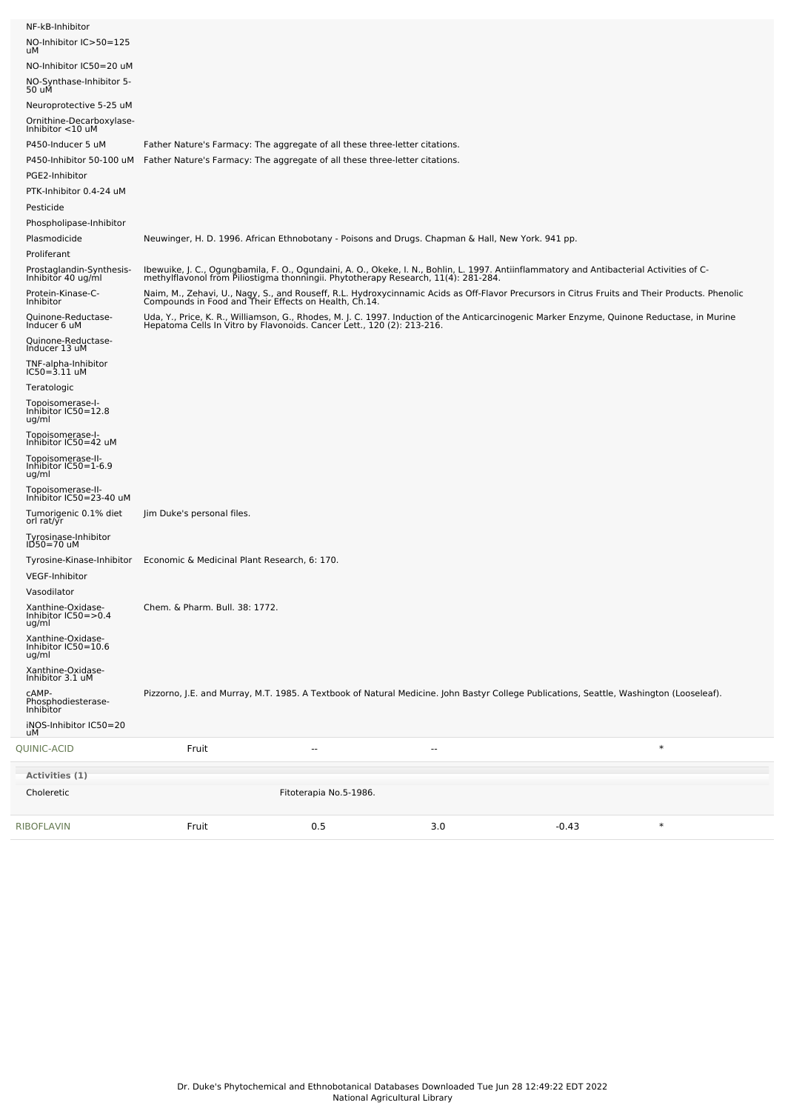| NF-kB-Inhibitor<br>NO-Inhibitor IC>50=125<br>uМ              |                                                                             |                        |                                                                                                                                                                                                                                 |         |        |
|--------------------------------------------------------------|-----------------------------------------------------------------------------|------------------------|---------------------------------------------------------------------------------------------------------------------------------------------------------------------------------------------------------------------------------|---------|--------|
| NO-Inhibitor IC50=20 uM<br>NO-Synthase-Inhibitor 5-<br>50 uM |                                                                             |                        |                                                                                                                                                                                                                                 |         |        |
| Neuroprotective 5-25 uM                                      |                                                                             |                        |                                                                                                                                                                                                                                 |         |        |
| Ornithine-Decarboxylase-<br>Inhibitor <10 uM                 |                                                                             |                        |                                                                                                                                                                                                                                 |         |        |
| P450-Inducer 5 uM                                            | Father Nature's Farmacy: The aggregate of all these three-letter citations. |                        |                                                                                                                                                                                                                                 |         |        |
| P450-Inhibitor 50-100 uM                                     | Father Nature's Farmacy: The aggregate of all these three-letter citations. |                        |                                                                                                                                                                                                                                 |         |        |
| PGE2-Inhibitor                                               |                                                                             |                        |                                                                                                                                                                                                                                 |         |        |
| PTK-Inhibitor 0.4-24 uM                                      |                                                                             |                        |                                                                                                                                                                                                                                 |         |        |
| Pesticide                                                    |                                                                             |                        |                                                                                                                                                                                                                                 |         |        |
| Phospholipase-Inhibitor                                      |                                                                             |                        |                                                                                                                                                                                                                                 |         |        |
| Plasmodicide<br>Proliferant                                  |                                                                             |                        | Neuwinger, H. D. 1996. African Ethnobotany - Poisons and Drugs. Chapman & Hall, New York. 941 pp.                                                                                                                               |         |        |
| Prostaglandin-Synthesis-<br>Inhibitor 40 ug/ml               |                                                                             |                        | Ibewuike, J. C., Ogungbamila, F. O., Ogundaini, A. O., Okeke, I. N., Bohlin, L. 1997. Antiinflammatory and Antibacterial Activities of C-<br>methylflavonol from Piliostigma thonningii. Phytotherapy Research, 11(4): 281-284. |         |        |
| Protein-Kinase-C-<br>Inhibitor                               |                                                                             |                        | Naim, M., Zehavi, U., Nagy, S., and Rouseff, R.L. Hydroxycinnamic Acids as Off-Flavor Precursors in Citrus Fruits and Their Products. Phenolic<br>Compounds in Food and Their Effects on Health, Ch.14.                         |         |        |
| Quinone-Reductase-<br>Inducer 6 uM                           |                                                                             |                        | Uda, Y., Price, K. R., Williamson, G., Rhodes, M. J. C. 1997. Induction of the Anticarcinogenic Marker Enzyme, Quinone Reductase, in Murine<br>Hepatoma Cells In Vitro by Flavonoids. Cancer Lett., 120 (2): 213-216.           |         |        |
| Quinone-Reductase-<br>Inducer 13 uM                          |                                                                             |                        |                                                                                                                                                                                                                                 |         |        |
| TNF-alpha-Inhibitor<br>IC50=3.11 uM                          |                                                                             |                        |                                                                                                                                                                                                                                 |         |        |
| Teratologic                                                  |                                                                             |                        |                                                                                                                                                                                                                                 |         |        |
| Topoisomerase-I-<br>Inhibitor IC50=12.8<br>ug/ml             |                                                                             |                        |                                                                                                                                                                                                                                 |         |        |
| Topoisomerase-I-<br>Inhibitor IC50=42 uM                     |                                                                             |                        |                                                                                                                                                                                                                                 |         |        |
| Topoisomerase-II-<br>Inhibitor IC50=1-6.9<br>ug/ml           |                                                                             |                        |                                                                                                                                                                                                                                 |         |        |
| Topoisomerase-II-<br>Inhibitor IC50=23-40 uM                 |                                                                             |                        |                                                                                                                                                                                                                                 |         |        |
| Tumorigenic 0.1% diet<br>orl rat/yr                          | Jim Duke's personal files.                                                  |                        |                                                                                                                                                                                                                                 |         |        |
| Tyrosinase-Inhibitor<br>ID50=70 uM                           |                                                                             |                        |                                                                                                                                                                                                                                 |         |        |
| Tyrosine-Kinase-Inhibitor                                    | Economic & Medicinal Plant Research, 6: 170.                                |                        |                                                                                                                                                                                                                                 |         |        |
| <b>VEGF-Inhibitor</b>                                        |                                                                             |                        |                                                                                                                                                                                                                                 |         |        |
| Vasodilator                                                  |                                                                             |                        |                                                                                                                                                                                                                                 |         |        |
| Xanthine-Oxidase-<br>Inhibitor IC50=>0.4<br>ug/ml            | Chem. & Pharm. Bull. 38: 1772.                                              |                        |                                                                                                                                                                                                                                 |         |        |
| Xanthine-Oxidase-<br>Inhibitor IC50=10.6<br>ug/ml            |                                                                             |                        |                                                                                                                                                                                                                                 |         |        |
| Xanthine-Oxidase-<br>Inhibitor 3.1 uM                        |                                                                             |                        |                                                                                                                                                                                                                                 |         |        |
| CAMP-<br>Phosphodiesterase-<br>Inhibitor                     |                                                                             |                        | Pizzorno, J.E. and Murray, M.T. 1985. A Textbook of Natural Medicine. John Bastyr College Publications, Seattle, Washington (Looseleaf).                                                                                        |         |        |
| iNOS-Inhibitor IC50=20<br>uМ                                 |                                                                             |                        |                                                                                                                                                                                                                                 |         |        |
| QUINIC-ACID                                                  | Fruit                                                                       |                        |                                                                                                                                                                                                                                 |         | $\ast$ |
| Activities (1)                                               |                                                                             |                        |                                                                                                                                                                                                                                 |         |        |
| Choleretic                                                   |                                                                             | Fitoterapia No.5-1986. |                                                                                                                                                                                                                                 |         |        |
| RIBOFLAVIN                                                   | Fruit                                                                       | 0.5                    | 3.0                                                                                                                                                                                                                             | $-0.43$ | $\ast$ |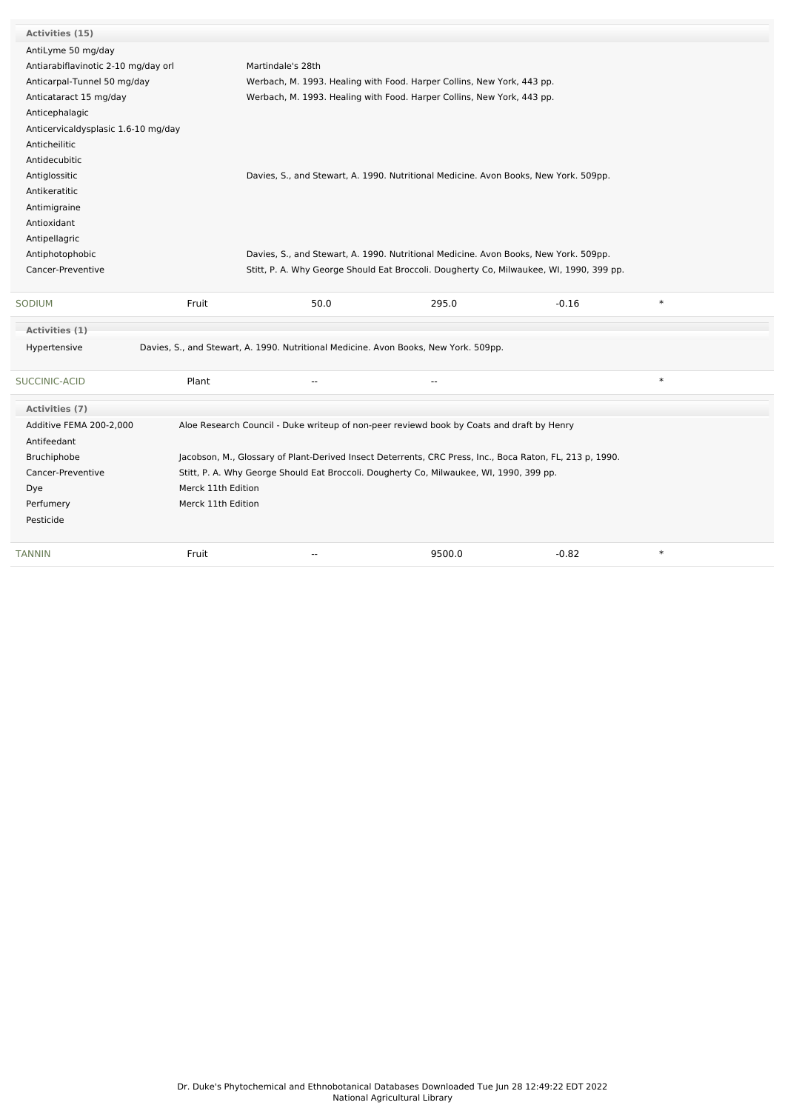| Activities (15)                     |                    |                                                                                                          |                          |         |        |
|-------------------------------------|--------------------|----------------------------------------------------------------------------------------------------------|--------------------------|---------|--------|
| AntiLyme 50 mg/day                  |                    |                                                                                                          |                          |         |        |
| Antiarabiflavinotic 2-10 mg/day orl |                    | Martindale's 28th                                                                                        |                          |         |        |
| Anticarpal-Tunnel 50 mg/day         |                    | Werbach, M. 1993. Healing with Food. Harper Collins, New York, 443 pp.                                   |                          |         |        |
| Anticataract 15 mg/day              |                    | Werbach, M. 1993. Healing with Food. Harper Collins, New York, 443 pp.                                   |                          |         |        |
| Anticephalagic                      |                    |                                                                                                          |                          |         |        |
| Anticervicaldysplasic 1.6-10 mg/day |                    |                                                                                                          |                          |         |        |
| Anticheilitic                       |                    |                                                                                                          |                          |         |        |
| Antidecubitic                       |                    |                                                                                                          |                          |         |        |
| Antiglossitic                       |                    | Davies, S., and Stewart, A. 1990. Nutritional Medicine. Avon Books, New York. 509pp.                     |                          |         |        |
| Antikeratitic                       |                    |                                                                                                          |                          |         |        |
| Antimigraine                        |                    |                                                                                                          |                          |         |        |
| Antioxidant                         |                    |                                                                                                          |                          |         |        |
| Antipellagric                       |                    |                                                                                                          |                          |         |        |
| Antiphotophobic                     |                    | Davies, S., and Stewart, A. 1990. Nutritional Medicine. Avon Books, New York. 509pp.                     |                          |         |        |
| Cancer-Preventive                   |                    | Stitt, P. A. Why George Should Eat Broccoli. Dougherty Co, Milwaukee, WI, 1990, 399 pp.                  |                          |         |        |
|                                     |                    |                                                                                                          |                          |         |        |
| SODIUM                              | Fruit              | 50.0                                                                                                     | 295.0                    | $-0.16$ | $\ast$ |
| Activities (1)                      |                    |                                                                                                          |                          |         |        |
| Hypertensive                        |                    | Davies, S., and Stewart, A. 1990. Nutritional Medicine. Avon Books, New York. 509pp.                     |                          |         |        |
| SUCCINIC-ACID                       | Plant              | $\overline{a}$                                                                                           | $\overline{\phantom{a}}$ |         | $\ast$ |
| Activities (7)                      |                    |                                                                                                          |                          |         |        |
| Additive FEMA 200-2,000             |                    | Aloe Research Council - Duke writeup of non-peer reviewd book by Coats and draft by Henry                |                          |         |        |
| Antifeedant                         |                    |                                                                                                          |                          |         |        |
| Bruchiphobe                         |                    | Jacobson, M., Glossary of Plant-Derived Insect Deterrents, CRC Press, Inc., Boca Raton, FL, 213 p, 1990. |                          |         |        |
| Cancer-Preventive                   |                    | Stitt, P. A. Why George Should Eat Broccoli. Dougherty Co, Milwaukee, WI, 1990, 399 pp.                  |                          |         |        |
| Dye                                 | Merck 11th Edition |                                                                                                          |                          |         |        |
| Perfumery                           | Merck 11th Edition |                                                                                                          |                          |         |        |
| Pesticide                           |                    |                                                                                                          |                          |         |        |
| TANNIN                              | Fruit              | $\overline{a}$                                                                                           | 9500.0                   | $-0.82$ | $\ast$ |
|                                     |                    |                                                                                                          |                          |         |        |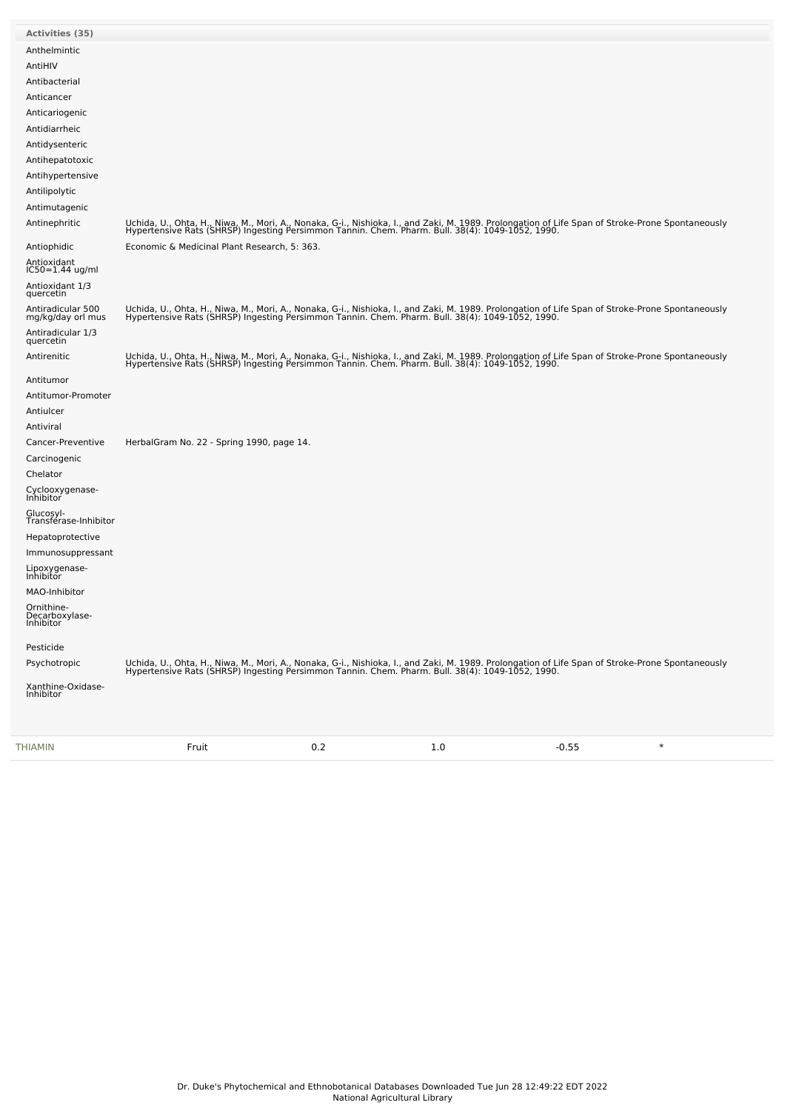| Activities (35)                           |                                                                                                                                                                                                                                   |
|-------------------------------------------|-----------------------------------------------------------------------------------------------------------------------------------------------------------------------------------------------------------------------------------|
| Anthelmintic                              |                                                                                                                                                                                                                                   |
| AntiHIV                                   |                                                                                                                                                                                                                                   |
| Antibacterial                             |                                                                                                                                                                                                                                   |
| Anticancer                                |                                                                                                                                                                                                                                   |
| Anticariogenic                            |                                                                                                                                                                                                                                   |
| Antidiarrheic                             |                                                                                                                                                                                                                                   |
| Antidysenteric                            |                                                                                                                                                                                                                                   |
| Antihepatotoxic                           |                                                                                                                                                                                                                                   |
| Antihypertensive                          |                                                                                                                                                                                                                                   |
| Antilipolytic                             |                                                                                                                                                                                                                                   |
| Antimutagenic                             |                                                                                                                                                                                                                                   |
| Antinephritic                             | Uchida, U., Ohta, H., Niwa, M., Mori, A., Nonaka, G-i., Nishioka, I., and Zaki, M. 1989. Prolongation of Life Span of Stroke-Prone Spontaneously<br>Hypertensive Rats (SHRSP) Ingesting Persimmon Tannin. Chem. Pharm. Bull. 38(4 |
| Antiophidic                               | Economic & Medicinal Plant Research, 5: 363.                                                                                                                                                                                      |
| Antioxidant<br>IC50=1.44 ug/ml            |                                                                                                                                                                                                                                   |
| Antioxidant 1/3<br>quercetin              |                                                                                                                                                                                                                                   |
| Antiradicular 500<br>mg/kg/day orl mus    | Uchida, U., Ohta, H., Niwa, M., Mori, A., Nonaka, G-i., Nishioka, I., and Zaki, M. 1989. Prolongation of Life Span of Stroke-Prone Spontaneously<br>Hypertensive Rats (SHRSP) Ingesting Persimmon Tannin. Chem. Pharm. Bull. 38(4 |
| Antiradicular 1/3<br>quercetin            |                                                                                                                                                                                                                                   |
| Antirenitic                               | Uchida, U., Ohta, H., Niwa, M., Mori, A., Nonaka, G-i., Nishioka, I., and Zaki, M. 1989. Prolongation of Life Span of Stroke-Prone Spontaneously<br>Hypertensive Rats (SHRSP) Ingesting Persimmon Tannin. Chem. Pharm. Bull. 38(4 |
| Antitumor<br>Antitumor-Promoter           |                                                                                                                                                                                                                                   |
|                                           |                                                                                                                                                                                                                                   |
| Antiulcer                                 |                                                                                                                                                                                                                                   |
| Antiviral                                 | HerbalGram No. 22 - Spring 1990, page 14.                                                                                                                                                                                         |
| Cancer-Preventive                         |                                                                                                                                                                                                                                   |
| Carcinogenic                              |                                                                                                                                                                                                                                   |
| Chelator<br>Cyclooxygenase-<br>Inhibitor  |                                                                                                                                                                                                                                   |
| Glucosyl-<br>Transférase-Inhibitor        |                                                                                                                                                                                                                                   |
| Hepatoprotective                          |                                                                                                                                                                                                                                   |
| Immunosuppressant                         |                                                                                                                                                                                                                                   |
| Lipoxygenase-<br>Inhibitor                |                                                                                                                                                                                                                                   |
| MAO-Inhibitor                             |                                                                                                                                                                                                                                   |
| Ornithine-<br>Decarboxylase-<br>Inhibitor |                                                                                                                                                                                                                                   |
| Pesticide                                 |                                                                                                                                                                                                                                   |
| Psychotropic                              | Uchida, U., Ohta, H., Niwa, M., Mori, A., Nonaka, G-i., Nishioka, I., and Zaki, M. 1989. Prolongation of Life Span of Stroke-Prone Spontaneously<br>Hypertensive Rats (SHRSP) Ingesting Persimmon Tannin. Chem. Pharm. Bull. 38(4 |
| Xanthine-Oxidase-<br>Inhibitor            |                                                                                                                                                                                                                                   |
|                                           |                                                                                                                                                                                                                                   |

[THIAMIN](file:///phytochem/chemicals/show/17086) Fruit 0.2 1.0 -0.55 \*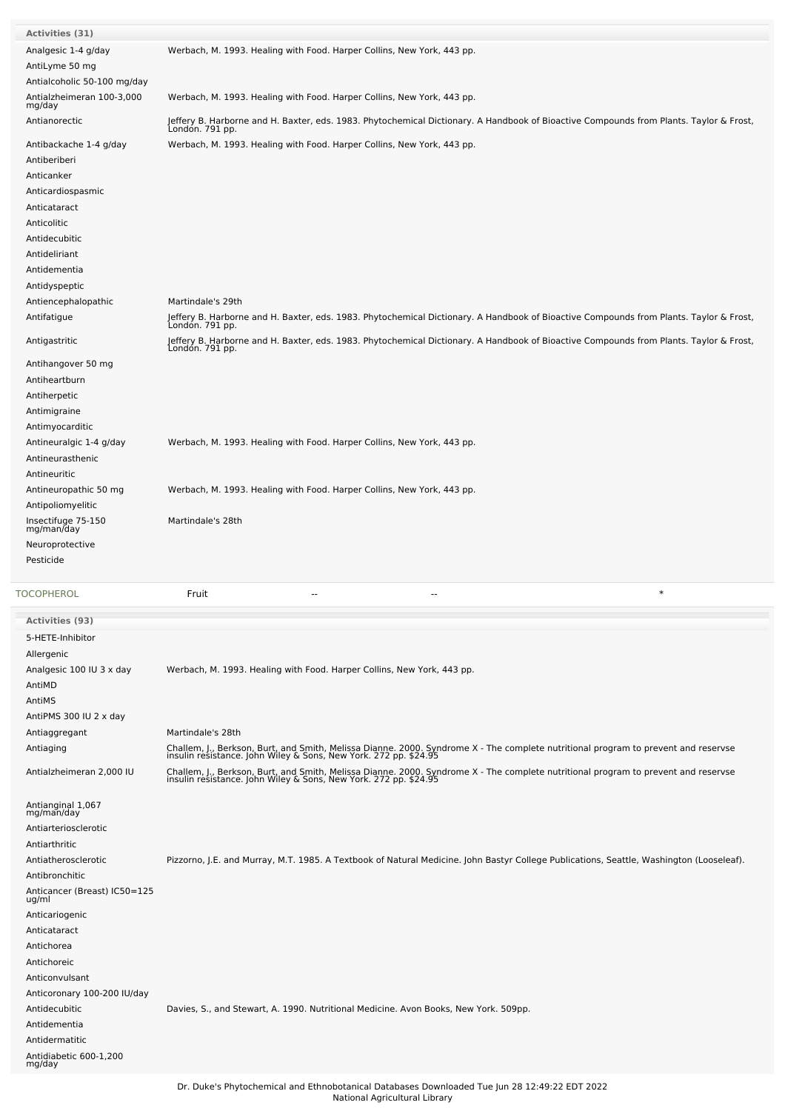| <b>Activities (31)</b>           |                                                                                                                                                                                                        |
|----------------------------------|--------------------------------------------------------------------------------------------------------------------------------------------------------------------------------------------------------|
| Analgesic 1-4 g/day              | Werbach, M. 1993. Healing with Food. Harper Collins, New York, 443 pp.                                                                                                                                 |
| AntiLyme 50 mg                   |                                                                                                                                                                                                        |
| Antialcoholic 50-100 mg/day      |                                                                                                                                                                                                        |
| Antialzheimeran 100-3,000        | Werbach, M. 1993. Healing with Food. Harper Collins, New York, 443 pp.                                                                                                                                 |
| mg/day                           |                                                                                                                                                                                                        |
| Antianorectic                    | Jeffery B. Harborne and H. Baxter, eds. 1983. Phytochemical Dictionary. A Handbook of Bioactive Compounds from Plants. Taylor & Frost,                                                                 |
|                                  | London. 791 pp.                                                                                                                                                                                        |
| Antibackache 1-4 g/day           | Werbach, M. 1993. Healing with Food. Harper Collins, New York, 443 pp.                                                                                                                                 |
| Antiberiberi                     |                                                                                                                                                                                                        |
| Anticanker                       |                                                                                                                                                                                                        |
| Anticardiospasmic                |                                                                                                                                                                                                        |
| Anticataract                     |                                                                                                                                                                                                        |
| Anticolitic                      |                                                                                                                                                                                                        |
| Antidecubitic                    |                                                                                                                                                                                                        |
| Antideliriant                    |                                                                                                                                                                                                        |
| Antidementia                     |                                                                                                                                                                                                        |
| Antidyspeptic                    |                                                                                                                                                                                                        |
|                                  |                                                                                                                                                                                                        |
| Antiencephalopathic              | Martindale's 29th                                                                                                                                                                                      |
| Antifatigue                      | Jeffery B. Harborne and H. Baxter, eds. 1983. Phytochemical Dictionary. A Handbook of Bioactive Compounds from Plants. Taylor & Frost,<br>Londón. 791 pp.                                              |
| Antigastritic                    | Jeffery B. Harborne and H. Baxter, eds. 1983. Phytochemical Dictionary. A Handbook of Bioactive Compounds from Plants. Taylor & Frost,                                                                 |
|                                  | London. 791 pp.                                                                                                                                                                                        |
| Antihangover 50 mg               |                                                                                                                                                                                                        |
| Antiheartburn                    |                                                                                                                                                                                                        |
| Antiherpetic                     |                                                                                                                                                                                                        |
| Antimigraine                     |                                                                                                                                                                                                        |
| Antimyocarditic                  |                                                                                                                                                                                                        |
| Antineuralgic 1-4 g/day          | Werbach, M. 1993. Healing with Food. Harper Collins, New York, 443 pp.                                                                                                                                 |
| Antineurasthenic                 |                                                                                                                                                                                                        |
| Antineuritic                     |                                                                                                                                                                                                        |
| Antineuropathic 50 mg            | Werbach, M. 1993. Healing with Food. Harper Collins, New York, 443 pp.                                                                                                                                 |
| Antipoliomyelitic                |                                                                                                                                                                                                        |
| Insectifuge 75-150               | Martindale's 28th                                                                                                                                                                                      |
| mg/man/day                       |                                                                                                                                                                                                        |
| Neuroprotective                  |                                                                                                                                                                                                        |
|                                  |                                                                                                                                                                                                        |
| Pesticide                        |                                                                                                                                                                                                        |
|                                  |                                                                                                                                                                                                        |
| TOCOPHEROL                       | $\ast$<br>Fruit<br>--<br>--                                                                                                                                                                            |
| <b>Activities (93)</b>           |                                                                                                                                                                                                        |
| 5-HETE-Inhibitor                 |                                                                                                                                                                                                        |
|                                  |                                                                                                                                                                                                        |
| Allergenic                       |                                                                                                                                                                                                        |
| Analgesic 100 IU 3 x day         | Werbach, M. 1993. Healing with Food. Harper Collins, New York, 443 pp.                                                                                                                                 |
| AntiMD                           |                                                                                                                                                                                                        |
| AntiMS                           |                                                                                                                                                                                                        |
| AntiPMS 300 IU 2 x day           |                                                                                                                                                                                                        |
| Antiaggregant                    | Martindale's 28th                                                                                                                                                                                      |
| Antiaging                        |                                                                                                                                                                                                        |
| Antialzheimeran 2,000 IU         | Challem, J., Berkson, Burt, and Smith, Melissa Dianne. 2000. Syndrome X - The complete nutritional program to prevent and reservse<br>insulin resistance. John Wiley & Sons, New York. 272 pp. \$24.95 |
|                                  | Challem, J., Berkson, Burt, and Smith, Melissa Dianne. 2000. Syndrome X - The complete nutritional program to prevent and reservse<br>insulin resistance. John Wiley & Sons, New York. 272 pp. \$24.95 |
| Antianginal 1,067                |                                                                                                                                                                                                        |
| mg/man/day                       |                                                                                                                                                                                                        |
| Antiarteriosclerotic             |                                                                                                                                                                                                        |
| Antiarthritic                    |                                                                                                                                                                                                        |
| Antiatherosclerotic              | Pizzorno, J.E. and Murray, M.T. 1985. A Textbook of Natural Medicine. John Bastyr College Publications, Seattle, Washington (Looseleaf).                                                               |
| Antibronchitic                   |                                                                                                                                                                                                        |
| Anticancer (Breast) IC50=125     |                                                                                                                                                                                                        |
| ug/ml                            |                                                                                                                                                                                                        |
| Anticariogenic                   |                                                                                                                                                                                                        |
| Anticataract                     |                                                                                                                                                                                                        |
| Antichorea                       |                                                                                                                                                                                                        |
| Antichoreic                      |                                                                                                                                                                                                        |
| Anticonvulsant                   |                                                                                                                                                                                                        |
| Anticoronary 100-200 IU/day      |                                                                                                                                                                                                        |
| Antidecubitic                    | Davies, S., and Stewart, A. 1990. Nutritional Medicine. Avon Books, New York. 509pp.                                                                                                                   |
| Antidementia                     |                                                                                                                                                                                                        |
| Antidermatitic                   |                                                                                                                                                                                                        |
| Antidiabetic 600-1,200<br>mg/day |                                                                                                                                                                                                        |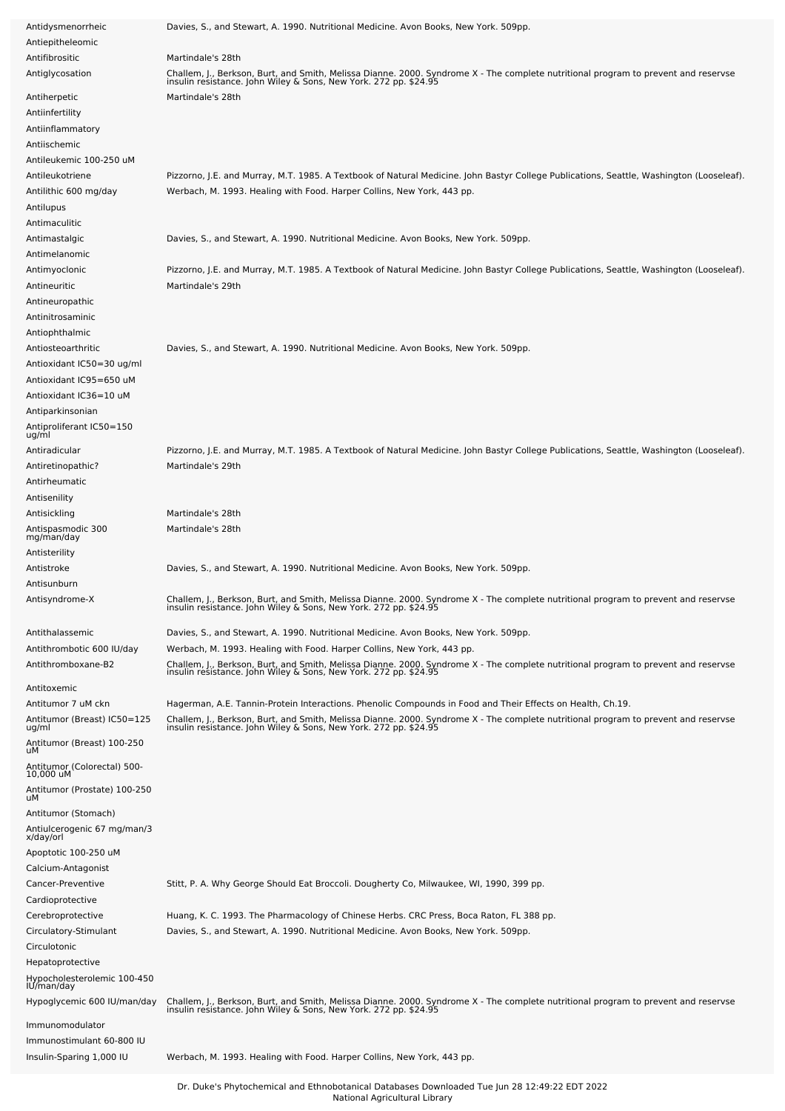| Antidysmenorrheic                        | Davies, S., and Stewart, A. 1990. Nutritional Medicine. Avon Books, New York. 509pp.                                                                                                                         |
|------------------------------------------|--------------------------------------------------------------------------------------------------------------------------------------------------------------------------------------------------------------|
| Antiepitheleomic                         |                                                                                                                                                                                                              |
| Antifibrositic                           | Martindale's 28th                                                                                                                                                                                            |
| Antiglycosation                          | Challem, J., Berkson, Burt, and Smith, Melissa Dianne. 2000. Syndrome X - The complete nutritional program to prevent and reservse<br>insulin resistance. John Wiley & Sons, New York. 272 pp. \$24.95       |
|                                          |                                                                                                                                                                                                              |
| Antiherpetic                             | Martindale's 28th                                                                                                                                                                                            |
| Antiinfertility                          |                                                                                                                                                                                                              |
| Antiinflammatory                         |                                                                                                                                                                                                              |
| Antiischemic                             |                                                                                                                                                                                                              |
| Antileukemic 100-250 uM                  |                                                                                                                                                                                                              |
| Antileukotriene                          | Pizzorno, J.E. and Murray, M.T. 1985. A Textbook of Natural Medicine. John Bastyr College Publications, Seattle, Washington (Looseleaf).                                                                     |
| Antilithic 600 mg/day                    | Werbach, M. 1993. Healing with Food. Harper Collins, New York, 443 pp.                                                                                                                                       |
| Antilupus                                |                                                                                                                                                                                                              |
| Antimaculitic                            |                                                                                                                                                                                                              |
|                                          |                                                                                                                                                                                                              |
| Antimastalgic                            | Davies, S., and Stewart, A. 1990. Nutritional Medicine. Avon Books, New York. 509pp.                                                                                                                         |
| Antimelanomic                            |                                                                                                                                                                                                              |
| Antimyoclonic                            | Pizzorno, J.E. and Murray, M.T. 1985. A Textbook of Natural Medicine. John Bastyr College Publications, Seattle, Washington (Looseleaf).                                                                     |
| Antineuritic                             | Martindale's 29th                                                                                                                                                                                            |
| Antineuropathic                          |                                                                                                                                                                                                              |
| Antinitrosaminic                         |                                                                                                                                                                                                              |
| Antiophthalmic                           |                                                                                                                                                                                                              |
| Antiosteoarthritic                       | Davies, S., and Stewart, A. 1990. Nutritional Medicine. Avon Books, New York. 509pp.                                                                                                                         |
| Antioxidant IC50=30 ug/ml                |                                                                                                                                                                                                              |
| Antioxidant IC95=650 uM                  |                                                                                                                                                                                                              |
| Antioxidant IC36=10 uM                   |                                                                                                                                                                                                              |
| Antiparkinsonian                         |                                                                                                                                                                                                              |
|                                          |                                                                                                                                                                                                              |
| Antiproliferant IC50=150<br>ug/ml        |                                                                                                                                                                                                              |
| Antiradicular                            | Pizzorno, J.E. and Murray, M.T. 1985. A Textbook of Natural Medicine. John Bastyr College Publications, Seattle, Washington (Looseleaf).                                                                     |
| Antiretinopathic?                        | Martindale's 29th                                                                                                                                                                                            |
| Antirheumatic                            |                                                                                                                                                                                                              |
| Antisenility                             |                                                                                                                                                                                                              |
| Antisickling                             | Martindale's 28th                                                                                                                                                                                            |
|                                          | Martindale's 28th                                                                                                                                                                                            |
| Antispasmodic 300<br>mg/man/day          |                                                                                                                                                                                                              |
|                                          |                                                                                                                                                                                                              |
| Antisterility                            |                                                                                                                                                                                                              |
| Antistroke                               | Davies, S., and Stewart, A. 1990. Nutritional Medicine. Avon Books, New York. 509pp.                                                                                                                         |
| Antisunburn                              |                                                                                                                                                                                                              |
| Antisyndrome-X                           |                                                                                                                                                                                                              |
|                                          | Challem, J., Berkson, Burt, and Smith, Melissa Dianne. 2000. Syndrome X - The complete nutritional program to prevent and reservse<br>$\mu$ insulin resistance. John Wiley & Sons, New York. 272 pp. \$24.95 |
|                                          |                                                                                                                                                                                                              |
| Antithalassemic                          | Davies, S., and Stewart, A. 1990. Nutritional Medicine. Avon Books, New York. 509pp.                                                                                                                         |
| Antithrombotic 600 IU/day                | Werbach, M. 1993. Healing with Food. Harper Collins, New York, 443 pp.                                                                                                                                       |
| Antithromboxane-B2                       | Challem, J., Berkson, Burt, and Smith, Melissa Dianne. 2000. Syndrome X - The complete nutritional program to prevent and reservse<br>insulin resistance. John Wiley & Sons, New York. 272 pp. \$24.95       |
| Antitoxemic                              |                                                                                                                                                                                                              |
|                                          |                                                                                                                                                                                                              |
| Antitumor 7 uM ckn                       | Hagerman, A.E. Tannin-Protein Interactions. Phenolic Compounds in Food and Their Effects on Health, Ch.19.                                                                                                   |
| Antitumor (Breast) IC50=125<br>ug/ml     | Challem, J., Berkson, Burt, and Smith, Melissa Dianne. 2000. Syndrome X - The complete nutritional program to prevent and reservse<br>insulin resistance. John Wiley & Sons, New York. 272 pp. \$24.95       |
| Antitumor (Breast) 100-250               |                                                                                                                                                                                                              |
| uМ                                       |                                                                                                                                                                                                              |
| Antitumor (Colorectal) 500-<br>10,000 uM |                                                                                                                                                                                                              |
| Antitumor (Prostate) 100-250             |                                                                                                                                                                                                              |
| uМ                                       |                                                                                                                                                                                                              |
| Antitumor (Stomach)                      |                                                                                                                                                                                                              |
| Antiulcerogenic 67 mg/man/3              |                                                                                                                                                                                                              |
| x/day/orl                                |                                                                                                                                                                                                              |
| Apoptotic 100-250 uM                     |                                                                                                                                                                                                              |
| Calcium-Antagonist                       |                                                                                                                                                                                                              |
| Cancer-Preventive                        | Stitt, P. A. Why George Should Eat Broccoli. Dougherty Co, Milwaukee, WI, 1990, 399 pp.                                                                                                                      |
| Cardioprotective                         |                                                                                                                                                                                                              |
| Cerebroprotective                        | Huang, K. C. 1993. The Pharmacology of Chinese Herbs. CRC Press, Boca Raton, FL 388 pp.                                                                                                                      |
| Circulatory-Stimulant                    | Davies, S., and Stewart, A. 1990. Nutritional Medicine. Avon Books, New York. 509pp.                                                                                                                         |
| Circulotonic                             |                                                                                                                                                                                                              |
| Hepatoprotective                         |                                                                                                                                                                                                              |
| Hypocholesterolemic 100-450              |                                                                                                                                                                                                              |
| IU/man/day                               |                                                                                                                                                                                                              |
| Hypoglycemic 600 IU/man/day              | Challem, J., Berkson, Burt, and Smith, Melissa Dianne. 2000. Syndrome X - The complete nutritional program to prevent and reservse<br>insulin resistance. John Wiley & Sons, New York. 272 pp. \$24.95       |
| Immunomodulator                          |                                                                                                                                                                                                              |
| Immunostimulant 60-800 IU                |                                                                                                                                                                                                              |